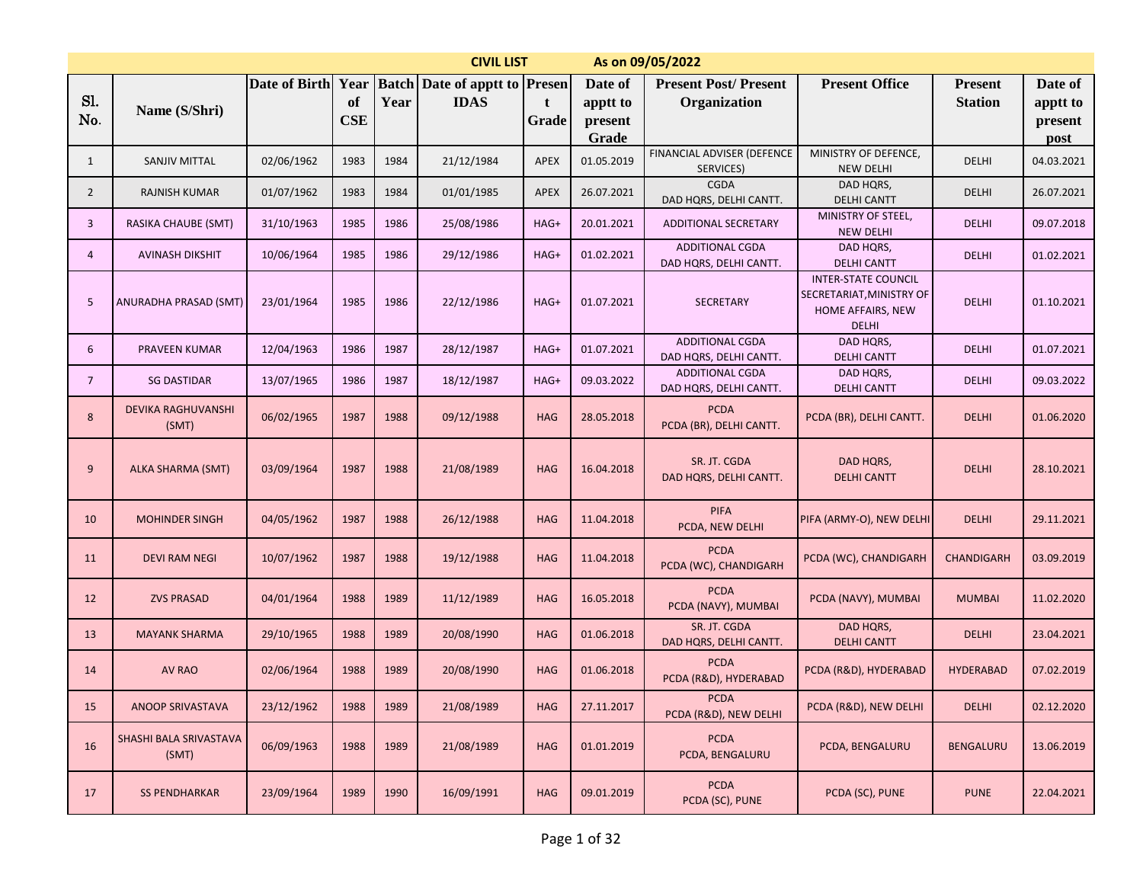|                | <b>CIVIL LIST</b><br>As on 09/05/2022<br><b>Batch Date of apptt to Presen</b> |               |                          |      |             |             |                                |                                                  |                                                                                             |                                  |                                |  |  |
|----------------|-------------------------------------------------------------------------------|---------------|--------------------------|------|-------------|-------------|--------------------------------|--------------------------------------------------|---------------------------------------------------------------------------------------------|----------------------------------|--------------------------------|--|--|
| Sl.<br>No.     | Name (S/Shri)                                                                 | Date of Birth | Year<br>of<br><b>CSE</b> | Year | <b>IDAS</b> | t<br>Grade  | Date of<br>apptt to<br>present | <b>Present Post/Present</b><br>Organization      | <b>Present Office</b>                                                                       | <b>Present</b><br><b>Station</b> | Date of<br>apptt to<br>present |  |  |
| 1              | <b>SANJIV MITTAL</b>                                                          | 02/06/1962    | 1983                     | 1984 | 21/12/1984  | <b>APEX</b> | Grade<br>01.05.2019            | FINANCIAL ADVISER (DEFENCE<br>SERVICES)          | MINISTRY OF DEFENCE,<br><b>NEW DELHI</b>                                                    | DELHI                            | post<br>04.03.2021             |  |  |
| $\overline{2}$ | <b>RAJNISH KUMAR</b>                                                          | 01/07/1962    | 1983                     | 1984 | 01/01/1985  | <b>APEX</b> | 26.07.2021                     | <b>CGDA</b><br>DAD HQRS, DELHI CANTT.            | DAD HQRS,<br><b>DELHI CANTT</b>                                                             | DELHI                            | 26.07.2021                     |  |  |
| 3              | RASIKA CHAUBE (SMT)                                                           | 31/10/1963    | 1985                     | 1986 | 25/08/1986  | HAG+        | 20.01.2021                     | <b>ADDITIONAL SECRETARY</b>                      | MINISTRY OF STEEL,<br><b>NEW DELHI</b>                                                      | <b>DELHI</b>                     | 09.07.2018                     |  |  |
| 4              | <b>AVINASH DIKSHIT</b>                                                        | 10/06/1964    | 1985                     | 1986 | 29/12/1986  | HAG+        | 01.02.2021                     | <b>ADDITIONAL CGDA</b><br>DAD HQRS, DELHI CANTT. | DAD HQRS,<br><b>DELHI CANTT</b>                                                             | <b>DELHI</b>                     | 01.02.2021                     |  |  |
| 5              | ANURADHA PRASAD (SMT)                                                         | 23/01/1964    | 1985                     | 1986 | 22/12/1986  | HAG+        | 01.07.2021                     | <b>SECRETARY</b>                                 | <b>INTER-STATE COUNCIL</b><br>SECRETARIAT, MINISTRY OF<br>HOME AFFAIRS, NEW<br><b>DELHI</b> | <b>DELHI</b>                     | 01.10.2021                     |  |  |
| 6              | PRAVEEN KUMAR                                                                 | 12/04/1963    | 1986                     | 1987 | 28/12/1987  | HAG+        | 01.07.2021                     | <b>ADDITIONAL CGDA</b><br>DAD HQRS, DELHI CANTT. | DAD HQRS,<br><b>DELHI CANTT</b>                                                             | <b>DELHI</b>                     | 01.07.2021                     |  |  |
| $\overline{7}$ | <b>SG DASTIDAR</b>                                                            | 13/07/1965    | 1986                     | 1987 | 18/12/1987  | HAG+        | 09.03.2022                     | <b>ADDITIONAL CGDA</b><br>DAD HQRS, DELHI CANTT. | DAD HQRS,<br><b>DELHI CANTT</b>                                                             | <b>DELHI</b>                     | 09.03.2022                     |  |  |
| $\bf 8$        | <b>DEVIKA RAGHUVANSHI</b><br>(SMT)                                            | 06/02/1965    | 1987                     | 1988 | 09/12/1988  | <b>HAG</b>  | 28.05.2018                     | <b>PCDA</b><br>PCDA (BR), DELHI CANTT.           | PCDA (BR), DELHI CANTT.                                                                     | <b>DELHI</b>                     | 01.06.2020                     |  |  |
| 9              | <b>ALKA SHARMA (SMT)</b>                                                      | 03/09/1964    | 1987                     | 1988 | 21/08/1989  | <b>HAG</b>  | 16.04.2018                     | SR. JT. CGDA<br>DAD HQRS, DELHI CANTT.           | DAD HQRS,<br><b>DELHI CANTT</b>                                                             | <b>DELHI</b>                     | 28.10.2021                     |  |  |
| 10             | <b>MOHINDER SINGH</b>                                                         | 04/05/1962    | 1987                     | 1988 | 26/12/1988  | <b>HAG</b>  | 11.04.2018                     | <b>PIFA</b><br>PCDA, NEW DELHI                   | PIFA (ARMY-O), NEW DELHI                                                                    | <b>DELHI</b>                     | 29.11.2021                     |  |  |
| 11             | <b>DEVI RAM NEGI</b>                                                          | 10/07/1962    | 1987                     | 1988 | 19/12/1988  | <b>HAG</b>  | 11.04.2018                     | <b>PCDA</b><br>PCDA (WC), CHANDIGARH             | PCDA (WC), CHANDIGARH                                                                       | <b>CHANDIGARH</b>                | 03.09.2019                     |  |  |
| 12             | <b>ZVS PRASAD</b>                                                             | 04/01/1964    | 1988                     | 1989 | 11/12/1989  | <b>HAG</b>  | 16.05.2018                     | <b>PCDA</b><br>PCDA (NAVY), MUMBAI               | PCDA (NAVY), MUMBAI                                                                         | <b>MUMBAI</b>                    | 11.02.2020                     |  |  |
| 13             | <b>MAYANK SHARMA</b>                                                          | 29/10/1965    | 1988                     | 1989 | 20/08/1990  | <b>HAG</b>  | 01.06.2018                     | SR. JT. CGDA<br>DAD HQRS, DELHI CANTT.           | DAD HQRS,<br><b>DELHI CANTT</b>                                                             | <b>DELHI</b>                     | 23.04.2021                     |  |  |
| 14             | AV RAO                                                                        | 02/06/1964    | 1988                     | 1989 | 20/08/1990  | <b>HAG</b>  | 01.06.2018                     | <b>PCDA</b><br>PCDA (R&D), HYDERABAD             | PCDA (R&D), HYDERABAD                                                                       | <b>HYDERABAD</b>                 | 07.02.2019                     |  |  |
| 15             | ANOOP SRIVASTAVA                                                              | 23/12/1962    | 1988                     | 1989 | 21/08/1989  | <b>HAG</b>  | 27.11.2017                     | <b>PCDA</b><br>PCDA (R&D), NEW DELHI             | PCDA (R&D), NEW DELHI                                                                       | <b>DELHI</b>                     | 02.12.2020                     |  |  |
| 16             | SHASHI BALA SRIVASTAVA<br>(SMT)                                               | 06/09/1963    | 1988                     | 1989 | 21/08/1989  | <b>HAG</b>  | 01.01.2019                     | <b>PCDA</b><br>PCDA, BENGALURU                   | PCDA, BENGALURU                                                                             | <b>BENGALURU</b>                 | 13.06.2019                     |  |  |
| 17             | <b>SS PENDHARKAR</b>                                                          | 23/09/1964    | 1989                     | 1990 | 16/09/1991  | <b>HAG</b>  | 09.01.2019                     | <b>PCDA</b><br>PCDA (SC), PUNE                   | PCDA (SC), PUNE                                                                             | <b>PUNE</b>                      | 22.04.2021                     |  |  |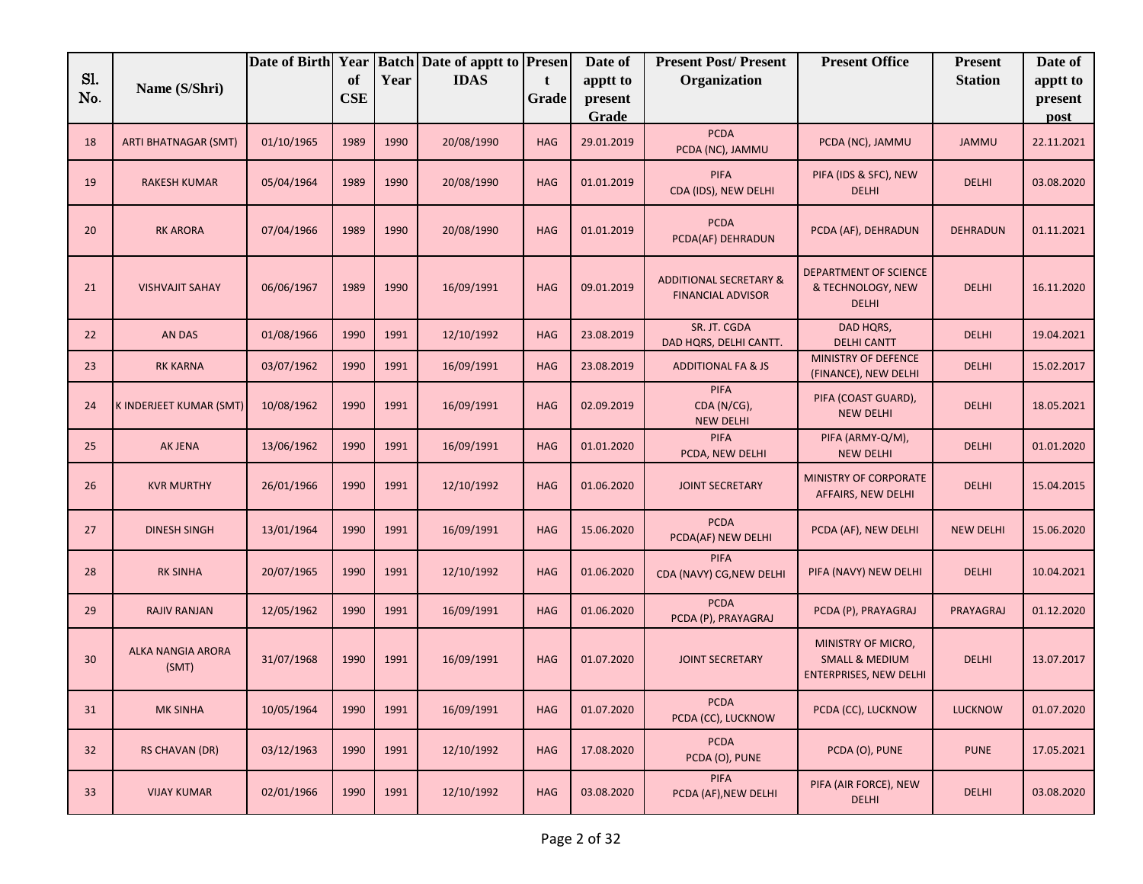|            |                                   | Date of Birth Year |                  |      | <b>Batch Date of apptt to Presen</b> |                       | Date of             | <b>Present Post/Present</b>                                   | <b>Present Office</b>                                                            | <b>Present</b>   | Date of             |
|------------|-----------------------------------|--------------------|------------------|------|--------------------------------------|-----------------------|---------------------|---------------------------------------------------------------|----------------------------------------------------------------------------------|------------------|---------------------|
| Sl.<br>No. | Name (S/Shri)                     |                    | of<br><b>CSE</b> | Year | <b>IDAS</b>                          | $\mathbf{t}$<br>Grade | apptt to<br>present | Organization                                                  |                                                                                  | <b>Station</b>   | apptt to<br>present |
|            |                                   |                    |                  |      |                                      |                       | Grade               |                                                               |                                                                                  |                  | post                |
| 18         | <b>ARTI BHATNAGAR (SMT)</b>       | 01/10/1965         | 1989             | 1990 | 20/08/1990                           | <b>HAG</b>            | 29.01.2019          | <b>PCDA</b><br>PCDA (NC), JAMMU                               | PCDA (NC), JAMMU                                                                 | <b>JAMMU</b>     | 22.11.2021          |
| 19         | <b>RAKESH KUMAR</b>               | 05/04/1964         | 1989             | 1990 | 20/08/1990                           | <b>HAG</b>            | 01.01.2019          | PIFA<br>CDA (IDS), NEW DELHI                                  | PIFA (IDS & SFC), NEW<br><b>DELHI</b>                                            | <b>DELHI</b>     | 03.08.2020          |
| 20         | <b>RK ARORA</b>                   | 07/04/1966         | 1989             | 1990 | 20/08/1990                           | <b>HAG</b>            | 01.01.2019          | <b>PCDA</b><br>PCDA(AF) DEHRADUN                              | PCDA (AF), DEHRADUN                                                              | <b>DEHRADUN</b>  | 01.11.2021          |
| 21         | <b>VISHVAJIT SAHAY</b>            | 06/06/1967         | 1989             | 1990 | 16/09/1991                           | <b>HAG</b>            | 09.01.2019          | <b>ADDITIONAL SECRETARY &amp;</b><br><b>FINANCIAL ADVISOR</b> | DEPARTMENT OF SCIENCE<br>& TECHNOLOGY, NEW<br><b>DELHI</b>                       | <b>DELHI</b>     | 16.11.2020          |
| 22         | AN DAS                            | 01/08/1966         | 1990             | 1991 | 12/10/1992                           | <b>HAG</b>            | 23.08.2019          | SR. JT. CGDA<br>DAD HQRS, DELHI CANTT.                        | DAD HQRS,<br><b>DELHI CANTT</b>                                                  | <b>DELHI</b>     | 19.04.2021          |
| 23         | <b>RK KARNA</b>                   | 03/07/1962         | 1990             | 1991 | 16/09/1991                           | <b>HAG</b>            | 23.08.2019          | <b>ADDITIONAL FA &amp; JS</b>                                 | MINISTRY OF DEFENCE<br>(FINANCE), NEW DELHI                                      | <b>DELHI</b>     | 15.02.2017          |
| 24         | K INDERJEET KUMAR (SMT)           | 10/08/1962         | 1990             | 1991 | 16/09/1991                           | <b>HAG</b>            | 02.09.2019          | <b>PIFA</b><br>CDA (N/CG),<br><b>NEW DELHI</b>                | PIFA (COAST GUARD),<br><b>NEW DELHI</b>                                          | <b>DELHI</b>     | 18.05.2021          |
| 25         | AK JENA                           | 13/06/1962         | 1990             | 1991 | 16/09/1991                           | <b>HAG</b>            | 01.01.2020          | <b>PIFA</b><br>PCDA, NEW DELHI                                | PIFA (ARMY-Q/M),<br><b>NEW DELHI</b>                                             | <b>DELHI</b>     | 01.01.2020          |
| 26         | <b>KVR MURTHY</b>                 | 26/01/1966         | 1990             | 1991 | 12/10/1992                           | <b>HAG</b>            | 01.06.2020          | <b>JOINT SECRETARY</b>                                        | MINISTRY OF CORPORATE<br>AFFAIRS, NEW DELHI                                      | <b>DELHI</b>     | 15.04.2015          |
| 27         | <b>DINESH SINGH</b>               | 13/01/1964         | 1990             | 1991 | 16/09/1991                           | <b>HAG</b>            | 15.06.2020          | <b>PCDA</b><br>PCDA(AF) NEW DELHI                             | PCDA (AF), NEW DELHI                                                             | <b>NEW DELHI</b> | 15.06.2020          |
| 28         | <b>RK SINHA</b>                   | 20/07/1965         | 1990             | 1991 | 12/10/1992                           | <b>HAG</b>            | 01.06.2020          | <b>PIFA</b><br>CDA (NAVY) CG, NEW DELHI                       | PIFA (NAVY) NEW DELHI                                                            | <b>DELHI</b>     | 10.04.2021          |
| 29         | <b>RAJIV RANJAN</b>               | 12/05/1962         | 1990             | 1991 | 16/09/1991                           | <b>HAG</b>            | 01.06.2020          | <b>PCDA</b><br>PCDA (P), PRAYAGRAJ                            | PCDA (P), PRAYAGRAJ                                                              | PRAYAGRAJ        | 01.12.2020          |
| 30         | <b>ALKA NANGIA ARORA</b><br>(SMT) | 31/07/1968         | 1990             | 1991 | 16/09/1991                           | <b>HAG</b>            | 01.07.2020          | <b>JOINT SECRETARY</b>                                        | MINISTRY OF MICRO,<br><b>SMALL &amp; MEDIUM</b><br><b>ENTERPRISES, NEW DELHI</b> | <b>DELHI</b>     | 13.07.2017          |
| 31         | <b>MK SINHA</b>                   | 10/05/1964         | 1990             | 1991 | 16/09/1991                           | <b>HAG</b>            | 01.07.2020          | <b>PCDA</b><br>PCDA (CC), LUCKNOW                             | PCDA (CC), LUCKNOW                                                               | <b>LUCKNOW</b>   | 01.07.2020          |
| 32         | <b>RS CHAVAN (DR)</b>             | 03/12/1963         | 1990             | 1991 | 12/10/1992                           | <b>HAG</b>            | 17.08.2020          | <b>PCDA</b><br>PCDA (O), PUNE                                 | PCDA (O), PUNE                                                                   | <b>PUNE</b>      | 17.05.2021          |
| 33         | <b>VIJAY KUMAR</b>                | 02/01/1966         | 1990             | 1991 | 12/10/1992                           | <b>HAG</b>            | 03.08.2020          | <b>PIFA</b><br>PCDA (AF), NEW DELHI                           | PIFA (AIR FORCE), NEW<br><b>DELHI</b>                                            | <b>DELHI</b>     | 03.08.2020          |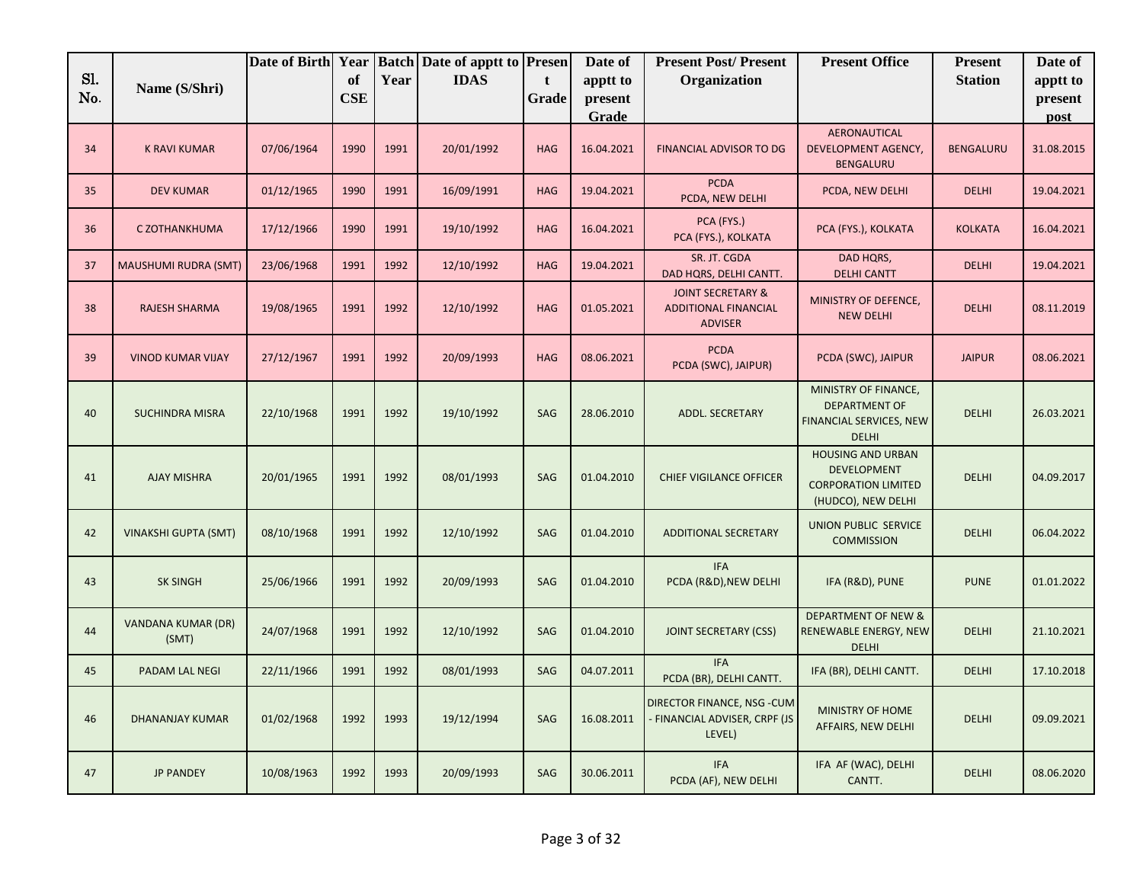|            |                                    | Date of Birth Year |                         |      | <b>Batch Date of apptt to Presen</b> |                      | Date of             | <b>Present Post/Present</b>                                                   | <b>Present Office</b>                                                                              | <b>Present</b> | Date of             |
|------------|------------------------------------|--------------------|-------------------------|------|--------------------------------------|----------------------|---------------------|-------------------------------------------------------------------------------|----------------------------------------------------------------------------------------------------|----------------|---------------------|
| Sl.<br>No. | Name (S/Shri)                      |                    | <b>of</b><br><b>CSE</b> | Year | <b>IDAS</b>                          | $\mathbf t$<br>Grade | apptt to<br>present | Organization                                                                  |                                                                                                    | <b>Station</b> | apptt to<br>present |
|            |                                    |                    |                         |      |                                      |                      | Grade               |                                                                               |                                                                                                    |                | post                |
| 34         | <b>K RAVI KUMAR</b>                | 07/06/1964         | 1990                    | 1991 | 20/01/1992                           | <b>HAG</b>           | 16.04.2021          | <b>FINANCIAL ADVISOR TO DG</b>                                                | AERONAUTICAL<br>DEVELOPMENT AGENCY,<br>BENGALURU                                                   | BENGALURU      | 31.08.2015          |
| 35         | <b>DEV KUMAR</b>                   | 01/12/1965         | 1990                    | 1991 | 16/09/1991                           | <b>HAG</b>           | 19.04.2021          | <b>PCDA</b><br>PCDA, NEW DELHI                                                | PCDA, NEW DELHI                                                                                    | <b>DELHI</b>   | 19.04.2021          |
| 36         | C ZOTHANKHUMA                      | 17/12/1966         | 1990                    | 1991 | 19/10/1992                           | <b>HAG</b>           | 16.04.2021          | PCA (FYS.)<br>PCA (FYS.), KOLKATA                                             | PCA (FYS.), KOLKATA                                                                                | <b>KOLKATA</b> | 16.04.2021          |
| 37         | <b>MAUSHUMI RUDRA (SMT)</b>        | 23/06/1968         | 1991                    | 1992 | 12/10/1992                           | <b>HAG</b>           | 19.04.2021          | SR. JT. CGDA<br>DAD HQRS, DELHI CANTT.                                        | DAD HQRS,<br><b>DELHI CANTT</b>                                                                    | <b>DELHI</b>   | 19.04.2021          |
| 38         | RAJESH SHARMA                      | 19/08/1965         | 1991                    | 1992 | 12/10/1992                           | <b>HAG</b>           | 01.05.2021          | <b>JOINT SECRETARY &amp;</b><br><b>ADDITIONAL FINANCIAL</b><br><b>ADVISER</b> | MINISTRY OF DEFENCE,<br><b>NEW DELHI</b>                                                           | <b>DELHI</b>   | 08.11.2019          |
| 39         | <b>VINOD KUMAR VIJAY</b>           | 27/12/1967         | 1991                    | 1992 | 20/09/1993                           | <b>HAG</b>           | 08.06.2021          | <b>PCDA</b><br>PCDA (SWC), JAIPUR)                                            | PCDA (SWC), JAIPUR                                                                                 | <b>JAIPUR</b>  | 08.06.2021          |
| 40         | <b>SUCHINDRA MISRA</b>             | 22/10/1968         | 1991                    | 1992 | 19/10/1992                           | SAG                  | 28.06.2010          | ADDL. SECRETARY                                                               | MINISTRY OF FINANCE,<br><b>DEPARTMENT OF</b><br>FINANCIAL SERVICES, NEW<br><b>DELHI</b>            | <b>DELHI</b>   | 26.03.2021          |
| 41         | <b>AJAY MISHRA</b>                 | 20/01/1965         | 1991                    | 1992 | 08/01/1993                           | SAG                  | 01.04.2010          | <b>CHIEF VIGILANCE OFFICER</b>                                                | <b>HOUSING AND URBAN</b><br><b>DEVELOPMENT</b><br><b>CORPORATION LIMITED</b><br>(HUDCO), NEW DELHI | <b>DELHI</b>   | 04.09.2017          |
| 42         | <b>VINAKSHI GUPTA (SMT)</b>        | 08/10/1968         | 1991                    | 1992 | 12/10/1992                           | SAG                  | 01.04.2010          | <b>ADDITIONAL SECRETARY</b>                                                   | <b>UNION PUBLIC SERVICE</b><br><b>COMMISSION</b>                                                   | <b>DELHI</b>   | 06.04.2022          |
| 43         | <b>SK SINGH</b>                    | 25/06/1966         | 1991                    | 1992 | 20/09/1993                           | SAG                  | 01.04.2010          | <b>IFA</b><br>PCDA (R&D), NEW DELHI                                           | IFA (R&D), PUNE                                                                                    | <b>PUNE</b>    | 01.01.2022          |
| 44         | <b>VANDANA KUMAR (DR)</b><br>(SMT) | 24/07/1968         | 1991                    | 1992 | 12/10/1992                           | SAG                  | 01.04.2010          | <b>JOINT SECRETARY (CSS)</b>                                                  | <b>DEPARTMENT OF NEW &amp;</b><br>RENEWABLE ENERGY, NEW<br>DELHI                                   | <b>DELHI</b>   | 21.10.2021          |
| 45         | PADAM LAL NEGI                     | 22/11/1966         | 1991                    | 1992 | 08/01/1993                           | <b>SAG</b>           | 04.07.2011          | <b>IFA</b><br>PCDA (BR), DELHI CANTT.                                         | IFA (BR), DELHI CANTT.                                                                             | <b>DELHI</b>   | 17.10.2018          |
| 46         | <b>DHANANJAY KUMAR</b>             | 01/02/1968         | 1992                    | 1993 | 19/12/1994                           | SAG                  | 16.08.2011          | DIRECTOR FINANCE, NSG - CUM<br>FINANCIAL ADVISER, CRPF (JS<br>LEVEL)          | MINISTRY OF HOME<br>AFFAIRS, NEW DELHI                                                             | <b>DELHI</b>   | 09.09.2021          |
| 47         | <b>JP PANDEY</b>                   | 10/08/1963         | 1992                    | 1993 | 20/09/1993                           | SAG                  | 30.06.2011          | <b>IFA</b><br>PCDA (AF), NEW DELHI                                            | IFA AF (WAC), DELHI<br>CANTT.                                                                      | <b>DELHI</b>   | 08.06.2020          |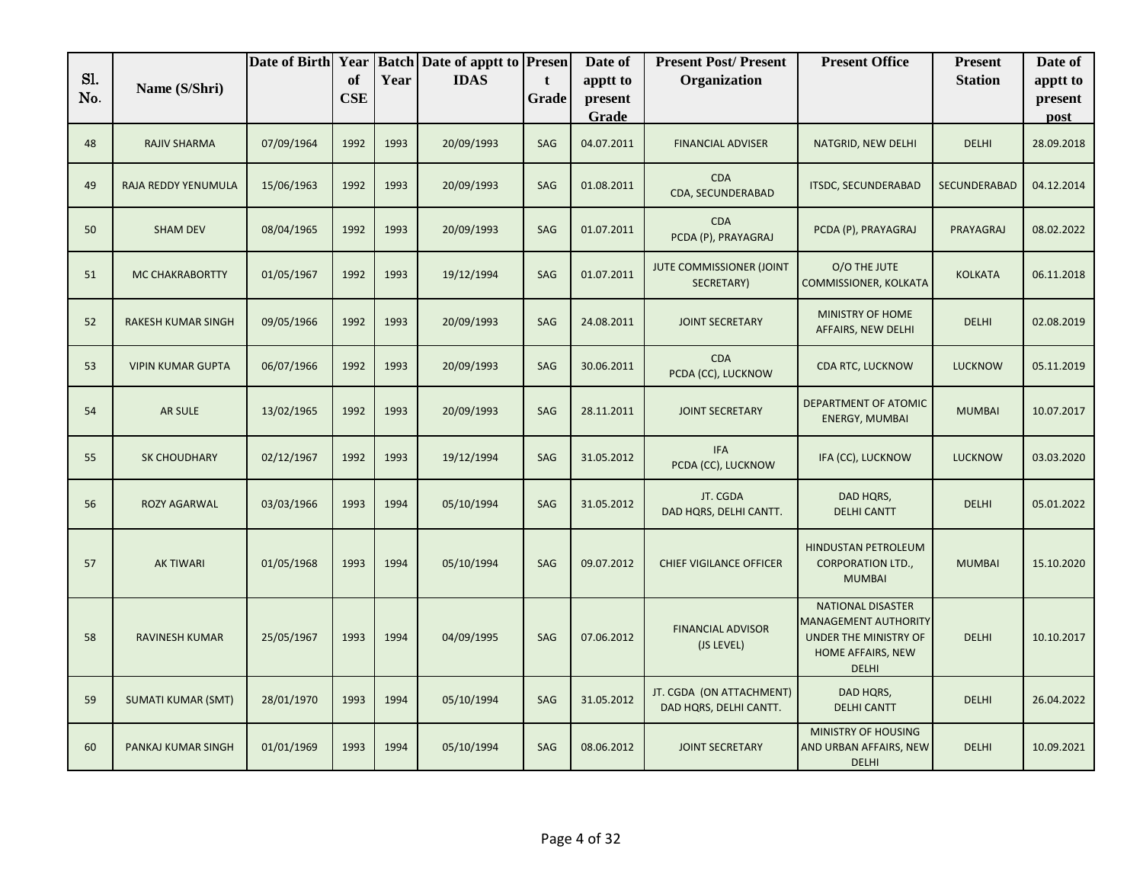| Sl. |                           | Date of Birth Year |                  |      | <b>Batch Date of apptt to Presen</b> |            | Date of                      | <b>Present Post/Present</b>                        | <b>Present Office</b>                                                                                                 | <b>Present</b>      | Date of                     |
|-----|---------------------------|--------------------|------------------|------|--------------------------------------|------------|------------------------------|----------------------------------------------------|-----------------------------------------------------------------------------------------------------------------------|---------------------|-----------------------------|
| No. | Name (S/Shri)             |                    | of<br><b>CSE</b> | Year | <b>IDAS</b>                          | t<br>Grade | apptt to<br>present<br>Grade | Organization                                       |                                                                                                                       | <b>Station</b>      | apptt to<br>present<br>post |
| 48  | <b>RAJIV SHARMA</b>       | 07/09/1964         | 1992             | 1993 | 20/09/1993                           | SAG        | 04.07.2011                   | <b>FINANCIAL ADVISER</b>                           | NATGRID, NEW DELHI                                                                                                    | <b>DELHI</b>        | 28.09.2018                  |
| 49  | RAJA REDDY YENUMULA       | 15/06/1963         | 1992             | 1993 | 20/09/1993                           | SAG        | 01.08.2011                   | <b>CDA</b><br>CDA, SECUNDERABAD                    | <b>ITSDC, SECUNDERABAD</b>                                                                                            | <b>SECUNDERABAD</b> | 04.12.2014                  |
| 50  | <b>SHAM DEV</b>           | 08/04/1965         | 1992             | 1993 | 20/09/1993                           | <b>SAG</b> | 01.07.2011                   | <b>CDA</b><br>PCDA (P), PRAYAGRAJ                  | PCDA (P), PRAYAGRAJ                                                                                                   | PRAYAGRAJ           | 08.02.2022                  |
| 51  | <b>MC CHAKRABORTTY</b>    | 01/05/1967         | 1992             | 1993 | 19/12/1994                           | SAG        | 01.07.2011                   | JUTE COMMISSIONER (JOINT<br>SECRETARY)             | O/O THE JUTE<br>COMMISSIONER, KOLKATA                                                                                 | <b>KOLKATA</b>      | 06.11.2018                  |
| 52  | RAKESH KUMAR SINGH        | 09/05/1966         | 1992             | 1993 | 20/09/1993                           | SAG        | 24.08.2011                   | <b>JOINT SECRETARY</b>                             | MINISTRY OF HOME<br>AFFAIRS, NEW DELHI                                                                                | <b>DELHI</b>        | 02.08.2019                  |
| 53  | <b>VIPIN KUMAR GUPTA</b>  | 06/07/1966         | 1992             | 1993 | 20/09/1993                           | SAG        | 30.06.2011                   | <b>CDA</b><br>PCDA (CC), LUCKNOW                   | CDA RTC, LUCKNOW                                                                                                      | <b>LUCKNOW</b>      | 05.11.2019                  |
| 54  | AR SULE                   | 13/02/1965         | 1992             | 1993 | 20/09/1993                           | SAG        | 28.11.2011                   | <b>JOINT SECRETARY</b>                             | DEPARTMENT OF ATOMIC<br><b>ENERGY, MUMBAI</b>                                                                         | <b>MUMBAI</b>       | 10.07.2017                  |
| 55  | <b>SK CHOUDHARY</b>       | 02/12/1967         | 1992             | 1993 | 19/12/1994                           | <b>SAG</b> | 31.05.2012                   | <b>IFA</b><br>PCDA (CC), LUCKNOW                   | IFA (CC), LUCKNOW                                                                                                     | <b>LUCKNOW</b>      | 03.03.2020                  |
| 56  | ROZY AGARWAL              | 03/03/1966         | 1993             | 1994 | 05/10/1994                           | SAG        | 31.05.2012                   | JT. CGDA<br>DAD HQRS, DELHI CANTT.                 | DAD HQRS,<br><b>DELHI CANTT</b>                                                                                       | <b>DELHI</b>        | 05.01.2022                  |
| 57  | <b>AK TIWARI</b>          | 01/05/1968         | 1993             | 1994 | 05/10/1994                           | SAG        | 09.07.2012                   | <b>CHIEF VIGILANCE OFFICER</b>                     | <b>HINDUSTAN PETROLEUM</b><br><b>CORPORATION LTD.,</b><br><b>MUMBAI</b>                                               | <b>MUMBAI</b>       | 15.10.2020                  |
| 58  | RAVINESH KUMAR            | 25/05/1967         | 1993             | 1994 | 04/09/1995                           | SAG        | 07.06.2012                   | <b>FINANCIAL ADVISOR</b><br>(JS LEVEL)             | <b>NATIONAL DISASTER</b><br><b>MANAGEMENT AUTHORITY</b><br>UNDER THE MINISTRY OF<br>HOME AFFAIRS, NEW<br><b>DELHI</b> | <b>DELHI</b>        | 10.10.2017                  |
| 59  | <b>SUMATI KUMAR (SMT)</b> | 28/01/1970         | 1993             | 1994 | 05/10/1994                           | SAG        | 31.05.2012                   | JT. CGDA (ON ATTACHMENT)<br>DAD HQRS, DELHI CANTT. | DAD HQRS,<br><b>DELHI CANTT</b>                                                                                       | <b>DELHI</b>        | 26.04.2022                  |
| 60  | PANKAJ KUMAR SINGH        | 01/01/1969         | 1993             | 1994 | 05/10/1994                           | SAG        | 08.06.2012                   | <b>JOINT SECRETARY</b>                             | MINISTRY OF HOUSING<br>AND URBAN AFFAIRS, NEW<br><b>DELHI</b>                                                         | <b>DELHI</b>        | 10.09.2021                  |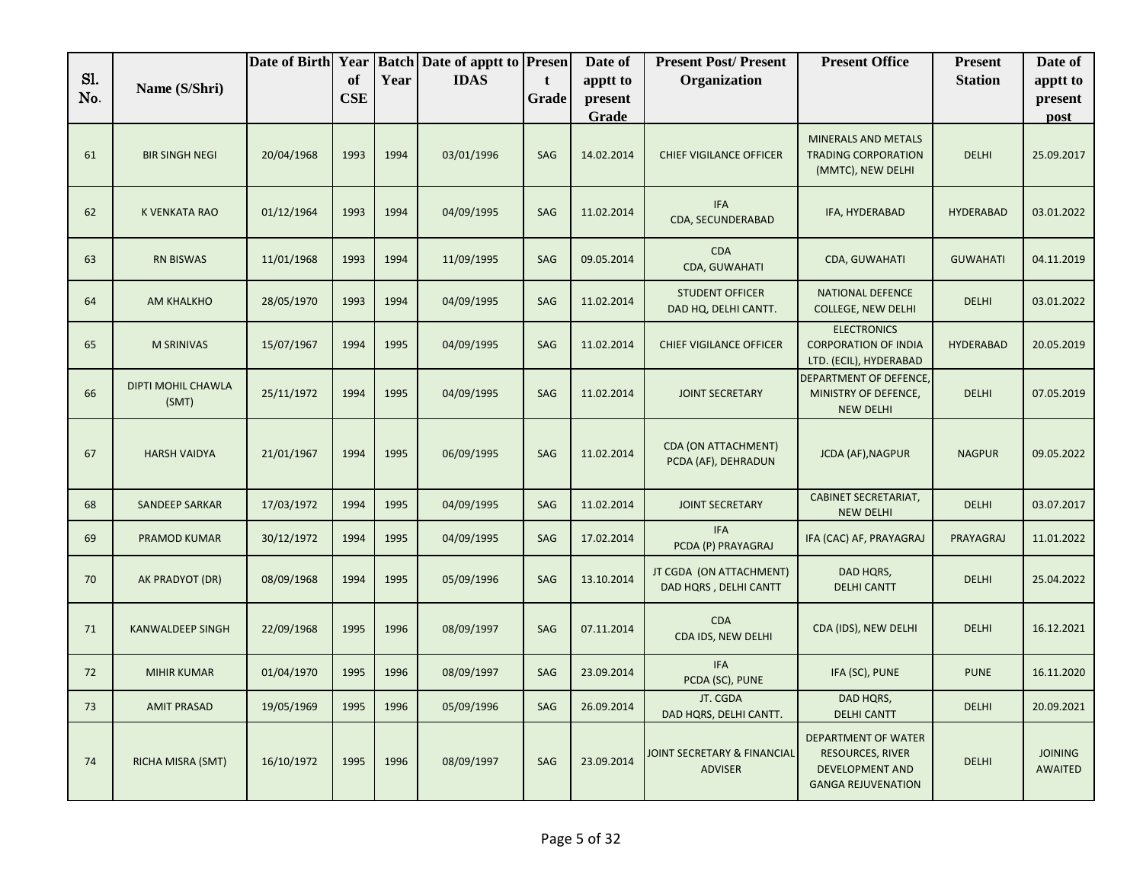|            |                                    | Date of Birth Year |                  |      | <b>Batch Date of apptt to Presen</b> |            | Date of             | <b>Present Post/Present</b>                       | <b>Present Office</b>                                                                                 | <b>Present</b>   | Date of                          |
|------------|------------------------------------|--------------------|------------------|------|--------------------------------------|------------|---------------------|---------------------------------------------------|-------------------------------------------------------------------------------------------------------|------------------|----------------------------------|
| Sl.<br>No. | Name (S/Shri)                      |                    | of<br><b>CSE</b> | Year | <b>IDAS</b>                          | t<br>Grade | apptt to<br>present | Organization                                      |                                                                                                       | <b>Station</b>   | apptt to<br>present              |
|            |                                    |                    |                  |      |                                      |            | Grade               |                                                   |                                                                                                       |                  | post                             |
| 61         | <b>BIR SINGH NEGI</b>              | 20/04/1968         | 1993             | 1994 | 03/01/1996                           | SAG        | 14.02.2014          | <b>CHIEF VIGILANCE OFFICER</b>                    | <b>MINERALS AND METALS</b><br><b>TRADING CORPORATION</b><br>(MMTC), NEW DELHI                         | <b>DELHI</b>     | 25.09.2017                       |
| 62         | <b>K VENKATA RAO</b>               | 01/12/1964         | 1993             | 1994 | 04/09/1995                           | SAG        | 11.02.2014          | <b>IFA</b><br>CDA, SECUNDERABAD                   | IFA, HYDERABAD                                                                                        | <b>HYDERABAD</b> | 03.01.2022                       |
| 63         | <b>RN BISWAS</b>                   | 11/01/1968         | 1993             | 1994 | 11/09/1995                           | SAG        | 09.05.2014          | <b>CDA</b><br>CDA, GUWAHATI                       | CDA, GUWAHATI                                                                                         | <b>GUWAHATI</b>  | 04.11.2019                       |
| 64         | AM KHALKHO                         | 28/05/1970         | 1993             | 1994 | 04/09/1995                           | SAG        | 11.02.2014          | <b>STUDENT OFFICER</b><br>DAD HQ, DELHI CANTT.    | <b>NATIONAL DEFENCE</b><br><b>COLLEGE, NEW DELHI</b>                                                  | <b>DELHI</b>     | 03.01.2022                       |
| 65         | <b>M SRINIVAS</b>                  | 15/07/1967         | 1994             | 1995 | 04/09/1995                           | SAG        | 11.02.2014          | <b>CHIEF VIGILANCE OFFICER</b>                    | <b>ELECTRONICS</b><br><b>CORPORATION OF INDIA</b><br>LTD. (ECIL), HYDERABAD                           | <b>HYDERABAD</b> | 20.05.2019                       |
| 66         | <b>DIPTI MOHIL CHAWLA</b><br>(SMT) | 25/11/1972         | 1994             | 1995 | 04/09/1995                           | SAG        | 11.02.2014          | <b>JOINT SECRETARY</b>                            | DEPARTMENT OF DEFENCE,<br>MINISTRY OF DEFENCE,<br><b>NEW DELHI</b>                                    | <b>DELHI</b>     | 07.05.2019                       |
| 67         | <b>HARSH VAIDYA</b>                | 21/01/1967         | 1994             | 1995 | 06/09/1995                           | SAG        | 11.02.2014          | <b>CDA (ON ATTACHMENT)</b><br>PCDA (AF), DEHRADUN | <b>JCDA (AF), NAGPUR</b>                                                                              | <b>NAGPUR</b>    | 09.05.2022                       |
| 68         | <b>SANDEEP SARKAR</b>              | 17/03/1972         | 1994             | 1995 | 04/09/1995                           | SAG        | 11.02.2014          | <b>JOINT SECRETARY</b>                            | <b>CABINET SECRETARIAT,</b><br><b>NEW DELHI</b>                                                       | DELHI            | 03.07.2017                       |
| 69         | PRAMOD KUMAR                       | 30/12/1972         | 1994             | 1995 | 04/09/1995                           | <b>SAG</b> | 17.02.2014          | <b>IFA</b><br>PCDA (P) PRAYAGRAJ                  | IFA (CAC) AF, PRAYAGRAJ                                                                               | PRAYAGRAJ        | 11.01.2022                       |
| 70         | AK PRADYOT (DR)                    | 08/09/1968         | 1994             | 1995 | 05/09/1996                           | SAG        | 13.10.2014          | JT CGDA (ON ATTACHMENT)<br>DAD HQRS, DELHI CANTT  | DAD HQRS,<br><b>DELHI CANTT</b>                                                                       | <b>DELHI</b>     | 25.04.2022                       |
| 71         | <b>KANWALDEEP SINGH</b>            | 22/09/1968         | 1995             | 1996 | 08/09/1997                           | SAG        | 07.11.2014          | <b>CDA</b><br>CDA IDS, NEW DELHI                  | CDA (IDS), NEW DELHI                                                                                  | <b>DELHI</b>     | 16.12.2021                       |
| 72         | <b>MIHIR KUMAR</b>                 | 01/04/1970         | 1995             | 1996 | 08/09/1997                           | SAG        | 23.09.2014          | <b>IFA</b><br>PCDA (SC), PUNE                     | IFA (SC), PUNE                                                                                        | <b>PUNE</b>      | 16.11.2020                       |
| 73         | <b>AMIT PRASAD</b>                 | 19/05/1969         | 1995             | 1996 | 05/09/1996                           | SAG        | 26.09.2014          | JT. CGDA<br>DAD HQRS, DELHI CANTT.                | DAD HQRS,<br><b>DELHI CANTT</b>                                                                       | <b>DELHI</b>     | 20.09.2021                       |
| 74         | RICHA MISRA (SMT)                  | 16/10/1972         | 1995             | 1996 | 08/09/1997                           | SAG        | 23.09.2014          | JOINT SECRETARY & FINANCIAL<br><b>ADVISER</b>     | DEPARTMENT OF WATER<br><b>RESOURCES, RIVER</b><br><b>DEVELOPMENT AND</b><br><b>GANGA REJUVENATION</b> | <b>DELHI</b>     | <b>JOINING</b><br><b>AWAITED</b> |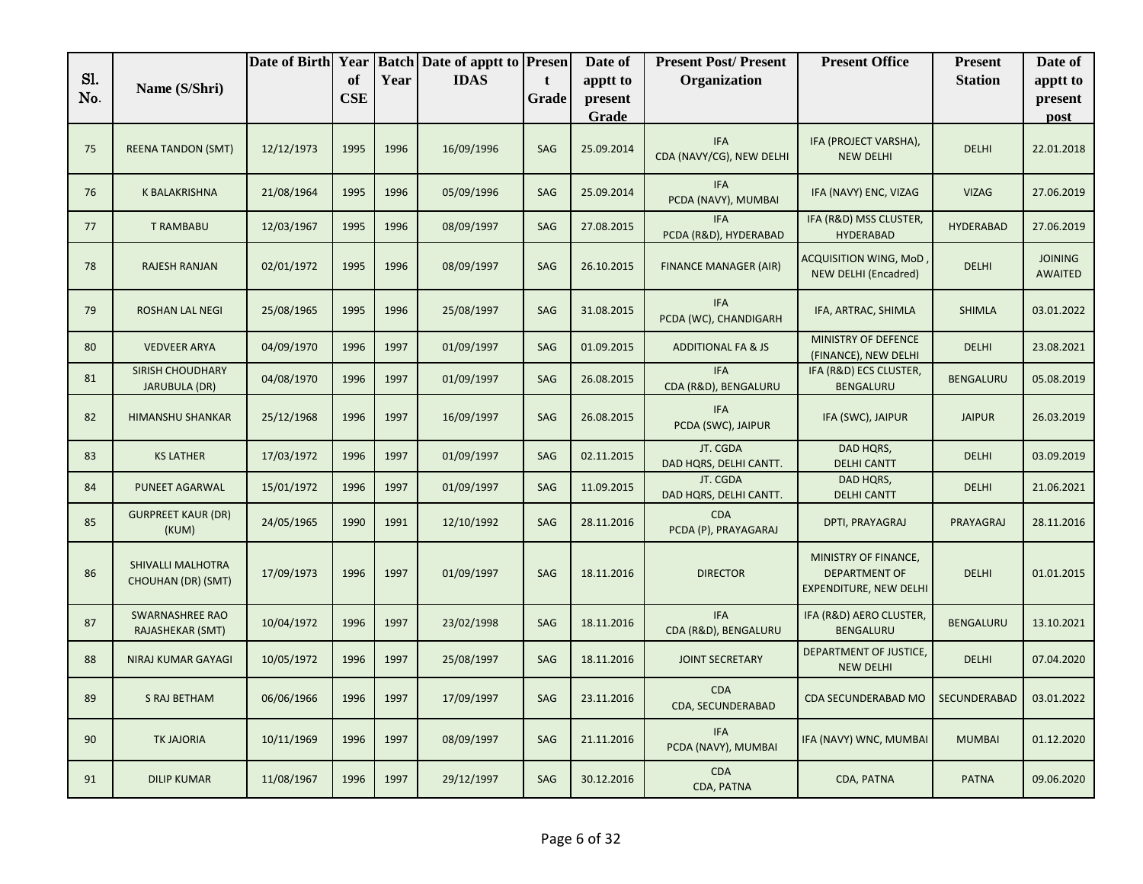|            |                                          | Date of Birth Year |                  |      | <b>Batch Date of apptt to Presen</b> |            | Date of             | <b>Present Post/Present</b>            | <b>Present Office</b>                                                         | <b>Present</b>   | Date of                          |
|------------|------------------------------------------|--------------------|------------------|------|--------------------------------------|------------|---------------------|----------------------------------------|-------------------------------------------------------------------------------|------------------|----------------------------------|
| Sl.<br>No. | Name (S/Shri)                            |                    | of<br><b>CSE</b> | Year | <b>IDAS</b>                          | t<br>Grade | apptt to<br>present | Organization                           |                                                                               | <b>Station</b>   | apptt to<br>present              |
|            |                                          |                    |                  |      |                                      |            | Grade               |                                        |                                                                               |                  | post                             |
| 75         | <b>REENA TANDON (SMT)</b>                | 12/12/1973         | 1995             | 1996 | 16/09/1996                           | SAG        | 25.09.2014          | <b>IFA</b><br>CDA (NAVY/CG), NEW DELHI | IFA (PROJECT VARSHA),<br><b>NEW DELHI</b>                                     | <b>DELHI</b>     | 22.01.2018                       |
| 76         | K BALAKRISHNA                            | 21/08/1964         | 1995             | 1996 | 05/09/1996                           | SAG        | 25.09.2014          | <b>IFA</b><br>PCDA (NAVY), MUMBAI      | IFA (NAVY) ENC, VIZAG                                                         | <b>VIZAG</b>     | 27.06.2019                       |
| 77         | <b>T RAMBABU</b>                         | 12/03/1967         | 1995             | 1996 | 08/09/1997                           | SAG        | 27.08.2015          | <b>IFA</b><br>PCDA (R&D), HYDERABAD    | IFA (R&D) MSS CLUSTER,<br><b>HYDERABAD</b>                                    | <b>HYDERABAD</b> | 27.06.2019                       |
| 78         | <b>RAJESH RANJAN</b>                     | 02/01/1972         | 1995             | 1996 | 08/09/1997                           | SAG        | 26.10.2015          | <b>FINANCE MANAGER (AIR)</b>           | ACQUISITION WING, MoD<br><b>NEW DELHI (Encadred)</b>                          | <b>DELHI</b>     | <b>JOINING</b><br><b>AWAITED</b> |
| 79         | <b>ROSHAN LAL NEGI</b>                   | 25/08/1965         | 1995             | 1996 | 25/08/1997                           | SAG        | 31.08.2015          | <b>IFA</b><br>PCDA (WC), CHANDIGARH    | IFA, ARTRAC, SHIMLA                                                           | <b>SHIMLA</b>    | 03.01.2022                       |
| 80         | <b>VEDVEER ARYA</b>                      | 04/09/1970         | 1996             | 1997 | 01/09/1997                           | SAG        | 01.09.2015          | <b>ADDITIONAL FA &amp; JS</b>          | MINISTRY OF DEFENCE<br>(FINANCE), NEW DELHI                                   | <b>DELHI</b>     | 23.08.2021                       |
| 81         | SIRISH CHOUDHARY<br><b>JARUBULA (DR)</b> | 04/08/1970         | 1996             | 1997 | 01/09/1997                           | SAG        | 26.08.2015          | <b>IFA</b><br>CDA (R&D), BENGALURU     | IFA (R&D) ECS CLUSTER,<br>BENGALURU                                           | BENGALURU        | 05.08.2019                       |
| 82         | <b>HIMANSHU SHANKAR</b>                  | 25/12/1968         | 1996             | 1997 | 16/09/1997                           | SAG        | 26.08.2015          | <b>IFA</b><br>PCDA (SWC), JAIPUR       | IFA (SWC), JAIPUR                                                             | <b>JAIPUR</b>    | 26.03.2019                       |
| 83         | <b>KS LATHER</b>                         | 17/03/1972         | 1996             | 1997 | 01/09/1997                           | SAG        | 02.11.2015          | JT. CGDA<br>DAD HQRS, DELHI CANTT.     | DAD HQRS,<br><b>DELHI CANTT</b>                                               | <b>DELHI</b>     | 03.09.2019                       |
| 84         | PUNEET AGARWAL                           | 15/01/1972         | 1996             | 1997 | 01/09/1997                           | SAG        | 11.09.2015          | JT. CGDA<br>DAD HQRS, DELHI CANTT.     | DAD HQRS,<br><b>DELHI CANTT</b>                                               | <b>DELHI</b>     | 21.06.2021                       |
| 85         | <b>GURPREET KAUR (DR)</b><br>(KUM)       | 24/05/1965         | 1990             | 1991 | 12/10/1992                           | SAG        | 28.11.2016          | <b>CDA</b><br>PCDA (P), PRAYAGARAJ     | DPTI, PRAYAGRAJ                                                               | PRAYAGRAJ        | 28.11.2016                       |
| 86         | SHIVALLI MALHOTRA<br>CHOUHAN (DR) (SMT)  | 17/09/1973         | 1996             | 1997 | 01/09/1997                           | SAG        | 18.11.2016          | <b>DIRECTOR</b>                        | MINISTRY OF FINANCE,<br><b>DEPARTMENT OF</b><br><b>EXPENDITURE, NEW DELHI</b> | <b>DELHI</b>     | 01.01.2015                       |
| 87         | SWARNASHREE RAO<br>RAJASHEKAR (SMT)      | 10/04/1972         | 1996             | 1997 | 23/02/1998                           | SAG        | 18.11.2016          | <b>IFA</b><br>CDA (R&D), BENGALURU     | IFA (R&D) AERO CLUSTER,<br>BENGALURU                                          | <b>BENGALURU</b> | 13.10.2021                       |
| 88         | NIRAJ KUMAR GAYAGI                       | 10/05/1972         | 1996             | 1997 | 25/08/1997                           | SAG        | 18.11.2016          | <b>JOINT SECRETARY</b>                 | DEPARTMENT OF JUSTICE,<br><b>NEW DELHI</b>                                    | <b>DELHI</b>     | 07.04.2020                       |
| 89         | S RAJ BETHAM                             | 06/06/1966         | 1996             | 1997 | 17/09/1997                           | SAG        | 23.11.2016          | <b>CDA</b><br>CDA, SECUNDERABAD        | CDA SECUNDERABAD MO                                                           | SECUNDERABAD     | 03.01.2022                       |
| 90         | <b>TK JAJORIA</b>                        | 10/11/1969         | 1996             | 1997 | 08/09/1997                           | SAG        | 21.11.2016          | <b>IFA</b><br>PCDA (NAVY), MUMBAI      | IFA (NAVY) WNC, MUMBAI                                                        | <b>MUMBAI</b>    | 01.12.2020                       |
| 91         | <b>DILIP KUMAR</b>                       | 11/08/1967         | 1996             | 1997 | 29/12/1997                           | SAG        | 30.12.2016          | <b>CDA</b><br>CDA, PATNA               | CDA, PATNA                                                                    | <b>PATNA</b>     | 09.06.2020                       |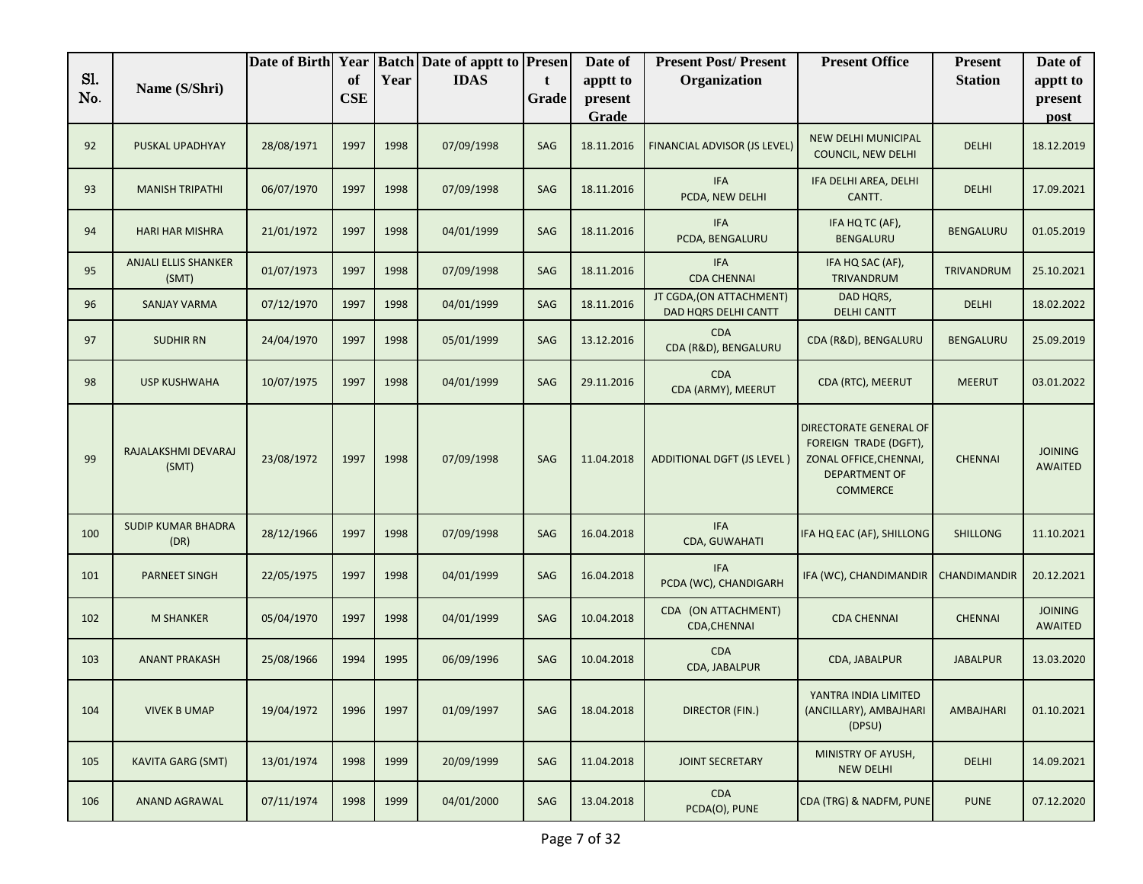|            |                                      | Date of Birth Year |                  |      | <b>Batch Date of apptt to Presen</b> |            | Date of             | <b>Present Post/Present</b>                      | <b>Present Office</b>                                                                                                | <b>Present</b>      | Date of                          |
|------------|--------------------------------------|--------------------|------------------|------|--------------------------------------|------------|---------------------|--------------------------------------------------|----------------------------------------------------------------------------------------------------------------------|---------------------|----------------------------------|
| S1.<br>No. | Name (S/Shri)                        |                    | of<br><b>CSE</b> | Year | <b>IDAS</b>                          | t<br>Grade | apptt to<br>present | Organization                                     |                                                                                                                      | <b>Station</b>      | apptt to<br>present              |
|            |                                      |                    |                  |      |                                      |            | Grade               |                                                  |                                                                                                                      |                     | post                             |
| 92         | PUSKAL UPADHYAY                      | 28/08/1971         | 1997             | 1998 | 07/09/1998                           | SAG        | 18.11.2016          | FINANCIAL ADVISOR (JS LEVEL)                     | NEW DELHI MUNICIPAL<br>COUNCIL, NEW DELHI                                                                            | <b>DELHI</b>        | 18.12.2019                       |
| 93         | <b>MANISH TRIPATHI</b>               | 06/07/1970         | 1997             | 1998 | 07/09/1998                           | SAG        | 18.11.2016          | <b>IFA</b><br>PCDA, NEW DELHI                    | IFA DELHI AREA, DELHI<br>CANTT.                                                                                      | <b>DELHI</b>        | 17.09.2021                       |
| 94         | <b>HARI HAR MISHRA</b>               | 21/01/1972         | 1997             | 1998 | 04/01/1999                           | SAG        | 18.11.2016          | <b>IFA</b><br>PCDA, BENGALURU                    | IFA HQ TC (AF),<br><b>BENGALURU</b>                                                                                  | BENGALURU           | 01.05.2019                       |
| 95         | <b>ANJALI ELLIS SHANKER</b><br>(SMT) | 01/07/1973         | 1997             | 1998 | 07/09/1998                           | SAG        | 18.11.2016          | <b>IFA</b><br><b>CDA CHENNAI</b>                 | IFA HQ SAC (AF),<br>TRIVANDRUM                                                                                       | <b>TRIVANDRUM</b>   | 25.10.2021                       |
| 96         | SANJAY VARMA                         | 07/12/1970         | 1997             | 1998 | 04/01/1999                           | SAG        | 18.11.2016          | JT CGDA, (ON ATTACHMENT)<br>DAD HQRS DELHI CANTT | DAD HQRS,<br><b>DELHI CANTT</b>                                                                                      | <b>DELHI</b>        | 18.02.2022                       |
| 97         | <b>SUDHIR RN</b>                     | 24/04/1970         | 1997             | 1998 | 05/01/1999                           | SAG        | 13.12.2016          | <b>CDA</b><br>CDA (R&D), BENGALURU               | CDA (R&D), BENGALURU                                                                                                 | <b>BENGALURU</b>    | 25.09.2019                       |
| 98         | <b>USP KUSHWAHA</b>                  | 10/07/1975         | 1997             | 1998 | 04/01/1999                           | SAG        | 29.11.2016          | <b>CDA</b><br>CDA (ARMY), MEERUT                 | CDA (RTC), MEERUT                                                                                                    | <b>MEERUT</b>       | 03.01.2022                       |
| 99         | RAJALAKSHMI DEVARAJ<br>(SMT)         | 23/08/1972         | 1997             | 1998 | 07/09/1998                           | SAG        | 11.04.2018          | <b>ADDITIONAL DGFT (JS LEVEL)</b>                | DIRECTORATE GENERAL OF<br>FOREIGN TRADE (DGFT),<br>ZONAL OFFICE, CHENNAI,<br><b>DEPARTMENT OF</b><br><b>COMMERCE</b> | <b>CHENNAI</b>      | <b>JOINING</b><br><b>AWAITED</b> |
| 100        | <b>SUDIP KUMAR BHADRA</b><br>(DR)    | 28/12/1966         | 1997             | 1998 | 07/09/1998                           | SAG        | 16.04.2018          | <b>IFA</b><br>CDA, GUWAHATI                      | IFA HQ EAC (AF), SHILLONG                                                                                            | <b>SHILLONG</b>     | 11.10.2021                       |
| 101        | <b>PARNEET SINGH</b>                 | 22/05/1975         | 1997             | 1998 | 04/01/1999                           | SAG        | 16.04.2018          | <b>IFA</b><br>PCDA (WC), CHANDIGARH              | IFA (WC), CHANDIMANDIR                                                                                               | <b>CHANDIMANDIR</b> | 20.12.2021                       |
| 102        | <b>M SHANKER</b>                     | 05/04/1970         | 1997             | 1998 | 04/01/1999                           | SAG        | 10.04.2018          | CDA (ON ATTACHMENT)<br>CDA, CHENNAI              | <b>CDA CHENNAI</b>                                                                                                   | <b>CHENNAI</b>      | <b>JOINING</b><br><b>AWAITED</b> |
| 103        | <b>ANANT PRAKASH</b>                 | 25/08/1966         | 1994             | 1995 | 06/09/1996                           | SAG        | 10.04.2018          | <b>CDA</b><br>CDA, JABALPUR                      | CDA, JABALPUR                                                                                                        | <b>JABALPUR</b>     | 13.03.2020                       |
| 104        | <b>VIVEK B UMAP</b>                  | 19/04/1972         | 1996             | 1997 | 01/09/1997                           | SAG        | 18.04.2018          | <b>DIRECTOR (FIN.)</b>                           | YANTRA INDIA LIMITED<br>(ANCILLARY), AMBAJHARI<br>(DPSU)                                                             | AMBAJHARI           | 01.10.2021                       |
| 105        | <b>KAVITA GARG (SMT)</b>             | 13/01/1974         | 1998             | 1999 | 20/09/1999                           | SAG        | 11.04.2018          | <b>JOINT SECRETARY</b>                           | MINISTRY OF AYUSH,<br><b>NEW DELHI</b>                                                                               | <b>DELHI</b>        | 14.09.2021                       |
| 106        | ANAND AGRAWAL                        | 07/11/1974         | 1998             | 1999 | 04/01/2000                           | SAG        | 13.04.2018          | <b>CDA</b><br>PCDA(O), PUNE                      | CDA (TRG) & NADFM, PUNE                                                                                              | <b>PUNE</b>         | 07.12.2020                       |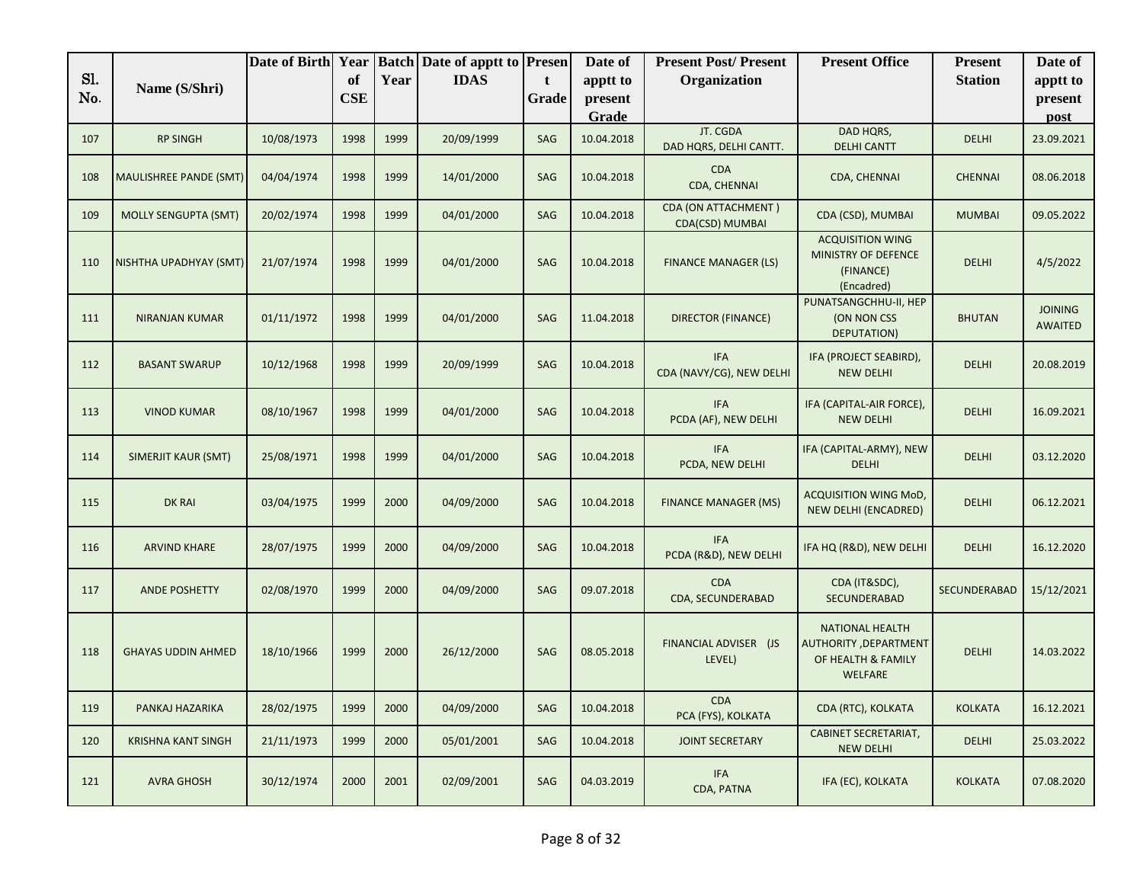|            |                             | Date of Birth | Year             |      | <b>Batch Date of apptt to Presen</b> |            | Date of             | <b>Present Post/Present</b>            | <b>Present Office</b>                                                            | <b>Present</b> | Date of                          |
|------------|-----------------------------|---------------|------------------|------|--------------------------------------|------------|---------------------|----------------------------------------|----------------------------------------------------------------------------------|----------------|----------------------------------|
| S1.<br>No. | Name (S/Shri)               |               | of<br><b>CSE</b> | Year | <b>IDAS</b>                          | t<br>Grade | apptt to<br>present | Organization                           |                                                                                  | <b>Station</b> | apptt to<br>present              |
|            |                             |               |                  |      |                                      |            | Grade               |                                        |                                                                                  |                | post                             |
| 107        | <b>RP SINGH</b>             | 10/08/1973    | 1998             | 1999 | 20/09/1999                           | SAG        | 10.04.2018          | JT. CGDA<br>DAD HQRS, DELHI CANTT.     | DAD HQRS,<br><b>DELHI CANTT</b>                                                  | <b>DELHI</b>   | 23.09.2021                       |
| 108        | MAULISHREE PANDE (SMT)      | 04/04/1974    | 1998             | 1999 | 14/01/2000                           | SAG        | 10.04.2018          | <b>CDA</b><br>CDA, CHENNAI             | CDA, CHENNAI                                                                     | <b>CHENNAI</b> | 08.06.2018                       |
| 109        | <b>MOLLY SENGUPTA (SMT)</b> | 20/02/1974    | 1998             | 1999 | 04/01/2000                           | SAG        | 10.04.2018          | CDA (ON ATTACHMENT)<br>CDA(CSD) MUMBAI | CDA (CSD), MUMBAI                                                                | <b>MUMBAI</b>  | 09.05.2022                       |
| 110        | NISHTHA UPADHYAY (SMT)      | 21/07/1974    | 1998             | 1999 | 04/01/2000                           | SAG        | 10.04.2018          | <b>FINANCE MANAGER (LS)</b>            | <b>ACQUISITION WING</b><br><b>MINISTRY OF DEFENCE</b><br>(FINANCE)<br>(Encadred) | <b>DELHI</b>   | 4/5/2022                         |
| 111        | <b>NIRANJAN KUMAR</b>       | 01/11/1972    | 1998             | 1999 | 04/01/2000                           | SAG        | 11.04.2018          | <b>DIRECTOR (FINANCE)</b>              | PUNATSANGCHHU-II, HEP<br>(ON NON CSS<br>DEPUTATION)                              | <b>BHUTAN</b>  | <b>JOINING</b><br><b>AWAITED</b> |
| 112        | <b>BASANT SWARUP</b>        | 10/12/1968    | 1998             | 1999 | 20/09/1999                           | SAG        | 10.04.2018          | <b>IFA</b><br>CDA (NAVY/CG), NEW DELHI | IFA (PROJECT SEABIRD),<br><b>NEW DELHI</b>                                       | <b>DELHI</b>   | 20.08.2019                       |
| 113        | <b>VINOD KUMAR</b>          | 08/10/1967    | 1998             | 1999 | 04/01/2000                           | SAG        | 10.04.2018          | <b>IFA</b><br>PCDA (AF), NEW DELHI     | IFA (CAPITAL-AIR FORCE),<br><b>NEW DELHI</b>                                     | <b>DELHI</b>   | 16.09.2021                       |
| 114        | SIMERJIT KAUR (SMT)         | 25/08/1971    | 1998             | 1999 | 04/01/2000                           | SAG        | 10.04.2018          | <b>IFA</b><br>PCDA, NEW DELHI          | IFA (CAPITAL-ARMY), NEW<br><b>DELHI</b>                                          | <b>DELHI</b>   | 03.12.2020                       |
| 115        | <b>DK RAI</b>               | 03/04/1975    | 1999             | 2000 | 04/09/2000                           | SAG        | 10.04.2018          | <b>FINANCE MANAGER (MS)</b>            | ACQUISITION WING MoD,<br>NEW DELHI (ENCADRED)                                    | <b>DELHI</b>   | 06.12.2021                       |
| 116        | <b>ARVIND KHARE</b>         | 28/07/1975    | 1999             | 2000 | 04/09/2000                           | SAG        | 10.04.2018          | <b>IFA</b><br>PCDA (R&D), NEW DELHI    | IFA HQ (R&D), NEW DELHI                                                          | <b>DELHI</b>   | 16.12.2020                       |
| 117        | ANDE POSHETTY               | 02/08/1970    | 1999             | 2000 | 04/09/2000                           | SAG        | 09.07.2018          | <b>CDA</b><br>CDA, SECUNDERABAD        | CDA (IT&SDC),<br>SECUNDERABAD                                                    | SECUNDERABAD   | 15/12/2021                       |
| 118        | <b>GHAYAS UDDIN AHMED</b>   | 18/10/1966    | 1999             | 2000 | 26/12/2000                           | SAG        | 08.05.2018          | FINANCIAL ADVISER (JS<br>LEVEL)        | <b>NATIONAL HEALTH</b><br>AUTHORITY, DEPARTMENT<br>OF HEALTH & FAMILY<br>WELFARE | <b>DELHI</b>   | 14.03.2022                       |
| 119        | PANKAJ HAZARIKA             | 28/02/1975    | 1999             | 2000 | 04/09/2000                           | SAG        | 10.04.2018          | <b>CDA</b><br>PCA (FYS), KOLKATA       | CDA (RTC), KOLKATA                                                               | <b>KOLKATA</b> | 16.12.2021                       |
| 120        | <b>KRISHNA KANT SINGH</b>   | 21/11/1973    | 1999             | 2000 | 05/01/2001                           | SAG        | 10.04.2018          | <b>JOINT SECRETARY</b>                 | <b>CABINET SECRETARIAT,</b><br><b>NEW DELHI</b>                                  | <b>DELHI</b>   | 25.03.2022                       |
| 121        | <b>AVRA GHOSH</b>           | 30/12/1974    | 2000             | 2001 | 02/09/2001                           | SAG        | 04.03.2019          | <b>IFA</b><br>CDA, PATNA               | IFA (EC), KOLKATA                                                                | <b>KOLKATA</b> | 07.08.2020                       |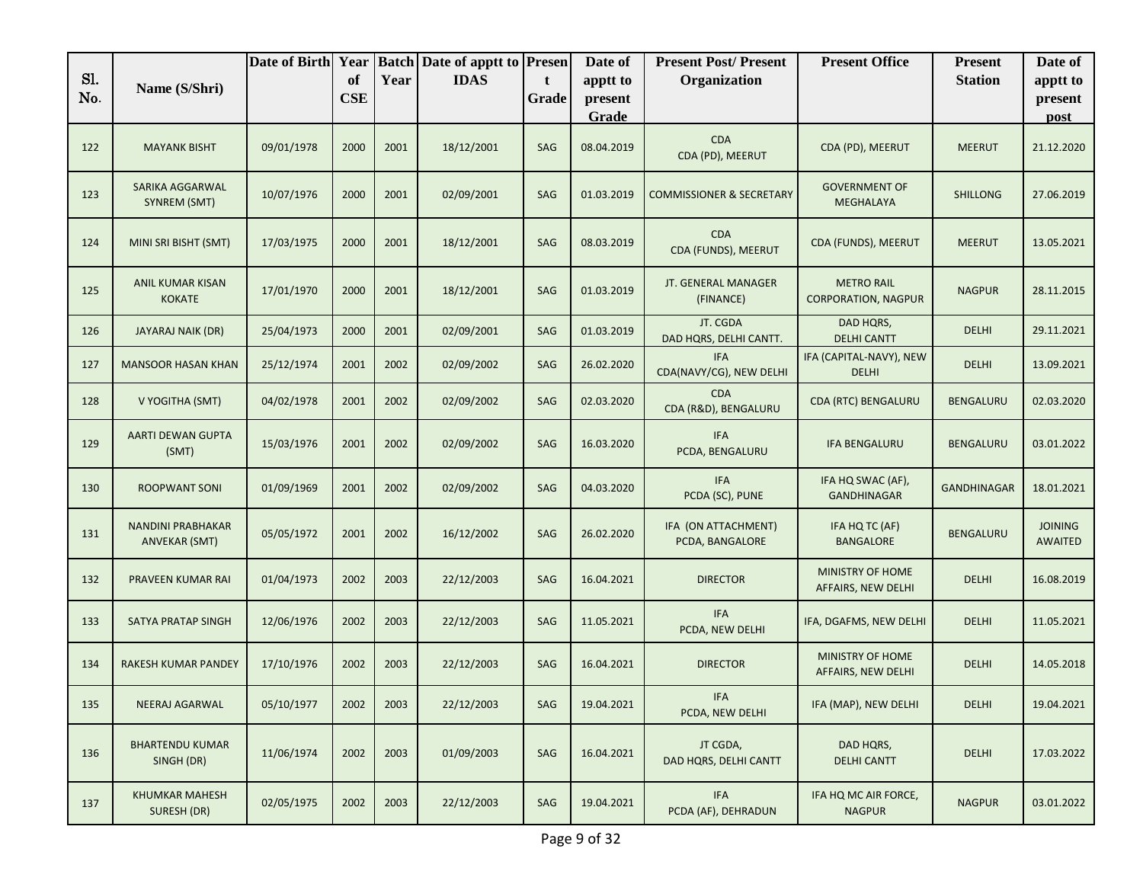|            |                                                  | Date of Birth | Year             |      | <b>Batch Date of apptt to Presen</b> |            | Date of             | <b>Present Post/Present</b>            | <b>Present Office</b>                           | <b>Present</b>     | Date of                          |
|------------|--------------------------------------------------|---------------|------------------|------|--------------------------------------|------------|---------------------|----------------------------------------|-------------------------------------------------|--------------------|----------------------------------|
| Sl.<br>No. | Name (S/Shri)                                    |               | of<br><b>CSE</b> | Year | <b>IDAS</b>                          | t<br>Grade | apptt to<br>present | Organization                           |                                                 | <b>Station</b>     | apptt to<br>present              |
|            |                                                  |               |                  |      |                                      |            | Grade               |                                        |                                                 |                    | post                             |
| 122        | <b>MAYANK BISHT</b>                              | 09/01/1978    | 2000             | 2001 | 18/12/2001                           | SAG        | 08.04.2019          | <b>CDA</b><br>CDA (PD), MEERUT         | CDA (PD), MEERUT                                | <b>MEERUT</b>      | 21.12.2020                       |
| 123        | SARIKA AGGARWAL<br>SYNREM (SMT)                  | 10/07/1976    | 2000             | 2001 | 02/09/2001                           | SAG        | 01.03.2019          | <b>COMMISSIONER &amp; SECRETARY</b>    | <b>GOVERNMENT OF</b><br>MEGHALAYA               | <b>SHILLONG</b>    | 27.06.2019                       |
| 124        | MINI SRI BISHT (SMT)                             | 17/03/1975    | 2000             | 2001 | 18/12/2001                           | SAG        | 08.03.2019          | <b>CDA</b><br>CDA (FUNDS), MEERUT      | CDA (FUNDS), MEERUT                             | <b>MEERUT</b>      | 13.05.2021                       |
| 125        | ANIL KUMAR KISAN<br><b>KOKATE</b>                | 17/01/1970    | 2000             | 2001 | 18/12/2001                           | SAG        | 01.03.2019          | JT. GENERAL MANAGER<br>(FINANCE)       | <b>METRO RAIL</b><br><b>CORPORATION, NAGPUR</b> | <b>NAGPUR</b>      | 28.11.2015                       |
| 126        | JAYARAJ NAIK (DR)                                | 25/04/1973    | 2000             | 2001 | 02/09/2001                           | SAG        | 01.03.2019          | JT. CGDA<br>DAD HQRS, DELHI CANTT.     | DAD HQRS,<br><b>DELHI CANTT</b>                 | <b>DELHI</b>       | 29.11.2021                       |
| 127        | <b>MANSOOR HASAN KHAN</b>                        | 25/12/1974    | 2001             | 2002 | 02/09/2002                           | SAG        | 26.02.2020          | <b>IFA</b><br>CDA(NAVY/CG), NEW DELHI  | IFA (CAPITAL-NAVY), NEW<br><b>DELHI</b>         | <b>DELHI</b>       | 13.09.2021                       |
| 128        | V YOGITHA (SMT)                                  | 04/02/1978    | 2001             | 2002 | 02/09/2002                           | SAG        | 02.03.2020          | <b>CDA</b><br>CDA (R&D), BENGALURU     | CDA (RTC) BENGALURU                             | BENGALURU          | 02.03.2020                       |
| 129        | <b>AARTI DEWAN GUPTA</b><br>(SMT)                | 15/03/1976    | 2001             | 2002 | 02/09/2002                           | SAG        | 16.03.2020          | <b>IFA</b><br>PCDA, BENGALURU          | <b>IFA BENGALURU</b>                            | <b>BENGALURU</b>   | 03.01.2022                       |
| 130        | <b>ROOPWANT SONI</b>                             | 01/09/1969    | 2001             | 2002 | 02/09/2002                           | SAG        | 04.03.2020          | <b>IFA</b><br>PCDA (SC), PUNE          | IFA HQ SWAC (AF),<br><b>GANDHINAGAR</b>         | <b>GANDHINAGAR</b> | 18.01.2021                       |
| 131        | <b>NANDINI PRABHAKAR</b><br><b>ANVEKAR (SMT)</b> | 05/05/1972    | 2001             | 2002 | 16/12/2002                           | SAG        | 26.02.2020          | IFA (ON ATTACHMENT)<br>PCDA, BANGALORE | IFA HQ TC (AF)<br><b>BANGALORE</b>              | <b>BENGALURU</b>   | <b>JOINING</b><br><b>AWAITED</b> |
| 132        | PRAVEEN KUMAR RAI                                | 01/04/1973    | 2002             | 2003 | 22/12/2003                           | SAG        | 16.04.2021          | <b>DIRECTOR</b>                        | <b>MINISTRY OF HOME</b><br>AFFAIRS, NEW DELHI   | <b>DELHI</b>       | 16.08.2019                       |
| 133        | <b>SATYA PRATAP SINGH</b>                        | 12/06/1976    | 2002             | 2003 | 22/12/2003                           | SAG        | 11.05.2021          | <b>IFA</b><br>PCDA, NEW DELHI          | IFA, DGAFMS, NEW DELHI                          | <b>DELHI</b>       | 11.05.2021                       |
| 134        | RAKESH KUMAR PANDEY                              | 17/10/1976    | 2002             | 2003 | 22/12/2003                           | SAG        | 16.04.2021          | <b>DIRECTOR</b>                        | MINISTRY OF HOME<br>AFFAIRS, NEW DELHI          | <b>DELHI</b>       | 14.05.2018                       |
| 135        | NEERAJ AGARWAL                                   | 05/10/1977    | 2002             | 2003 | 22/12/2003                           | SAG        | 19.04.2021          | <b>IFA</b><br>PCDA, NEW DELHI          | IFA (MAP), NEW DELHI                            | DELHI              | 19.04.2021                       |
| 136        | <b>BHARTENDU KUMAR</b><br>SINGH (DR)             | 11/06/1974    | 2002             | 2003 | 01/09/2003                           | SAG        | 16.04.2021          | JT CGDA,<br>DAD HQRS, DELHI CANTT      | DAD HQRS,<br><b>DELHI CANTT</b>                 | <b>DELHI</b>       | 17.03.2022                       |
| 137        | <b>KHUMKAR MAHESH</b><br>SURESH (DR)             | 02/05/1975    | 2002             | 2003 | 22/12/2003                           | SAG        | 19.04.2021          | <b>IFA</b><br>PCDA (AF), DEHRADUN      | IFA HQ MC AIR FORCE,<br><b>NAGPUR</b>           | <b>NAGPUR</b>      | 03.01.2022                       |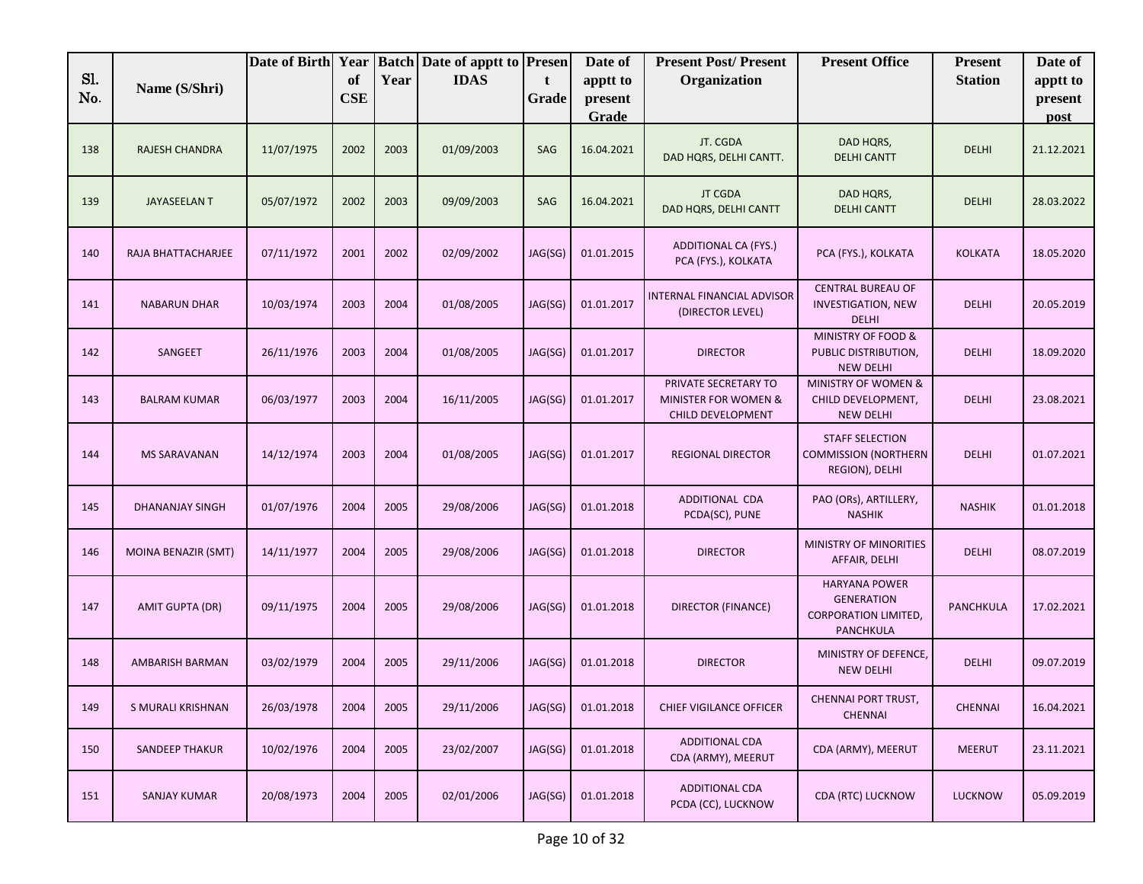| Sl.<br>No. | Name (S/Shri)              | Date of Birth | Year<br>of<br><b>CSE</b> | Year | <b>Batch Date of apptt to Presen</b><br><b>IDAS</b> | t<br>Grade | Date of<br>apptt to<br>present<br>Grade | <b>Present Post/Present</b><br>Organization                       | <b>Present Office</b>                                                                 | <b>Present</b><br><b>Station</b> | Date of<br>apptt to<br>present<br>post |
|------------|----------------------------|---------------|--------------------------|------|-----------------------------------------------------|------------|-----------------------------------------|-------------------------------------------------------------------|---------------------------------------------------------------------------------------|----------------------------------|----------------------------------------|
| 138        | <b>RAJESH CHANDRA</b>      | 11/07/1975    | 2002                     | 2003 | 01/09/2003                                          | SAG        | 16.04.2021                              | JT. CGDA<br>DAD HQRS, DELHI CANTT.                                | DAD HQRS,<br><b>DELHI CANTT</b>                                                       | <b>DELHI</b>                     | 21.12.2021                             |
| 139        | <b>JAYASEELAN T</b>        | 05/07/1972    | 2002                     | 2003 | 09/09/2003                                          | SAG        | 16.04.2021                              | <b>JT CGDA</b><br>DAD HQRS, DELHI CANTT                           | DAD HQRS,<br><b>DELHI CANTT</b>                                                       | <b>DELHI</b>                     | 28.03.2022                             |
| 140        | RAJA BHATTACHARJEE         | 07/11/1972    | 2001                     | 2002 | 02/09/2002                                          | JAG(SG)    | 01.01.2015                              | <b>ADDITIONAL CA (FYS.)</b><br>PCA (FYS.), KOLKATA                | PCA (FYS.), KOLKATA                                                                   | <b>KOLKATA</b>                   | 18.05.2020                             |
| 141        | <b>NABARUN DHAR</b>        | 10/03/1974    | 2003                     | 2004 | 01/08/2005                                          | JAG(SG)    | 01.01.2017                              | <b>INTERNAL FINANCIAL ADVISOR</b><br>(DIRECTOR LEVEL)             | <b>CENTRAL BUREAU OF</b><br><b>INVESTIGATION, NEW</b><br><b>DELHI</b>                 | <b>DELHI</b>                     | 20.05.2019                             |
| 142        | SANGEET                    | 26/11/1976    | 2003                     | 2004 | 01/08/2005                                          | JAG(SG)    | 01.01.2017                              | <b>DIRECTOR</b>                                                   | MINISTRY OF FOOD &<br>PUBLIC DISTRIBUTION,<br><b>NEW DELHI</b>                        | <b>DELHI</b>                     | 18.09.2020                             |
| 143        | <b>BALRAM KUMAR</b>        | 06/03/1977    | 2003                     | 2004 | 16/11/2005                                          | JAG(SG)    | 01.01.2017                              | PRIVATE SECRETARY TO<br>MINISTER FOR WOMEN &<br>CHILD DEVELOPMENT | <b>MINISTRY OF WOMEN &amp;</b><br>CHILD DEVELOPMENT,<br><b>NEW DELHI</b>              | <b>DELHI</b>                     | 23.08.2021                             |
| 144        | <b>MS SARAVANAN</b>        | 14/12/1974    | 2003                     | 2004 | 01/08/2005                                          | JAG(SG)    | 01.01.2017                              | <b>REGIONAL DIRECTOR</b>                                          | <b>STAFF SELECTION</b><br><b>COMMISSION (NORTHERN</b><br>REGION), DELHI               | <b>DELHI</b>                     | 01.07.2021                             |
| 145        | <b>DHANANJAY SINGH</b>     | 01/07/1976    | 2004                     | 2005 | 29/08/2006                                          | JAG(SG)    | 01.01.2018                              | ADDITIONAL CDA<br>PCDA(SC), PUNE                                  | PAO (ORs), ARTILLERY,<br><b>NASHIK</b>                                                | <b>NASHIK</b>                    | 01.01.2018                             |
| 146        | <b>MOINA BENAZIR (SMT)</b> | 14/11/1977    | 2004                     | 2005 | 29/08/2006                                          | JAG(SG)    | 01.01.2018                              | <b>DIRECTOR</b>                                                   | MINISTRY OF MINORITIES<br>AFFAIR, DELHI                                               | <b>DELHI</b>                     | 08.07.2019                             |
| 147        | <b>AMIT GUPTA (DR)</b>     | 09/11/1975    | 2004                     | 2005 | 29/08/2006                                          | JAG(SG)    | 01.01.2018                              | DIRECTOR (FINANCE)                                                | <b>HARYANA POWER</b><br><b>GENERATION</b><br><b>CORPORATION LIMITED,</b><br>PANCHKULA | <b>PANCHKULA</b>                 | 17.02.2021                             |
| 148        | <b>AMBARISH BARMAN</b>     | 03/02/1979    | 2004                     | 2005 | 29/11/2006                                          | JAG(SG)    | 01.01.2018                              | <b>DIRECTOR</b>                                                   | MINISTRY OF DEFENCE,<br><b>NEW DELHI</b>                                              | <b>DELHI</b>                     | 09.07.2019                             |
| 149        | S MURALI KRISHNAN          | 26/03/1978    | 2004                     | 2005 | 29/11/2006                                          | JAG(SG)    | 01.01.2018                              | CHIEF VIGILANCE OFFICER                                           | CHENNAI PORT TRUST,<br><b>CHENNAI</b>                                                 | <b>CHENNAI</b>                   | 16.04.2021                             |
| 150        | <b>SANDEEP THAKUR</b>      | 10/02/1976    | 2004                     | 2005 | 23/02/2007                                          | JAG(SG)    | 01.01.2018                              | ADDITIONAL CDA<br>CDA (ARMY), MEERUT                              | CDA (ARMY), MEERUT                                                                    | <b>MEERUT</b>                    | 23.11.2021                             |
| 151        | SANJAY KUMAR               | 20/08/1973    | 2004                     | 2005 | 02/01/2006                                          | JAG(SG)    | 01.01.2018                              | ADDITIONAL CDA<br>PCDA (CC), LUCKNOW                              | CDA (RTC) LUCKNOW                                                                     | <b>LUCKNOW</b>                   | 05.09.2019                             |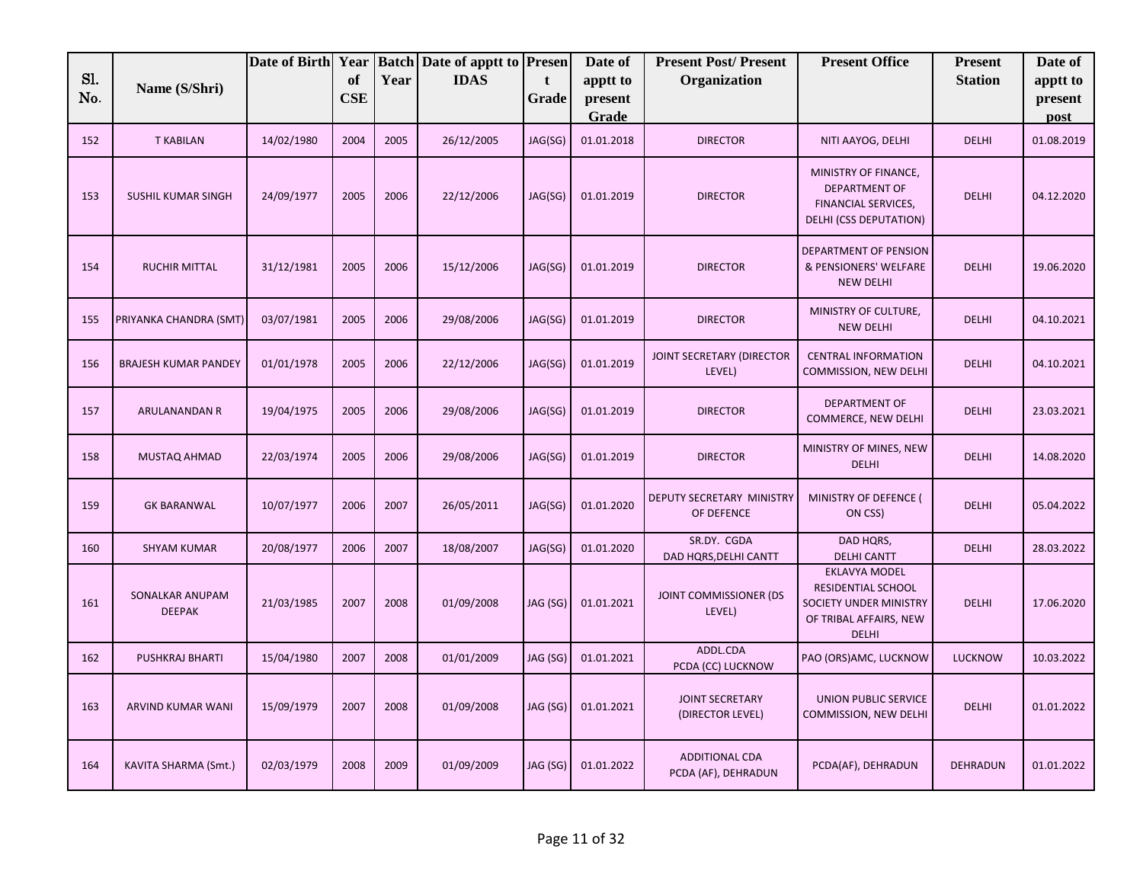|            |                                  | Date of Birth Year |                  |      | <b>Batch Date of apptt to Presen</b> |            | Date of             | <b>Present Post/Present</b>                | <b>Present Office</b>                                                                                          | <b>Present</b> | Date of             |
|------------|----------------------------------|--------------------|------------------|------|--------------------------------------|------------|---------------------|--------------------------------------------|----------------------------------------------------------------------------------------------------------------|----------------|---------------------|
| Sl.<br>No. | Name (S/Shri)                    |                    | of<br><b>CSE</b> | Year | <b>IDAS</b>                          | t<br>Grade | apptt to<br>present | Organization                               |                                                                                                                | <b>Station</b> | apptt to<br>present |
|            |                                  |                    |                  |      |                                      |            | Grade               |                                            |                                                                                                                |                | post                |
| 152        | <b>T KABILAN</b>                 | 14/02/1980         | 2004             | 2005 | 26/12/2005                           | JAG(SG)    | 01.01.2018          | <b>DIRECTOR</b>                            | NITI AAYOG, DELHI                                                                                              | <b>DELHI</b>   | 01.08.2019          |
| 153        | <b>SUSHIL KUMAR SINGH</b>        | 24/09/1977         | 2005             | 2006 | 22/12/2006                           | JAG(SG)    | 01.01.2019          | <b>DIRECTOR</b>                            | MINISTRY OF FINANCE,<br>DEPARTMENT OF<br>FINANCIAL SERVICES,<br>DELHI (CSS DEPUTATION)                         | <b>DELHI</b>   | 04.12.2020          |
| 154        | <b>RUCHIR MITTAL</b>             | 31/12/1981         | 2005             | 2006 | 15/12/2006                           | JAG(SG)    | 01.01.2019          | <b>DIRECTOR</b>                            | DEPARTMENT OF PENSION<br>& PENSIONERS' WELFARE<br><b>NEW DELHI</b>                                             | <b>DELHI</b>   | 19.06.2020          |
| 155        | PRIYANKA CHANDRA (SMT)           | 03/07/1981         | 2005             | 2006 | 29/08/2006                           | JAG(SG)    | 01.01.2019          | <b>DIRECTOR</b>                            | MINISTRY OF CULTURE,<br><b>NEW DELHI</b>                                                                       | <b>DELHI</b>   | 04.10.2021          |
| 156        | <b>BRAJESH KUMAR PANDEY</b>      | 01/01/1978         | 2005             | 2006 | 22/12/2006                           | JAG(SG)    | 01.01.2019          | JOINT SECRETARY (DIRECTOR<br>LEVEL)        | <b>CENTRAL INFORMATION</b><br>COMMISSION, NEW DELHI                                                            | <b>DELHI</b>   | 04.10.2021          |
| 157        | ARULANANDAN R                    | 19/04/1975         | 2005             | 2006 | 29/08/2006                           | JAG(SG)    | 01.01.2019          | <b>DIRECTOR</b>                            | DEPARTMENT OF<br>COMMERCE, NEW DELHI                                                                           | <b>DELHI</b>   | 23.03.2021          |
| 158        | MUSTAQ AHMAD                     | 22/03/1974         | 2005             | 2006 | 29/08/2006                           | JAG(SG)    | 01.01.2019          | <b>DIRECTOR</b>                            | MINISTRY OF MINES, NEW<br><b>DELHI</b>                                                                         | <b>DELHI</b>   | 14.08.2020          |
| 159        | <b>GK BARANWAL</b>               | 10/07/1977         | 2006             | 2007 | 26/05/2011                           | JAG(SG)    | 01.01.2020          | DEPUTY SECRETARY MINISTRY<br>OF DEFENCE    | MINISTRY OF DEFENCE (<br>ON CSS)                                                                               | <b>DELHI</b>   | 05.04.2022          |
| 160        | <b>SHYAM KUMAR</b>               | 20/08/1977         | 2006             | 2007 | 18/08/2007                           | JAG(SG)    | 01.01.2020          | SR.DY. CGDA<br>DAD HQRS, DELHI CANTT       | DAD HQRS,<br><b>DELHI CANTT</b>                                                                                | <b>DELHI</b>   | 28.03.2022          |
| 161        | SONALKAR ANUPAM<br><b>DEEPAK</b> | 21/03/1985         | 2007             | 2008 | 01/09/2008                           | JAG (SG)   | 01.01.2021          | JOINT COMMISSIONER (DS<br>LEVEL)           | <b>EKLAVYA MODEL</b><br>RESIDENTIAL SCHOOL<br>SOCIETY UNDER MINISTRY<br>OF TRIBAL AFFAIRS, NEW<br><b>DELHI</b> | <b>DELHI</b>   | 17.06.2020          |
| 162        | <b>PUSHKRAJ BHARTI</b>           | 15/04/1980         | 2007             | 2008 | 01/01/2009                           | JAG (SG)   | 01.01.2021          | ADDL.CDA<br>PCDA (CC) LUCKNOW              | PAO (ORS)AMC, LUCKNOW                                                                                          | <b>LUCKNOW</b> | 10.03.2022          |
| 163        | ARVIND KUMAR WANI                | 15/09/1979         | 2007             | 2008 | 01/09/2008                           | JAG (SG)   | 01.01.2021          | <b>JOINT SECRETARY</b><br>(DIRECTOR LEVEL) | UNION PUBLIC SERVICE<br>COMMISSION, NEW DELHI                                                                  | <b>DELHI</b>   | 01.01.2022          |
| 164        | KAVITA SHARMA (Smt.)             | 02/03/1979         | 2008             | 2009 | 01/09/2009                           | JAG (SG)   | 01.01.2022          | ADDITIONAL CDA<br>PCDA (AF), DEHRADUN      | PCDA(AF), DEHRADUN                                                                                             | DEHRADUN       | 01.01.2022          |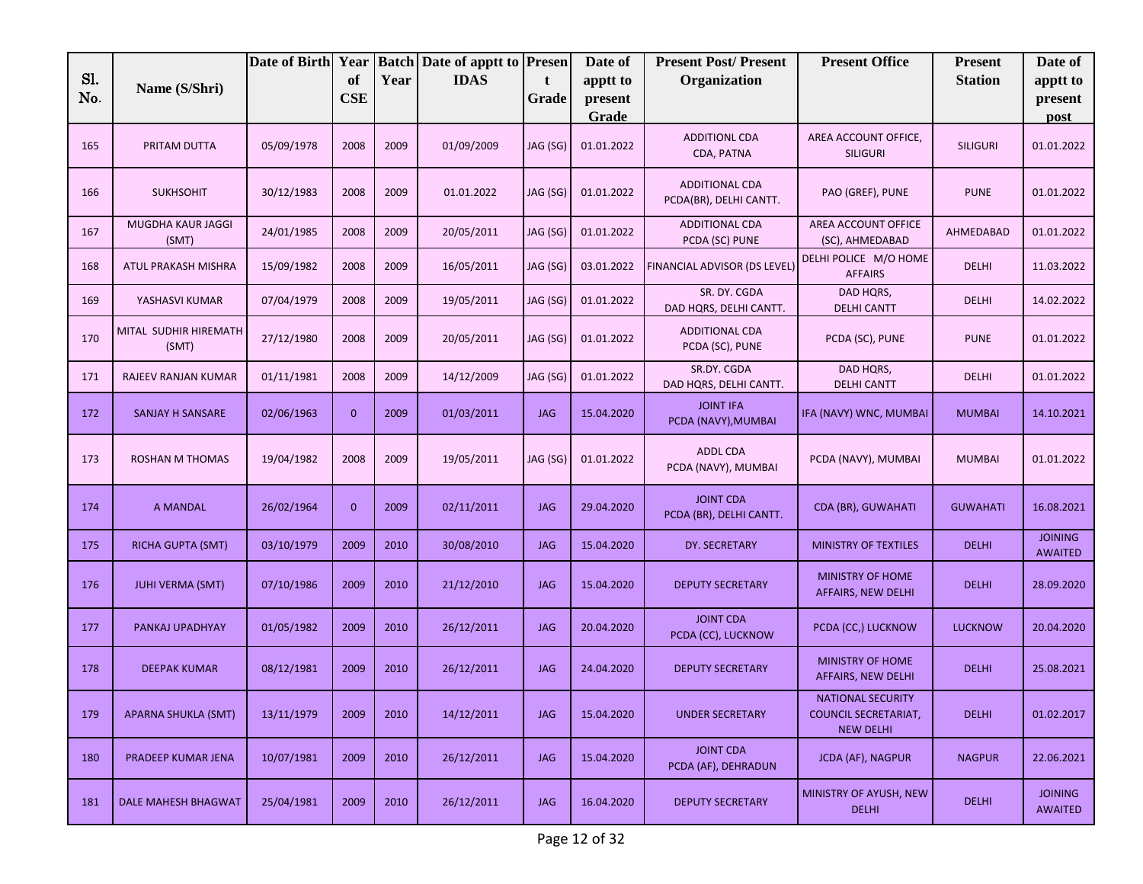|            |                                | Date of Birth | Year             |      | <b>Batch Date of apptt to Presen</b> |            | Date of          | <b>Present Post/Present</b>                     | <b>Present Office</b>                                                | <b>Present</b>  | Date of                          |
|------------|--------------------------------|---------------|------------------|------|--------------------------------------|------------|------------------|-------------------------------------------------|----------------------------------------------------------------------|-----------------|----------------------------------|
| Sl.<br>No. | Name (S/Shri)                  |               | of<br><b>CSE</b> | Year | <b>IDAS</b>                          | t          | apptt to         | Organization                                    |                                                                      | <b>Station</b>  | apptt to                         |
|            |                                |               |                  |      |                                      | Grade      | present<br>Grade |                                                 |                                                                      |                 | present<br>post                  |
| 165        | PRITAM DUTTA                   | 05/09/1978    | 2008             | 2009 | 01/09/2009                           | JAG (SG)   | 01.01.2022       | <b>ADDITIONL CDA</b><br>CDA, PATNA              | AREA ACCOUNT OFFICE,<br><b>SILIGURI</b>                              | <b>SILIGURI</b> | 01.01.2022                       |
| 166        | <b>SUKHSOHIT</b>               | 30/12/1983    | 2008             | 2009 | 01.01.2022                           | JAG (SG)   | 01.01.2022       | <b>ADDITIONAL CDA</b><br>PCDA(BR), DELHI CANTT. | PAO (GREF), PUNE                                                     | <b>PUNE</b>     | 01.01.2022                       |
| 167        | MUGDHA KAUR JAGGI<br>(SMT)     | 24/01/1985    | 2008             | 2009 | 20/05/2011                           | JAG (SG)   | 01.01.2022       | <b>ADDITIONAL CDA</b><br>PCDA (SC) PUNE         | AREA ACCOUNT OFFICE<br>(SC), AHMEDABAD                               | AHMEDABAD       | 01.01.2022                       |
| 168        | ATUL PRAKASH MISHRA            | 15/09/1982    | 2008             | 2009 | 16/05/2011                           | JAG (SG)   | 03.01.2022       | FINANCIAL ADVISOR (DS LEVEL)                    | DELHI POLICE M/O HOME<br><b>AFFAIRS</b>                              | <b>DELHI</b>    | 11.03.2022                       |
| 169        | YASHASVI KUMAR                 | 07/04/1979    | 2008             | 2009 | 19/05/2011                           | JAG (SG)   | 01.01.2022       | SR. DY. CGDA<br>DAD HQRS, DELHI CANTT.          | DAD HQRS,<br><b>DELHI CANTT</b>                                      | <b>DELHI</b>    | 14.02.2022                       |
| 170        | MITAL SUDHIR HIREMATH<br>(SMT) | 27/12/1980    | 2008             | 2009 | 20/05/2011                           | JAG (SG)   | 01.01.2022       | <b>ADDITIONAL CDA</b><br>PCDA (SC), PUNE        | PCDA (SC), PUNE                                                      | <b>PUNE</b>     | 01.01.2022                       |
| 171        | RAJEEV RANJAN KUMAR            | 01/11/1981    | 2008             | 2009 | 14/12/2009                           | JAG (SG)   | 01.01.2022       | SR.DY. CGDA<br>DAD HQRS, DELHI CANTT.           | DAD HQRS,<br><b>DELHI CANTT</b>                                      | <b>DELHI</b>    | 01.01.2022                       |
| 172        | SANJAY H SANSARE               | 02/06/1963    | $\overline{0}$   | 2009 | 01/03/2011                           | <b>JAG</b> | 15.04.2020       | <b>JOINT IFA</b><br>PCDA (NAVY), MUMBAI         | IFA (NAVY) WNC, MUMBAI                                               | <b>MUMBAI</b>   | 14.10.2021                       |
| 173        | ROSHAN M THOMAS                | 19/04/1982    | 2008             | 2009 | 19/05/2011                           | JAG (SG)   | 01.01.2022       | ADDL CDA<br>PCDA (NAVY), MUMBAI                 | PCDA (NAVY), MUMBAI                                                  | <b>MUMBAI</b>   | 01.01.2022                       |
| 174        | A MANDAL                       | 26/02/1964    | $\mathbf{0}$     | 2009 | 02/11/2011                           | <b>JAG</b> | 29.04.2020       | <b>JOINT CDA</b><br>PCDA (BR), DELHI CANTT.     | CDA (BR), GUWAHATI                                                   | <b>GUWAHATI</b> | 16.08.2021                       |
| 175        | RICHA GUPTA (SMT)              | 03/10/1979    | 2009             | 2010 | 30/08/2010                           | <b>JAG</b> | 15.04.2020       | DY. SECRETARY                                   | <b>MINISTRY OF TEXTILES</b>                                          | <b>DELHI</b>    | <b>JOINING</b><br><b>AWAITED</b> |
| 176        | <b>JUHI VERMA (SMT)</b>        | 07/10/1986    | 2009             | 2010 | 21/12/2010                           | <b>JAG</b> | 15.04.2020       | <b>DEPUTY SECRETARY</b>                         | <b>MINISTRY OF HOME</b><br>AFFAIRS, NEW DELHI                        | <b>DELHI</b>    | 28.09.2020                       |
| 177        | PANKAJ UPADHYAY                | 01/05/1982    | 2009             | 2010 | 26/12/2011                           | <b>JAG</b> | 20.04.2020       | <b>JOINT CDA</b><br>PCDA (CC), LUCKNOW          | PCDA (CC,) LUCKNOW                                                   | <b>LUCKNOW</b>  | 20.04.2020                       |
| 178        | <b>DEEPAK KUMAR</b>            | 08/12/1981    | 2009             | 2010 | 26/12/2011                           | <b>JAG</b> | 24.04.2020       | <b>DEPUTY SECRETARY</b>                         | <b>MINISTRY OF HOME</b><br>AFFAIRS, NEW DELHI                        | <b>DELHI</b>    | 25.08.2021                       |
| 179        | <b>APARNA SHUKLA (SMT)</b>     | 13/11/1979    | 2009             | 2010 | 14/12/2011                           | <b>JAG</b> | 15.04.2020       | <b>UNDER SECRETARY</b>                          | NATIONAL SECURITY<br><b>COUNCIL SECRETARIAT,</b><br><b>NEW DELHI</b> | <b>DELHI</b>    | 01.02.2017                       |
| 180        | PRADEEP KUMAR JENA             | 10/07/1981    | 2009             | 2010 | 26/12/2011                           | <b>JAG</b> | 15.04.2020       | <b>JOINT CDA</b><br>PCDA (AF), DEHRADUN         | <b>JCDA (AF), NAGPUR</b>                                             | <b>NAGPUR</b>   | 22.06.2021                       |
| 181        | <b>DALE MAHESH BHAGWAT</b>     | 25/04/1981    | 2009             | 2010 | 26/12/2011                           | JAG        | 16.04.2020       | <b>DEPUTY SECRETARY</b>                         | MINISTRY OF AYUSH, NEW<br><b>DELHI</b>                               | <b>DELHI</b>    | <b>JOINING</b><br><b>AWAITED</b> |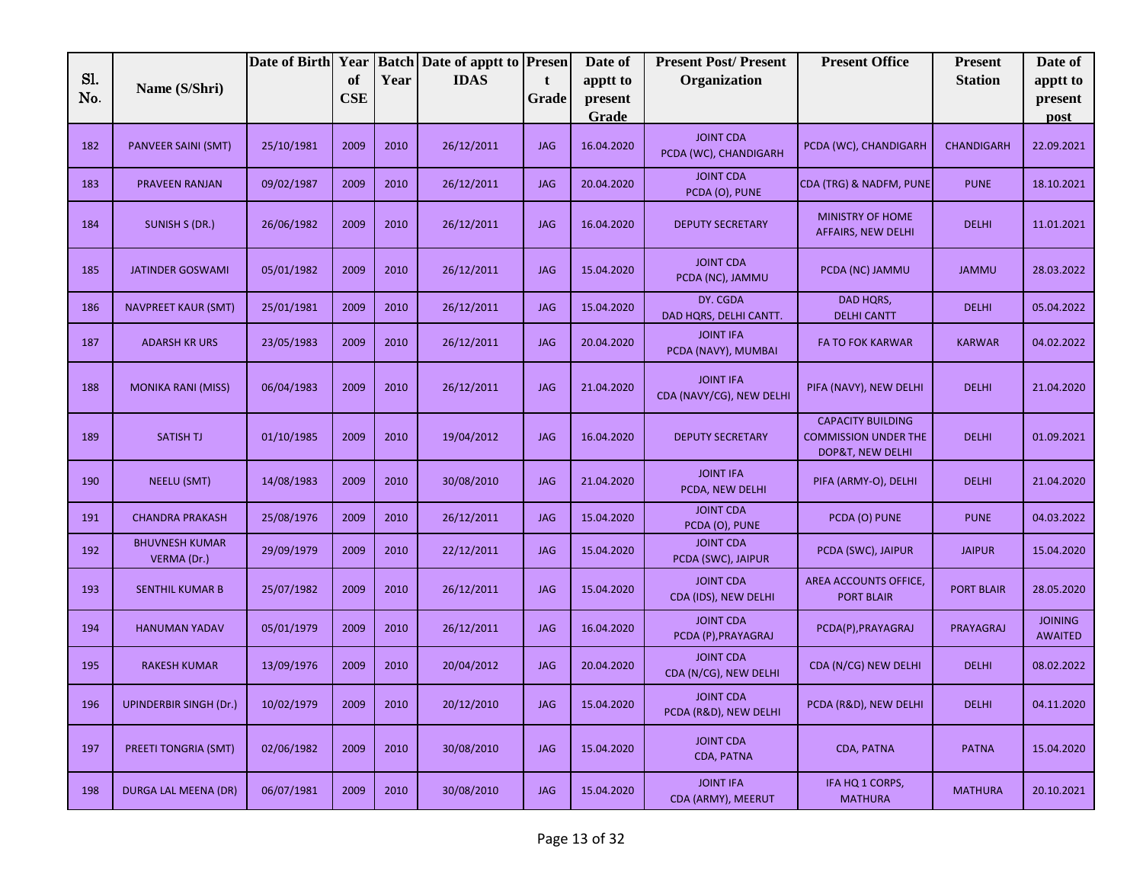|     |                                      | Date of Birth Year |            |      | <b>Batch Date of apptt to Presen</b> |            | Date of    | <b>Present Post/Present</b>                  | <b>Present Office</b>                                                       | <b>Present</b>    | Date of                          |
|-----|--------------------------------------|--------------------|------------|------|--------------------------------------|------------|------------|----------------------------------------------|-----------------------------------------------------------------------------|-------------------|----------------------------------|
| Sl. | Name (S/Shri)                        |                    | of         | Year | <b>IDAS</b>                          | t          | apptt to   | Organization                                 |                                                                             | <b>Station</b>    | apptt to                         |
| No. |                                      |                    | <b>CSE</b> |      |                                      | Grade      | present    |                                              |                                                                             |                   | present                          |
|     |                                      |                    |            |      |                                      |            | Grade      |                                              |                                                                             |                   | post                             |
| 182 | PANVEER SAINI (SMT)                  | 25/10/1981         | 2009       | 2010 | 26/12/2011                           | <b>JAG</b> | 16.04.2020 | <b>JOINT CDA</b><br>PCDA (WC), CHANDIGARH    | PCDA (WC), CHANDIGARH                                                       | <b>CHANDIGARH</b> | 22.09.2021                       |
| 183 | <b>PRAVEEN RANJAN</b>                | 09/02/1987         | 2009       | 2010 | 26/12/2011                           | <b>JAG</b> | 20.04.2020 | <b>JOINT CDA</b><br>PCDA (O), PUNE           | CDA (TRG) & NADFM, PUNE                                                     | <b>PUNE</b>       | 18.10.2021                       |
| 184 | SUNISH S (DR.)                       | 26/06/1982         | 2009       | 2010 | 26/12/2011                           | <b>JAG</b> | 16.04.2020 | <b>DEPUTY SECRETARY</b>                      | <b>MINISTRY OF HOME</b><br>AFFAIRS, NEW DELHI                               | <b>DELHI</b>      | 11.01.2021                       |
| 185 | <b>JATINDER GOSWAMI</b>              | 05/01/1982         | 2009       | 2010 | 26/12/2011                           | <b>JAG</b> | 15.04.2020 | <b>JOINT CDA</b><br>PCDA (NC), JAMMU         | PCDA (NC) JAMMU                                                             | <b>JAMMU</b>      | 28.03.2022                       |
| 186 | <b>NAVPREET KAUR (SMT)</b>           | 25/01/1981         | 2009       | 2010 | 26/12/2011                           | <b>JAG</b> | 15.04.2020 | DY. CGDA<br>DAD HQRS, DELHI CANTT.           | DAD HQRS,<br><b>DELHI CANTT</b>                                             | <b>DELHI</b>      | 05.04.2022                       |
| 187 | <b>ADARSH KR URS</b>                 | 23/05/1983         | 2009       | 2010 | 26/12/2011                           | <b>JAG</b> | 20.04.2020 | <b>JOINT IFA</b><br>PCDA (NAVY), MUMBAI      | <b>FA TO FOK KARWAR</b>                                                     | <b>KARWAR</b>     | 04.02.2022                       |
| 188 | <b>MONIKA RANI (MISS)</b>            | 06/04/1983         | 2009       | 2010 | 26/12/2011                           | <b>JAG</b> | 21.04.2020 | <b>JOINT IFA</b><br>CDA (NAVY/CG), NEW DELHI | PIFA (NAVY), NEW DELHI                                                      | <b>DELHI</b>      | 21.04.2020                       |
| 189 | <b>SATISH TJ</b>                     | 01/10/1985         | 2009       | 2010 | 19/04/2012                           | <b>JAG</b> | 16.04.2020 | <b>DEPUTY SECRETARY</b>                      | <b>CAPACITY BUILDING</b><br><b>COMMISSION UNDER THE</b><br>DOP&T, NEW DELHI | <b>DELHI</b>      | 01.09.2021                       |
| 190 | <b>NEELU (SMT)</b>                   | 14/08/1983         | 2009       | 2010 | 30/08/2010                           | <b>JAG</b> | 21.04.2020 | <b>JOINT IFA</b><br>PCDA, NEW DELHI          | PIFA (ARMY-O), DELHI                                                        | <b>DELHI</b>      | 21.04.2020                       |
| 191 | <b>CHANDRA PRAKASH</b>               | 25/08/1976         | 2009       | 2010 | 26/12/2011                           | <b>JAG</b> | 15.04.2020 | <b>JOINT CDA</b><br>PCDA (O), PUNE           | PCDA (O) PUNE                                                               | <b>PUNE</b>       | 04.03.2022                       |
| 192 | <b>BHUVNESH KUMAR</b><br>VERMA (Dr.) | 29/09/1979         | 2009       | 2010 | 22/12/2011                           | <b>JAG</b> | 15.04.2020 | <b>JOINT CDA</b><br>PCDA (SWC), JAIPUR       | PCDA (SWC), JAIPUR                                                          | <b>JAIPUR</b>     | 15.04.2020                       |
| 193 | <b>SENTHIL KUMAR B</b>               | 25/07/1982         | 2009       | 2010 | 26/12/2011                           | <b>JAG</b> | 15.04.2020 | <b>JOINT CDA</b><br>CDA (IDS), NEW DELHI     | AREA ACCOUNTS OFFICE,<br><b>PORT BLAIR</b>                                  | <b>PORT BLAIR</b> | 28.05.2020                       |
| 194 | <b>HANUMAN YADAV</b>                 | 05/01/1979         | 2009       | 2010 | 26/12/2011                           | <b>JAG</b> | 16.04.2020 | <b>JOINT CDA</b><br>PCDA (P), PRAYAGRAJ      | PCDA(P), PRAYAGRAJ                                                          | PRAYAGRAJ         | <b>JOINING</b><br><b>AWAITED</b> |
| 195 | <b>RAKESH KUMAR</b>                  | 13/09/1976         | 2009       | 2010 | 20/04/2012                           | <b>JAG</b> | 20.04.2020 | <b>JOINT CDA</b><br>CDA (N/CG), NEW DELHI    | CDA (N/CG) NEW DELHI                                                        | <b>DELHI</b>      | 08.02.2022                       |
| 196 | <b>UPINDERBIR SINGH (Dr.)</b>        | 10/02/1979         | 2009       | 2010 | 20/12/2010                           | JAG        | 15.04.2020 | <b>JOINT CDA</b><br>PCDA (R&D), NEW DELHI    | PCDA (R&D), NEW DELHI                                                       | <b>DELHI</b>      | 04.11.2020                       |
| 197 | PREETI TONGRIA (SMT)                 | 02/06/1982         | 2009       | 2010 | 30/08/2010                           | <b>JAG</b> | 15.04.2020 | <b>JOINT CDA</b><br>CDA, PATNA               | CDA, PATNA                                                                  | <b>PATNA</b>      | 15.04.2020                       |
| 198 | DURGA LAL MEENA (DR)                 | 06/07/1981         | 2009       | 2010 | 30/08/2010                           | <b>JAG</b> | 15.04.2020 | <b>JOINT IFA</b><br>CDA (ARMY), MEERUT       | IFA HQ 1 CORPS,<br><b>MATHURA</b>                                           | <b>MATHURA</b>    | 20.10.2021                       |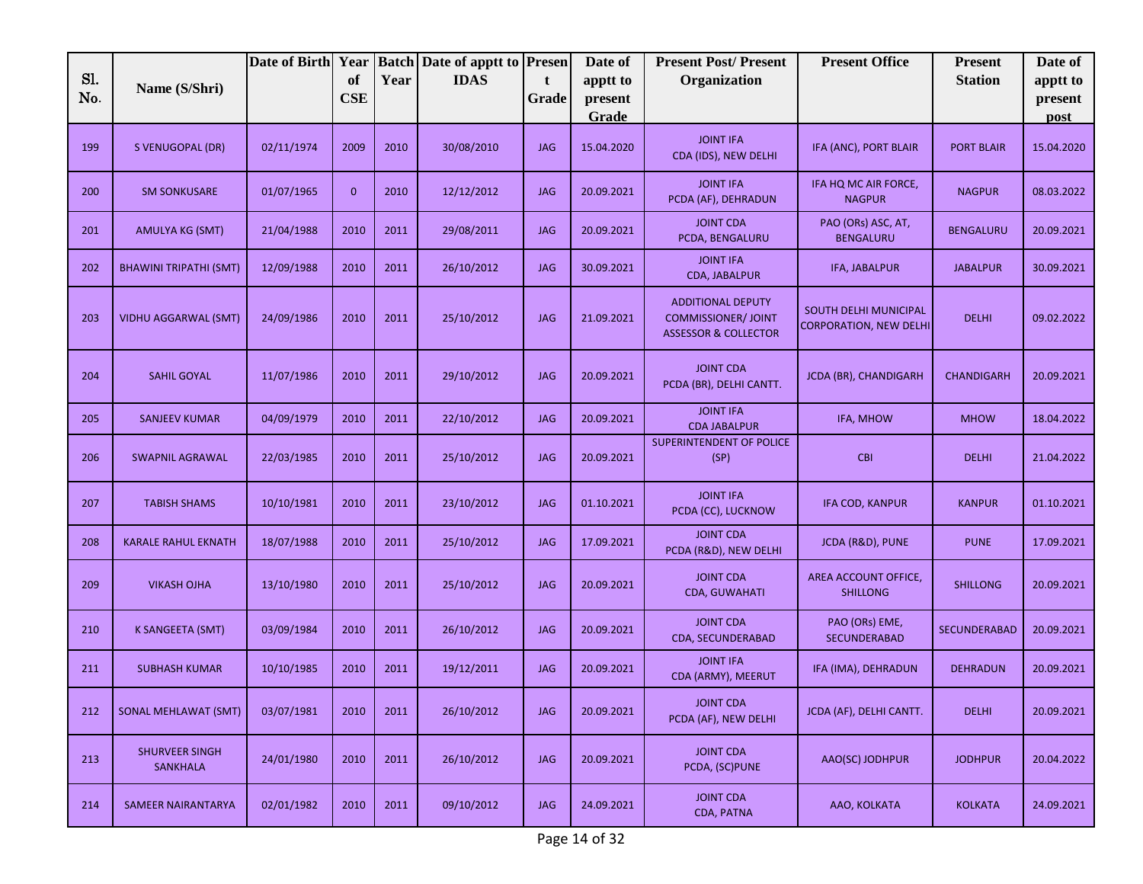|            |                                          | Date of Birth Year |                  |      | <b>Batch Date of apptt to Presen</b> |            | Date of             | <b>Present Post/Present</b>                                                               | <b>Present Office</b>                                  | <b>Present</b>      | Date of             |
|------------|------------------------------------------|--------------------|------------------|------|--------------------------------------|------------|---------------------|-------------------------------------------------------------------------------------------|--------------------------------------------------------|---------------------|---------------------|
| Sl.<br>No. | Name (S/Shri)                            |                    | of<br><b>CSE</b> | Year | <b>IDAS</b>                          | t<br>Grade | apptt to<br>present | Organization                                                                              |                                                        | <b>Station</b>      | apptt to<br>present |
|            |                                          |                    |                  |      |                                      |            | Grade               |                                                                                           |                                                        |                     | post                |
| 199        | S VENUGOPAL (DR)                         | 02/11/1974         | 2009             | 2010 | 30/08/2010                           | <b>JAG</b> | 15.04.2020          | <b>JOINT IFA</b><br>CDA (IDS), NEW DELHI                                                  | IFA (ANC), PORT BLAIR                                  | <b>PORT BLAIR</b>   | 15.04.2020          |
| 200        | <b>SM SONKUSARE</b>                      | 01/07/1965         | $\mathbf{0}$     | 2010 | 12/12/2012                           | <b>JAG</b> | 20.09.2021          | <b>JOINT IFA</b><br>PCDA (AF), DEHRADUN                                                   | IFA HQ MC AIR FORCE,<br><b>NAGPUR</b>                  | <b>NAGPUR</b>       | 08.03.2022          |
| 201        | AMULYA KG (SMT)                          | 21/04/1988         | 2010             | 2011 | 29/08/2011                           | <b>JAG</b> | 20.09.2021          | <b>JOINT CDA</b><br>PCDA, BENGALURU                                                       | PAO (ORs) ASC, AT,<br><b>BENGALURU</b>                 | <b>BENGALURU</b>    | 20.09.2021          |
| 202        | <b>BHAWINI TRIPATHI (SMT)</b>            | 12/09/1988         | 2010             | 2011 | 26/10/2012                           | <b>JAG</b> | 30.09.2021          | <b>JOINT IFA</b><br>CDA, JABALPUR                                                         | IFA, JABALPUR                                          | <b>JABALPUR</b>     | 30.09.2021          |
| 203        | <b>VIDHU AGGARWAL (SMT)</b>              | 24/09/1986         | 2010             | 2011 | 25/10/2012                           | <b>JAG</b> | 21.09.2021          | <b>ADDITIONAL DEPUTY</b><br><b>COMMISSIONER/ JOINT</b><br><b>ASSESSOR &amp; COLLECTOR</b> | SOUTH DELHI MUNICIPAL<br><b>CORPORATION, NEW DELHI</b> | <b>DELHI</b>        | 09.02.2022          |
| 204        | <b>SAHIL GOYAL</b>                       | 11/07/1986         | 2010             | 2011 | 29/10/2012                           | <b>JAG</b> | 20.09.2021          | <b>JOINT CDA</b><br>PCDA (BR), DELHI CANTT.                                               | JCDA (BR), CHANDIGARH                                  | <b>CHANDIGARH</b>   | 20.09.2021          |
| 205        | <b>SANJEEV KUMAR</b>                     | 04/09/1979         | 2010             | 2011 | 22/10/2012                           | <b>JAG</b> | 20.09.2021          | <b>JOINT IFA</b><br><b>CDA JABALPUR</b>                                                   | IFA, MHOW                                              | <b>MHOW</b>         | 18.04.2022          |
| 206        | <b>SWAPNIL AGRAWAL</b>                   | 22/03/1985         | 2010             | 2011 | 25/10/2012                           | <b>JAG</b> | 20.09.2021          | <b>SUPERINTENDENT OF POLICE</b><br>(SP)                                                   | <b>CBI</b>                                             | <b>DELHI</b>        | 21.04.2022          |
| 207        | <b>TABISH SHAMS</b>                      | 10/10/1981         | 2010             | 2011 | 23/10/2012                           | <b>JAG</b> | 01.10.2021          | <b>JOINT IFA</b><br>PCDA (CC), LUCKNOW                                                    | IFA COD, KANPUR                                        | <b>KANPUR</b>       | 01.10.2021          |
| 208        | <b>KARALE RAHUL EKNATH</b>               | 18/07/1988         | 2010             | 2011 | 25/10/2012                           | <b>JAG</b> | 17.09.2021          | <b>JOINT CDA</b><br>PCDA (R&D), NEW DELHI                                                 | JCDA (R&D), PUNE                                       | <b>PUNE</b>         | 17.09.2021          |
| 209        | <b>VIKASH OJHA</b>                       | 13/10/1980         | 2010             | 2011 | 25/10/2012                           | <b>JAG</b> | 20.09.2021          | <b>JOINT CDA</b><br><b>CDA, GUWAHATI</b>                                                  | AREA ACCOUNT OFFICE,<br><b>SHILLONG</b>                | <b>SHILLONG</b>     | 20.09.2021          |
| 210        | K SANGEETA (SMT)                         | 03/09/1984         | 2010             | 2011 | 26/10/2012                           | <b>JAG</b> | 20.09.2021          | <b>JOINT CDA</b><br><b>CDA, SECUNDERABAD</b>                                              | PAO (ORs) EME,<br>SECUNDERABAD                         | <b>SECUNDERABAD</b> | 20.09.2021          |
| 211        | <b>SUBHASH KUMAR</b>                     | 10/10/1985         | 2010             | 2011 | 19/12/2011                           | <b>JAG</b> | 20.09.2021          | <b>JOINT IFA</b><br>CDA (ARMY), MEERUT                                                    | IFA (IMA), DEHRADUN                                    | <b>DEHRADUN</b>     | 20.09.2021          |
| 212        | <b>SONAL MEHLAWAT (SMT)</b>              | 03/07/1981         | 2010             | 2011 | 26/10/2012                           | <b>JAG</b> | 20.09.2021          | <b>JOINT CDA</b><br>PCDA (AF), NEW DELHI                                                  | JCDA (AF), DELHI CANTT.                                | <b>DELHI</b>        | 20.09.2021          |
| 213        | <b>SHURVEER SINGH</b><br><b>SANKHALA</b> | 24/01/1980         | 2010             | 2011 | 26/10/2012                           | <b>JAG</b> | 20.09.2021          | <b>JOINT CDA</b><br>PCDA, (SC)PUNE                                                        | AAO(SC) JODHPUR                                        | <b>JODHPUR</b>      | 20.04.2022          |
| 214        | SAMEER NAIRANTARYA                       | 02/01/1982         | 2010             | 2011 | 09/10/2012                           | <b>JAG</b> | 24.09.2021          | <b>JOINT CDA</b><br>CDA, PATNA                                                            | AAO, KOLKATA                                           | <b>KOLKATA</b>      | 24.09.2021          |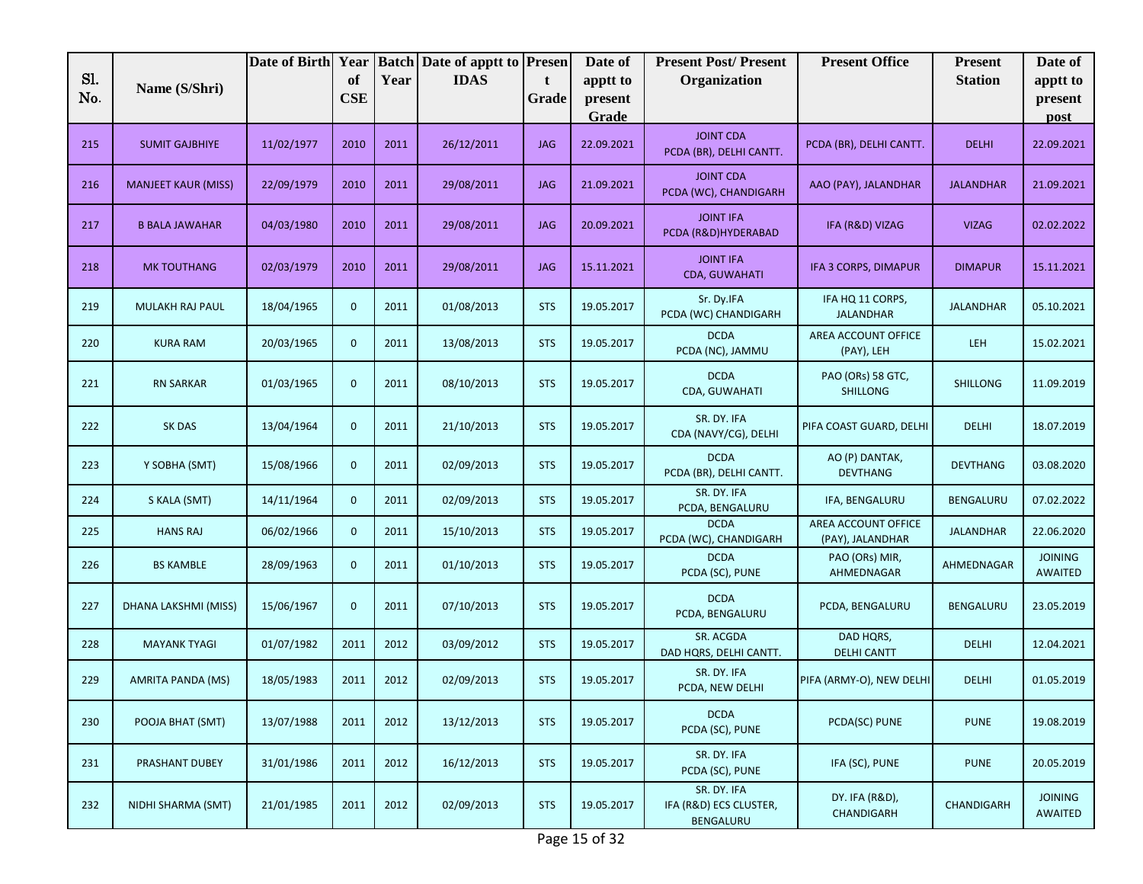| Sl. |                            | Date of Birth Year |                  |      | <b>Batch Date of apptt to Presen</b><br><b>IDAS</b> |            | Date of             | <b>Present Post/Present</b>                        | <b>Present Office</b>                   | <b>Present</b>   | Date of                          |
|-----|----------------------------|--------------------|------------------|------|-----------------------------------------------------|------------|---------------------|----------------------------------------------------|-----------------------------------------|------------------|----------------------------------|
| No. | Name (S/Shri)              |                    | of<br><b>CSE</b> | Year |                                                     | t<br>Grade | apptt to<br>present | Organization                                       |                                         | <b>Station</b>   | apptt to<br>present              |
|     |                            |                    |                  |      |                                                     |            | Grade               |                                                    |                                         |                  | post                             |
| 215 | <b>SUMIT GAJBHIYE</b>      | 11/02/1977         | 2010             | 2011 | 26/12/2011                                          | <b>JAG</b> | 22.09.2021          | <b>JOINT CDA</b><br>PCDA (BR), DELHI CANTT.        | PCDA (BR), DELHI CANTT.                 | <b>DELHI</b>     | 22.09.2021                       |
| 216 | <b>MANJEET KAUR (MISS)</b> | 22/09/1979         | 2010             | 2011 | 29/08/2011                                          | <b>JAG</b> | 21.09.2021          | <b>JOINT CDA</b><br>PCDA (WC), CHANDIGARH          | AAO (PAY), JALANDHAR                    | <b>JALANDHAR</b> | 21.09.2021                       |
| 217 | <b>B BALA JAWAHAR</b>      | 04/03/1980         | 2010             | 2011 | 29/08/2011                                          | <b>JAG</b> | 20.09.2021          | <b>JOINT IFA</b><br>PCDA (R&D)HYDERABAD            | IFA (R&D) VIZAG                         | <b>VIZAG</b>     | 02.02.2022                       |
| 218 | <b>MK TOUTHANG</b>         | 02/03/1979         | 2010             | 2011 | 29/08/2011                                          | <b>JAG</b> | 15.11.2021          | <b>JOINT IFA</b><br><b>CDA, GUWAHATI</b>           | IFA 3 CORPS, DIMAPUR                    | <b>DIMAPUR</b>   | 15.11.2021                       |
| 219 | MULAKH RAJ PAUL            | 18/04/1965         | $\mathbf{0}$     | 2011 | 01/08/2013                                          | <b>STS</b> | 19.05.2017          | Sr. Dy.IFA<br>PCDA (WC) CHANDIGARH                 | IFA HQ 11 CORPS,<br><b>JALANDHAR</b>    | <b>JALANDHAR</b> | 05.10.2021                       |
| 220 | <b>KURA RAM</b>            | 20/03/1965         | $\mathbf{0}$     | 2011 | 13/08/2013                                          | <b>STS</b> | 19.05.2017          | <b>DCDA</b><br>PCDA (NC), JAMMU                    | AREA ACCOUNT OFFICE<br>(PAY), LEH       | <b>LEH</b>       | 15.02.2021                       |
| 221 | <b>RN SARKAR</b>           | 01/03/1965         | $\mathbf{0}$     | 2011 | 08/10/2013                                          | <b>STS</b> | 19.05.2017          | <b>DCDA</b><br>CDA, GUWAHATI                       | PAO (ORs) 58 GTC,<br><b>SHILLONG</b>    | <b>SHILLONG</b>  | 11.09.2019                       |
| 222 | SK DAS                     | 13/04/1964         | $\mathbf{0}$     | 2011 | 21/10/2013                                          | <b>STS</b> | 19.05.2017          | SR. DY. IFA<br>CDA (NAVY/CG), DELHI                | PIFA COAST GUARD, DELHI                 | <b>DELHI</b>     | 18.07.2019                       |
| 223 | Y SOBHA (SMT)              | 15/08/1966         | $\mathbf{0}$     | 2011 | 02/09/2013                                          | <b>STS</b> | 19.05.2017          | <b>DCDA</b><br>PCDA (BR), DELHI CANTT.             | AO (P) DANTAK,<br><b>DEVTHANG</b>       | <b>DEVTHANG</b>  | 03.08.2020                       |
| 224 | S KALA (SMT)               | 14/11/1964         | $\mathbf{0}$     | 2011 | 02/09/2013                                          | <b>STS</b> | 19.05.2017          | SR. DY. IFA<br>PCDA, BENGALURU                     | IFA, BENGALURU                          | <b>BENGALURU</b> | 07.02.2022                       |
| 225 | <b>HANS RAJ</b>            | 06/02/1966         | $\mathbf{0}$     | 2011 | 15/10/2013                                          | <b>STS</b> | 19.05.2017          | <b>DCDA</b><br>PCDA (WC), CHANDIGARH               | AREA ACCOUNT OFFICE<br>(PAY), JALANDHAR | <b>JALANDHAR</b> | 22.06.2020                       |
| 226 | <b>BS KAMBLE</b>           | 28/09/1963         | $\mathbf{0}$     | 2011 | 01/10/2013                                          | <b>STS</b> | 19.05.2017          | <b>DCDA</b><br>PCDA (SC), PUNE                     | PAO (ORs) MIR,<br>AHMEDNAGAR            | AHMEDNAGAR       | <b>JOINING</b><br><b>AWAITED</b> |
| 227 | DHANA LAKSHMI (MISS)       | 15/06/1967         | $\mathbf{0}$     | 2011 | 07/10/2013                                          | <b>STS</b> | 19.05.2017          | <b>DCDA</b><br>PCDA, BENGALURU                     | PCDA, BENGALURU                         | <b>BENGALURU</b> | 23.05.2019                       |
| 228 | <b>MAYANK TYAGI</b>        | 01/07/1982         | 2011             | 2012 | 03/09/2012                                          | <b>STS</b> | 19.05.2017          | SR. ACGDA<br>DAD HQRS, DELHI CANTT.                | DAD HQRS,<br><b>DELHI CANTT</b>         | <b>DELHI</b>     | 12.04.2021                       |
| 229 | <b>AMRITA PANDA (MS)</b>   | 18/05/1983         | 2011             | 2012 | 02/09/2013                                          | <b>STS</b> | 19.05.2017          | SR. DY. IFA<br>PCDA, NEW DELHI                     | PIFA (ARMY-O), NEW DELHI                | <b>DELHI</b>     | 01.05.2019                       |
| 230 | POOJA BHAT (SMT)           | 13/07/1988         | 2011             | 2012 | 13/12/2013                                          | <b>STS</b> | 19.05.2017          | <b>DCDA</b><br>PCDA (SC), PUNE                     | PCDA(SC) PUNE                           | <b>PUNE</b>      | 19.08.2019                       |
| 231 | PRASHANT DUBEY             | 31/01/1986         | 2011             | 2012 | 16/12/2013                                          | <b>STS</b> | 19.05.2017          | SR. DY. IFA<br>PCDA (SC), PUNE                     | IFA (SC), PUNE                          | <b>PUNE</b>      | 20.05.2019                       |
| 232 | NIDHI SHARMA (SMT)         | 21/01/1985         | 2011             | 2012 | 02/09/2013                                          | <b>STS</b> | 19.05.2017<br>$ -$  | SR. DY. IFA<br>IFA (R&D) ECS CLUSTER,<br>BENGALURU | DY. IFA (R&D),<br>CHANDIGARH            | CHANDIGARH       | <b>JOINING</b><br>AWAITED        |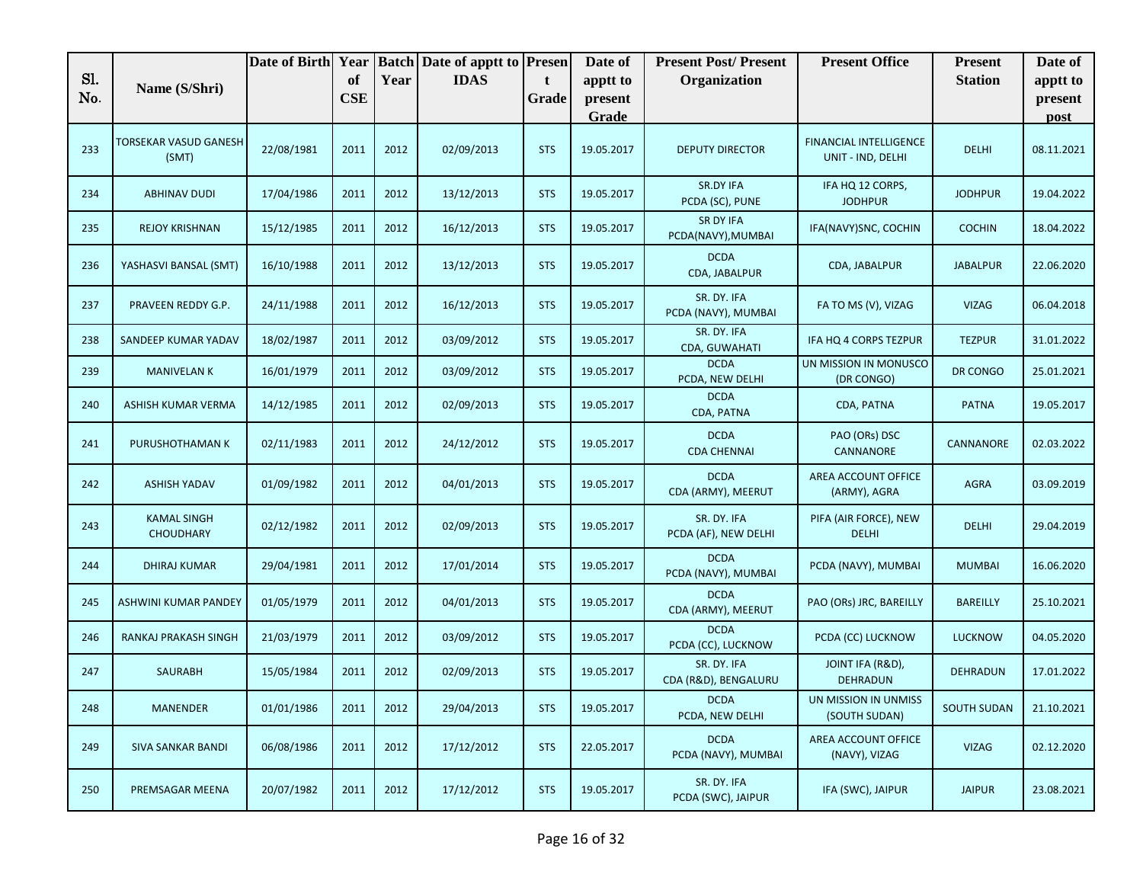|            |                                        | Date of Birth | Year             |      | <b>Batch Date of apptt to Presen</b> |            | Date of             | <b>Present Post/Present</b>            | <b>Present Office</b>                              | <b>Present</b>     | Date of             |
|------------|----------------------------------------|---------------|------------------|------|--------------------------------------|------------|---------------------|----------------------------------------|----------------------------------------------------|--------------------|---------------------|
| Sl.<br>No. | Name (S/Shri)                          |               | of<br><b>CSE</b> | Year | <b>IDAS</b>                          | t<br>Grade | apptt to<br>present | Organization                           |                                                    | <b>Station</b>     | apptt to<br>present |
|            |                                        |               |                  |      |                                      |            | Grade               |                                        |                                                    |                    | post                |
| 233        | TORSEKAR VASUD GANESH<br>(SMT)         | 22/08/1981    | 2011             | 2012 | 02/09/2013                           | <b>STS</b> | 19.05.2017          | <b>DEPUTY DIRECTOR</b>                 | <b>FINANCIAL INTELLIGENCE</b><br>UNIT - IND, DELHI | <b>DELHI</b>       | 08.11.2021          |
| 234        | <b>ABHINAV DUDI</b>                    | 17/04/1986    | 2011             | 2012 | 13/12/2013                           | <b>STS</b> | 19.05.2017          | <b>SR.DY IFA</b><br>PCDA (SC), PUNE    | IFA HQ 12 CORPS,<br><b>JODHPUR</b>                 | <b>JODHPUR</b>     | 19.04.2022          |
| 235        | <b>REJOY KRISHNAN</b>                  | 15/12/1985    | 2011             | 2012 | 16/12/2013                           | <b>STS</b> | 19.05.2017          | <b>SR DY IFA</b><br>PCDA(NAVY), MUMBAI | IFA(NAVY)SNC, COCHIN                               | <b>COCHIN</b>      | 18.04.2022          |
| 236        | YASHASVI BANSAL (SMT)                  | 16/10/1988    | 2011             | 2012 | 13/12/2013                           | <b>STS</b> | 19.05.2017          | <b>DCDA</b><br>CDA, JABALPUR           | CDA, JABALPUR                                      | <b>JABALPUR</b>    | 22.06.2020          |
| 237        | PRAVEEN REDDY G.P.                     | 24/11/1988    | 2011             | 2012 | 16/12/2013                           | <b>STS</b> | 19.05.2017          | SR. DY. IFA<br>PCDA (NAVY), MUMBAI     | FA TO MS (V), VIZAG                                | <b>VIZAG</b>       | 06.04.2018          |
| 238        | SANDEEP KUMAR YADAV                    | 18/02/1987    | 2011             | 2012 | 03/09/2012                           | <b>STS</b> | 19.05.2017          | SR. DY. IFA<br>CDA, GUWAHATI           | IFA HQ 4 CORPS TEZPUR                              | <b>TEZPUR</b>      | 31.01.2022          |
| 239        | <b>MANIVELAN K</b>                     | 16/01/1979    | 2011             | 2012 | 03/09/2012                           | <b>STS</b> | 19.05.2017          | <b>DCDA</b><br>PCDA, NEW DELHI         | UN MISSION IN MONUSCO<br>(DR CONGO)                | DR CONGO           | 25.01.2021          |
| 240        | ASHISH KUMAR VERMA                     | 14/12/1985    | 2011             | 2012 | 02/09/2013                           | <b>STS</b> | 19.05.2017          | <b>DCDA</b><br>CDA, PATNA              | CDA, PATNA                                         | <b>PATNA</b>       | 19.05.2017          |
| 241        | PURUSHOTHAMAN K                        | 02/11/1983    | 2011             | 2012 | 24/12/2012                           | <b>STS</b> | 19.05.2017          | <b>DCDA</b><br><b>CDA CHENNAI</b>      | PAO (ORs) DSC<br>CANNANORE                         | CANNANORE          | 02.03.2022          |
| 242        | <b>ASHISH YADAV</b>                    | 01/09/1982    | 2011             | 2012 | 04/01/2013                           | <b>STS</b> | 19.05.2017          | <b>DCDA</b><br>CDA (ARMY), MEERUT      | AREA ACCOUNT OFFICE<br>(ARMY), AGRA                | <b>AGRA</b>        | 03.09.2019          |
| 243        | <b>KAMAL SINGH</b><br><b>CHOUDHARY</b> | 02/12/1982    | 2011             | 2012 | 02/09/2013                           | <b>STS</b> | 19.05.2017          | SR. DY. IFA<br>PCDA (AF), NEW DELHI    | PIFA (AIR FORCE), NEW<br><b>DELHI</b>              | <b>DELHI</b>       | 29.04.2019          |
| 244        | <b>DHIRAJ KUMAR</b>                    | 29/04/1981    | 2011             | 2012 | 17/01/2014                           | <b>STS</b> | 19.05.2017          | <b>DCDA</b><br>PCDA (NAVY), MUMBAI     | PCDA (NAVY), MUMBAI                                | <b>MUMBAI</b>      | 16.06.2020          |
| 245        | ASHWINI KUMAR PANDEY                   | 01/05/1979    | 2011             | 2012 | 04/01/2013                           | <b>STS</b> | 19.05.2017          | <b>DCDA</b><br>CDA (ARMY), MEERUT      | PAO (ORs) JRC, BAREILLY                            | <b>BAREILLY</b>    | 25.10.2021          |
| 246        | RANKAJ PRAKASH SINGH                   | 21/03/1979    | 2011             | 2012 | 03/09/2012                           | <b>STS</b> | 19.05.2017          | <b>DCDA</b><br>PCDA (CC), LUCKNOW      | PCDA (CC) LUCKNOW                                  | <b>LUCKNOW</b>     | 04.05.2020          |
| 247        | <b>SAURABH</b>                         | 15/05/1984    | 2011             | 2012 | 02/09/2013                           | <b>STS</b> | 19.05.2017          | SR. DY. IFA<br>CDA (R&D), BENGALURU    | JOINT IFA (R&D),<br><b>DEHRADUN</b>                | <b>DEHRADUN</b>    | 17.01.2022          |
| 248        | <b>MANENDER</b>                        | 01/01/1986    | 2011             | 2012 | 29/04/2013                           | <b>STS</b> | 19.05.2017          | <b>DCDA</b><br>PCDA, NEW DELHI         | UN MISSION IN UNMISS<br>(SOUTH SUDAN)              | <b>SOUTH SUDAN</b> | 21.10.2021          |
| 249        | <b>SIVA SANKAR BANDI</b>               | 06/08/1986    | 2011             | 2012 | 17/12/2012                           | <b>STS</b> | 22.05.2017          | <b>DCDA</b><br>PCDA (NAVY), MUMBAI     | AREA ACCOUNT OFFICE<br>(NAVY), VIZAG               | <b>VIZAG</b>       | 02.12.2020          |
| 250        | PREMSAGAR MEENA                        | 20/07/1982    | 2011             | 2012 | 17/12/2012                           | <b>STS</b> | 19.05.2017          | SR. DY. IFA<br>PCDA (SWC), JAIPUR      | IFA (SWC), JAIPUR                                  | <b>JAIPUR</b>      | 23.08.2021          |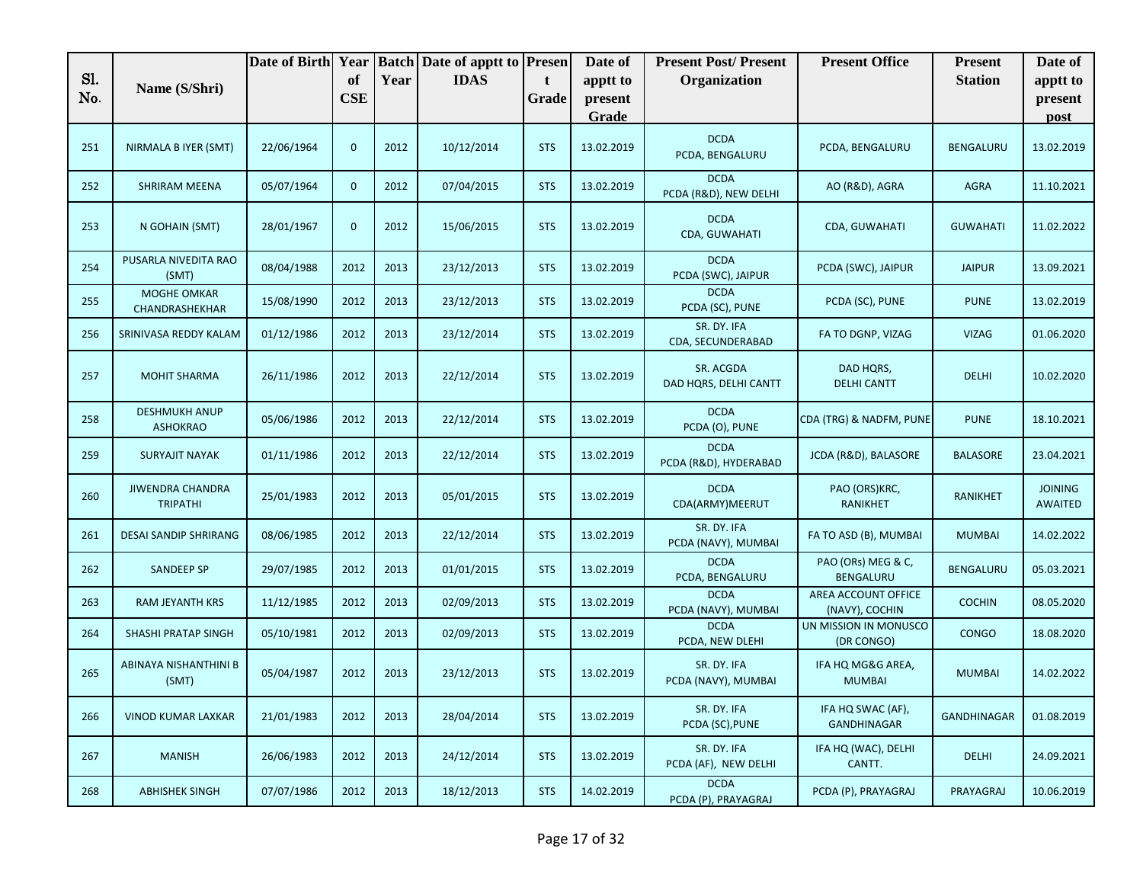|            |                                            | Date of Birth | Year             |      | <b>Batch Date of apptt to Presen</b> |            | Date of             | <b>Present Post/Present</b>          | <b>Present Office</b>                   | <b>Present</b>     | Date of                          |
|------------|--------------------------------------------|---------------|------------------|------|--------------------------------------|------------|---------------------|--------------------------------------|-----------------------------------------|--------------------|----------------------------------|
| Sl.<br>No. | Name (S/Shri)                              |               | of<br><b>CSE</b> | Year | <b>IDAS</b>                          | t<br>Grade | apptt to<br>present | Organization                         |                                         | <b>Station</b>     | apptt to<br>present              |
|            |                                            |               |                  |      |                                      |            | Grade               |                                      |                                         |                    | post                             |
| 251        | NIRMALA B IYER (SMT)                       | 22/06/1964    | $\mathbf{0}$     | 2012 | 10/12/2014                           | <b>STS</b> | 13.02.2019          | <b>DCDA</b><br>PCDA, BENGALURU       | PCDA, BENGALURU                         | BENGALURU          | 13.02.2019                       |
| 252        | SHRIRAM MEENA                              | 05/07/1964    | $\mathbf{0}$     | 2012 | 07/04/2015                           | <b>STS</b> | 13.02.2019          | <b>DCDA</b><br>PCDA (R&D), NEW DELHI | AO (R&D), AGRA                          | AGRA               | 11.10.2021                       |
| 253        | N GOHAIN (SMT)                             | 28/01/1967    | $\mathbf{0}$     | 2012 | 15/06/2015                           | <b>STS</b> | 13.02.2019          | <b>DCDA</b><br>CDA, GUWAHATI         | CDA, GUWAHATI                           | <b>GUWAHATI</b>    | 11.02.2022                       |
| 254        | PUSARLA NIVEDITA RAO<br>(SMT)              | 08/04/1988    | 2012             | 2013 | 23/12/2013                           | <b>STS</b> | 13.02.2019          | <b>DCDA</b><br>PCDA (SWC), JAIPUR    | PCDA (SWC), JAIPUR                      | <b>JAIPUR</b>      | 13.09.2021                       |
| 255        | <b>MOGHE OMKAR</b><br>CHANDRASHEKHAR       | 15/08/1990    | 2012             | 2013 | 23/12/2013                           | <b>STS</b> | 13.02.2019          | <b>DCDA</b><br>PCDA (SC), PUNE       | PCDA (SC), PUNE                         | <b>PUNE</b>        | 13.02.2019                       |
| 256        | SRINIVASA REDDY KALAM                      | 01/12/1986    | 2012             | 2013 | 23/12/2014                           | <b>STS</b> | 13.02.2019          | SR. DY. IFA<br>CDA, SECUNDERABAD     | FA TO DGNP, VIZAG                       | <b>VIZAG</b>       | 01.06.2020                       |
| 257        | <b>MOHIT SHARMA</b>                        | 26/11/1986    | 2012             | 2013 | 22/12/2014                           | <b>STS</b> | 13.02.2019          | SR. ACGDA<br>DAD HQRS, DELHI CANTT   | DAD HORS.<br><b>DELHI CANTT</b>         | <b>DELHI</b>       | 10.02.2020                       |
| 258        | <b>DESHMUKH ANUP</b><br><b>ASHOKRAO</b>    | 05/06/1986    | 2012             | 2013 | 22/12/2014                           | <b>STS</b> | 13.02.2019          | <b>DCDA</b><br>PCDA (O), PUNE        | CDA (TRG) & NADFM, PUNE                 | <b>PUNE</b>        | 18.10.2021                       |
| 259        | <b>SURYAJIT NAYAK</b>                      | 01/11/1986    | 2012             | 2013 | 22/12/2014                           | <b>STS</b> | 13.02.2019          | <b>DCDA</b><br>PCDA (R&D), HYDERABAD | JCDA (R&D), BALASORE                    | <b>BALASORE</b>    | 23.04.2021                       |
| 260        | <b>JIWENDRA CHANDRA</b><br><b>TRIPATHI</b> | 25/01/1983    | 2012             | 2013 | 05/01/2015                           | <b>STS</b> | 13.02.2019          | <b>DCDA</b><br>CDA(ARMY)MEERUT       | PAO (ORS)KRC,<br><b>RANIKHET</b>        | <b>RANIKHET</b>    | <b>JOINING</b><br><b>AWAITED</b> |
| 261        | DESAI SANDIP SHRIRANG                      | 08/06/1985    | 2012             | 2013 | 22/12/2014                           | <b>STS</b> | 13.02.2019          | SR. DY. IFA<br>PCDA (NAVY), MUMBAI   | FA TO ASD (B), MUMBAI                   | <b>MUMBAI</b>      | 14.02.2022                       |
| 262        | <b>SANDEEP SP</b>                          | 29/07/1985    | 2012             | 2013 | 01/01/2015                           | <b>STS</b> | 13.02.2019          | <b>DCDA</b><br>PCDA, BENGALURU       | PAO (ORs) MEG & C,<br>BENGALURU         | <b>BENGALURU</b>   | 05.03.2021                       |
| 263        | RAM JEYANTH KRS                            | 11/12/1985    | 2012             | 2013 | 02/09/2013                           | <b>STS</b> | 13.02.2019          | <b>DCDA</b><br>PCDA (NAVY), MUMBAI   | AREA ACCOUNT OFFICE<br>(NAVY), COCHIN   | <b>COCHIN</b>      | 08.05.2020                       |
| 264        | <b>SHASHI PRATAP SINGH</b>                 | 05/10/1981    | 2012             | 2013 | 02/09/2013                           | <b>STS</b> | 13.02.2019          | <b>DCDA</b><br>PCDA, NEW DLEHI       | UN MISSION IN MONUSCO<br>(DR CONGO)     | <b>CONGO</b>       | 18.08.2020                       |
| 265        | ABINAYA NISHANTHINI B<br>(SMT)             | 05/04/1987    | 2012             | 2013 | 23/12/2013                           | <b>STS</b> | 13.02.2019          | SR. DY. IFA<br>PCDA (NAVY), MUMBAI   | IFA HQ MG&G AREA,<br><b>MUMBAI</b>      | <b>MUMBAI</b>      | 14.02.2022                       |
| 266        | <b>VINOD KUMAR LAXKAR</b>                  | 21/01/1983    | 2012             | 2013 | 28/04/2014                           | <b>STS</b> | 13.02.2019          | SR. DY. IFA<br>PCDA (SC), PUNE       | IFA HQ SWAC (AF),<br><b>GANDHINAGAR</b> | <b>GANDHINAGAR</b> | 01.08.2019                       |
| 267        | <b>MANISH</b>                              | 26/06/1983    | 2012             | 2013 | 24/12/2014                           | <b>STS</b> | 13.02.2019          | SR. DY. IFA<br>PCDA (AF), NEW DELHI  | IFA HQ (WAC), DELHI<br>CANTT.           | <b>DELHI</b>       | 24.09.2021                       |
| 268        | <b>ABHISHEK SINGH</b>                      | 07/07/1986    | 2012             | 2013 | 18/12/2013                           | <b>STS</b> | 14.02.2019          | <b>DCDA</b><br>PCDA (P), PRAYAGRAJ   | PCDA (P), PRAYAGRAJ                     | PRAYAGRAJ          | 10.06.2019                       |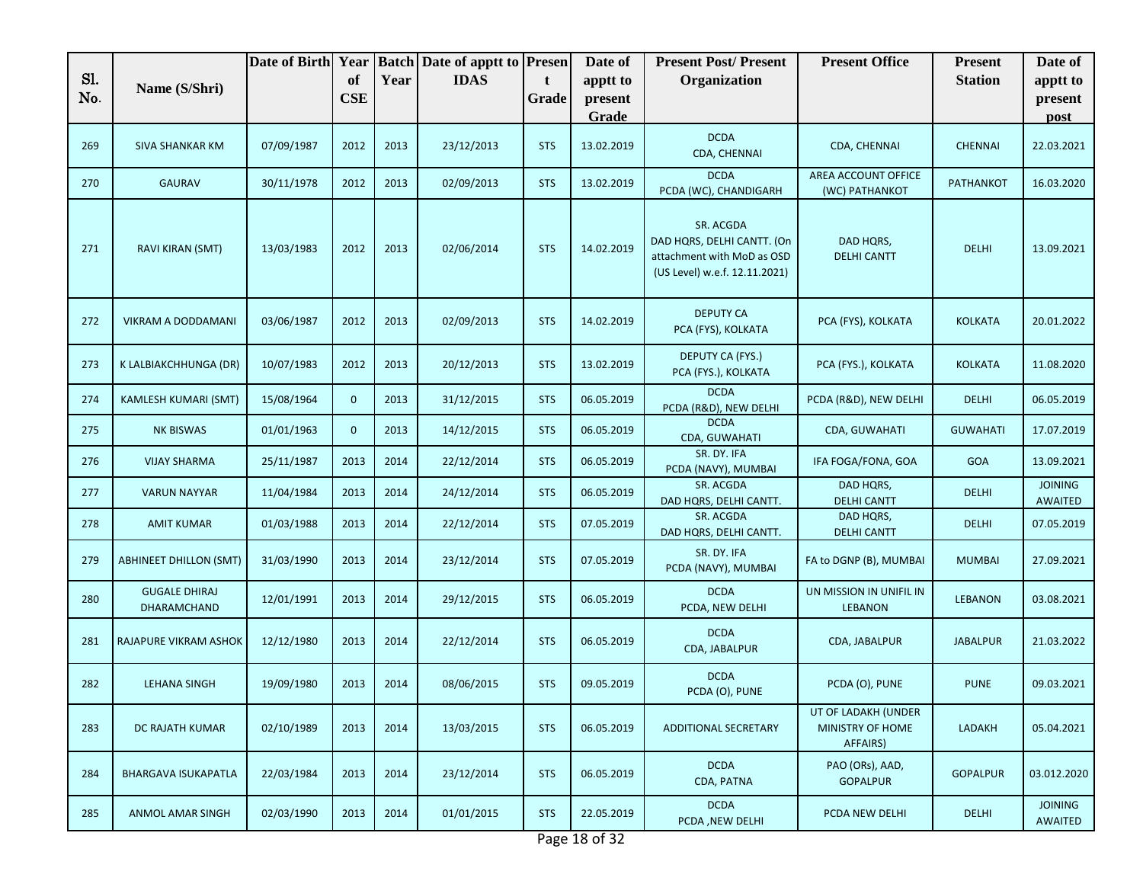| Sl.<br>of<br><b>IDAS</b><br>Year<br>Organization<br><b>Station</b><br>apptt to<br>apptt to<br>t.<br>Name (S/Shri)<br>No.<br><b>CSE</b><br>Grade<br>present<br>present<br>Grade<br>post<br><b>DCDA</b><br>269<br>07/09/1987<br>2012<br>2013<br>23/12/2013<br><b>STS</b><br>13.02.2019<br>CDA, CHENNAI<br><b>CHENNAI</b><br>SIVA SHANKAR KM<br>CDA, CHENNAI<br><b>DCDA</b><br>AREA ACCOUNT OFFICE<br>30/11/1978<br>2012<br>270<br><b>GAURAV</b><br>2013<br>02/09/2013<br><b>STS</b><br>13.02.2019<br>PATHANKOT<br>PCDA (WC), CHANDIGARH<br>(WC) PATHANKOT<br>SR. ACGDA<br>DAD HQRS, DELHI CANTT. (On<br>DAD HQRS,<br>271<br>RAVI KIRAN (SMT)<br>13/03/1983<br>2012<br>2013<br>02/06/2014<br><b>STS</b><br>14.02.2019<br><b>DELHI</b><br>attachment with MoD as OSD<br><b>DELHI CANTT</b><br>(US Level) w.e.f. 12.11.2021)<br><b>DEPUTY CA</b><br>2012<br>2013<br>PCA (FYS), KOLKATA<br>272<br>03/06/1987<br>02/09/2013<br><b>STS</b><br>14.02.2019<br><b>KOLKATA</b><br>VIKRAM A DODDAMANI<br>PCA (FYS), KOLKATA<br>DEPUTY CA (FYS.)<br>2013<br>273<br>K LALBIAKCHHUNGA (DR)<br>10/07/1983<br>2012<br>20/12/2013<br><b>STS</b><br>13.02.2019<br>PCA (FYS.), KOLKATA<br><b>KOLKATA</b><br>PCA (FYS.), KOLKATA<br><b>DCDA</b><br>$\mathbf{0}$<br>274<br><b>KAMLESH KUMARI (SMT)</b><br>15/08/1964<br>2013<br>31/12/2015<br><b>STS</b><br>06.05.2019<br>PCDA (R&D), NEW DELHI<br><b>DELHI</b><br>PCDA (R&D), NEW DELHI<br><b>DCDA</b><br>$\mathbf{0}$<br><b>NK BISWAS</b><br>01/01/1963<br>2013<br>14/12/2015<br><b>STS</b><br>06.05.2019<br>CDA, GUWAHATI<br>275<br><b>GUWAHATI</b><br>CDA, GUWAHATI<br>SR. DY. IFA<br>25/11/1987<br>22/12/2014<br>06.05.2019<br>IFA FOGA/FONA, GOA<br>276<br><b>VIJAY SHARMA</b><br>2013<br>2014<br><b>STS</b><br><b>GOA</b><br>PCDA (NAVY), MUMBAI<br>SR. ACGDA<br>DAD HQRS,<br><b>JOINING</b><br>11/04/1984<br>2013<br>24/12/2014<br>06.05.2019<br>277<br><b>VARUN NAYYAR</b><br>2014<br><b>STS</b><br><b>DELHI</b><br><b>DELHI CANTT</b><br>DAD HQRS, DELHI CANTT.<br><b>AWAITED</b><br>SR. ACGDA<br>DAD HQRS,<br>01/03/1988<br>2013<br>2014<br>278<br><b>AMIT KUMAR</b><br>22/12/2014<br><b>STS</b><br>07.05.2019<br><b>DELHI</b><br><b>DELHI CANTT</b><br>DAD HQRS, DELHI CANTT.<br>SR. DY. IFA<br><b>ABHINEET DHILLON (SMT)</b><br>31/03/1990<br>2013<br>2014<br>23/12/2014<br><b>STS</b><br>07.05.2019<br>FA to DGNP (B), MUMBAI<br><b>MUMBAI</b><br>279<br>PCDA (NAVY), MUMBAI<br><b>GUGALE DHIRAJ</b><br><b>DCDA</b><br>UN MISSION IN UNIFIL IN<br>280<br>12/01/1991<br>2013<br>2014<br>29/12/2015<br><b>STS</b><br>06.05.2019<br><b>LEBANON</b><br>PCDA, NEW DELHI<br>DHARAMCHAND<br><b>LEBANON</b><br><b>DCDA</b><br>RAJAPURE VIKRAM ASHOK<br>12/12/1980<br>2013<br>2014<br>22/12/2014<br><b>STS</b><br>06.05.2019<br>CDA, JABALPUR<br><b>JABALPUR</b><br>281<br>CDA, JABALPUR<br><b>DCDA</b><br>282<br><b>LEHANA SINGH</b><br>19/09/1980<br>2013<br>2014<br>08/06/2015<br><b>STS</b><br>09.05.2019<br>PCDA (O), PUNE<br><b>PUNE</b><br>PCDA (O), PUNE<br>UT OF LADAKH (UNDER<br>283<br>02/10/1989<br>2013<br>2014<br>MINISTRY OF HOME<br>DC RAJATH KUMAR<br>13/03/2015<br><b>STS</b><br>06.05.2019<br><b>ADDITIONAL SECRETARY</b><br>LADAKH<br>AFFAIRS)<br><b>DCDA</b><br>PAO (ORs), AAD,<br>284<br><b>BHARGAVA ISUKAPATLA</b><br>22/03/1984<br>2013<br>2014<br>23/12/2014<br><b>STS</b><br>06.05.2019<br><b>GOPALPUR</b><br><b>GOPALPUR</b><br>CDA, PATNA<br><b>DCDA</b><br><b>JOINING</b><br>02/03/1990<br>285<br>ANMOL AMAR SINGH<br>2013<br>2014<br>01/01/2015<br><b>STS</b><br>22.05.2019<br>PCDA NEW DELHI<br><b>DELHI</b><br>PCDA, NEW DELHI<br>AWAITED<br>$D2$ $(102 + 27)$ |  | Date of Birth Year |  | <b>Batch Date of apptt to Presen</b> | Date of | <b>Present Post/Present</b> | <b>Present Office</b> | <b>Present</b> | Date of     |
|------------------------------------------------------------------------------------------------------------------------------------------------------------------------------------------------------------------------------------------------------------------------------------------------------------------------------------------------------------------------------------------------------------------------------------------------------------------------------------------------------------------------------------------------------------------------------------------------------------------------------------------------------------------------------------------------------------------------------------------------------------------------------------------------------------------------------------------------------------------------------------------------------------------------------------------------------------------------------------------------------------------------------------------------------------------------------------------------------------------------------------------------------------------------------------------------------------------------------------------------------------------------------------------------------------------------------------------------------------------------------------------------------------------------------------------------------------------------------------------------------------------------------------------------------------------------------------------------------------------------------------------------------------------------------------------------------------------------------------------------------------------------------------------------------------------------------------------------------------------------------------------------------------------------------------------------------------------------------------------------------------------------------------------------------------------------------------------------------------------------------------------------------------------------------------------------------------------------------------------------------------------------------------------------------------------------------------------------------------------------------------------------------------------------------------------------------------------------------------------------------------------------------------------------------------------------------------------------------------------------------------------------------------------------------------------------------------------------------------------------------------------------------------------------------------------------------------------------------------------------------------------------------------------------------------------------------------------------------------------------------------------------------------------------------------------------------------------------------------------------------------------------------------------------------------------------------------------------------------------------------------------------------------------------------------------------------------------------------------------------------------------------------------------------------------------------------------------------------------------------------------------------------------------------------------------------------------------------------------------------------|--|--------------------|--|--------------------------------------|---------|-----------------------------|-----------------------|----------------|-------------|
|                                                                                                                                                                                                                                                                                                                                                                                                                                                                                                                                                                                                                                                                                                                                                                                                                                                                                                                                                                                                                                                                                                                                                                                                                                                                                                                                                                                                                                                                                                                                                                                                                                                                                                                                                                                                                                                                                                                                                                                                                                                                                                                                                                                                                                                                                                                                                                                                                                                                                                                                                                                                                                                                                                                                                                                                                                                                                                                                                                                                                                                                                                                                                                                                                                                                                                                                                                                                                                                                                                                                                                                                                              |  |                    |  |                                      |         |                             |                       |                |             |
|                                                                                                                                                                                                                                                                                                                                                                                                                                                                                                                                                                                                                                                                                                                                                                                                                                                                                                                                                                                                                                                                                                                                                                                                                                                                                                                                                                                                                                                                                                                                                                                                                                                                                                                                                                                                                                                                                                                                                                                                                                                                                                                                                                                                                                                                                                                                                                                                                                                                                                                                                                                                                                                                                                                                                                                                                                                                                                                                                                                                                                                                                                                                                                                                                                                                                                                                                                                                                                                                                                                                                                                                                              |  |                    |  |                                      |         |                             |                       |                |             |
|                                                                                                                                                                                                                                                                                                                                                                                                                                                                                                                                                                                                                                                                                                                                                                                                                                                                                                                                                                                                                                                                                                                                                                                                                                                                                                                                                                                                                                                                                                                                                                                                                                                                                                                                                                                                                                                                                                                                                                                                                                                                                                                                                                                                                                                                                                                                                                                                                                                                                                                                                                                                                                                                                                                                                                                                                                                                                                                                                                                                                                                                                                                                                                                                                                                                                                                                                                                                                                                                                                                                                                                                                              |  |                    |  |                                      |         |                             |                       |                | 22.03.2021  |
|                                                                                                                                                                                                                                                                                                                                                                                                                                                                                                                                                                                                                                                                                                                                                                                                                                                                                                                                                                                                                                                                                                                                                                                                                                                                                                                                                                                                                                                                                                                                                                                                                                                                                                                                                                                                                                                                                                                                                                                                                                                                                                                                                                                                                                                                                                                                                                                                                                                                                                                                                                                                                                                                                                                                                                                                                                                                                                                                                                                                                                                                                                                                                                                                                                                                                                                                                                                                                                                                                                                                                                                                                              |  |                    |  |                                      |         |                             |                       |                | 16.03.2020  |
|                                                                                                                                                                                                                                                                                                                                                                                                                                                                                                                                                                                                                                                                                                                                                                                                                                                                                                                                                                                                                                                                                                                                                                                                                                                                                                                                                                                                                                                                                                                                                                                                                                                                                                                                                                                                                                                                                                                                                                                                                                                                                                                                                                                                                                                                                                                                                                                                                                                                                                                                                                                                                                                                                                                                                                                                                                                                                                                                                                                                                                                                                                                                                                                                                                                                                                                                                                                                                                                                                                                                                                                                                              |  |                    |  |                                      |         |                             |                       |                | 13.09.2021  |
|                                                                                                                                                                                                                                                                                                                                                                                                                                                                                                                                                                                                                                                                                                                                                                                                                                                                                                                                                                                                                                                                                                                                                                                                                                                                                                                                                                                                                                                                                                                                                                                                                                                                                                                                                                                                                                                                                                                                                                                                                                                                                                                                                                                                                                                                                                                                                                                                                                                                                                                                                                                                                                                                                                                                                                                                                                                                                                                                                                                                                                                                                                                                                                                                                                                                                                                                                                                                                                                                                                                                                                                                                              |  |                    |  |                                      |         |                             |                       |                | 20.01.2022  |
|                                                                                                                                                                                                                                                                                                                                                                                                                                                                                                                                                                                                                                                                                                                                                                                                                                                                                                                                                                                                                                                                                                                                                                                                                                                                                                                                                                                                                                                                                                                                                                                                                                                                                                                                                                                                                                                                                                                                                                                                                                                                                                                                                                                                                                                                                                                                                                                                                                                                                                                                                                                                                                                                                                                                                                                                                                                                                                                                                                                                                                                                                                                                                                                                                                                                                                                                                                                                                                                                                                                                                                                                                              |  |                    |  |                                      |         |                             |                       |                | 11.08.2020  |
|                                                                                                                                                                                                                                                                                                                                                                                                                                                                                                                                                                                                                                                                                                                                                                                                                                                                                                                                                                                                                                                                                                                                                                                                                                                                                                                                                                                                                                                                                                                                                                                                                                                                                                                                                                                                                                                                                                                                                                                                                                                                                                                                                                                                                                                                                                                                                                                                                                                                                                                                                                                                                                                                                                                                                                                                                                                                                                                                                                                                                                                                                                                                                                                                                                                                                                                                                                                                                                                                                                                                                                                                                              |  |                    |  |                                      |         |                             |                       |                | 06.05.2019  |
|                                                                                                                                                                                                                                                                                                                                                                                                                                                                                                                                                                                                                                                                                                                                                                                                                                                                                                                                                                                                                                                                                                                                                                                                                                                                                                                                                                                                                                                                                                                                                                                                                                                                                                                                                                                                                                                                                                                                                                                                                                                                                                                                                                                                                                                                                                                                                                                                                                                                                                                                                                                                                                                                                                                                                                                                                                                                                                                                                                                                                                                                                                                                                                                                                                                                                                                                                                                                                                                                                                                                                                                                                              |  |                    |  |                                      |         |                             |                       |                | 17.07.2019  |
|                                                                                                                                                                                                                                                                                                                                                                                                                                                                                                                                                                                                                                                                                                                                                                                                                                                                                                                                                                                                                                                                                                                                                                                                                                                                                                                                                                                                                                                                                                                                                                                                                                                                                                                                                                                                                                                                                                                                                                                                                                                                                                                                                                                                                                                                                                                                                                                                                                                                                                                                                                                                                                                                                                                                                                                                                                                                                                                                                                                                                                                                                                                                                                                                                                                                                                                                                                                                                                                                                                                                                                                                                              |  |                    |  |                                      |         |                             |                       |                | 13.09.2021  |
|                                                                                                                                                                                                                                                                                                                                                                                                                                                                                                                                                                                                                                                                                                                                                                                                                                                                                                                                                                                                                                                                                                                                                                                                                                                                                                                                                                                                                                                                                                                                                                                                                                                                                                                                                                                                                                                                                                                                                                                                                                                                                                                                                                                                                                                                                                                                                                                                                                                                                                                                                                                                                                                                                                                                                                                                                                                                                                                                                                                                                                                                                                                                                                                                                                                                                                                                                                                                                                                                                                                                                                                                                              |  |                    |  |                                      |         |                             |                       |                |             |
|                                                                                                                                                                                                                                                                                                                                                                                                                                                                                                                                                                                                                                                                                                                                                                                                                                                                                                                                                                                                                                                                                                                                                                                                                                                                                                                                                                                                                                                                                                                                                                                                                                                                                                                                                                                                                                                                                                                                                                                                                                                                                                                                                                                                                                                                                                                                                                                                                                                                                                                                                                                                                                                                                                                                                                                                                                                                                                                                                                                                                                                                                                                                                                                                                                                                                                                                                                                                                                                                                                                                                                                                                              |  |                    |  |                                      |         |                             |                       |                | 07.05.2019  |
|                                                                                                                                                                                                                                                                                                                                                                                                                                                                                                                                                                                                                                                                                                                                                                                                                                                                                                                                                                                                                                                                                                                                                                                                                                                                                                                                                                                                                                                                                                                                                                                                                                                                                                                                                                                                                                                                                                                                                                                                                                                                                                                                                                                                                                                                                                                                                                                                                                                                                                                                                                                                                                                                                                                                                                                                                                                                                                                                                                                                                                                                                                                                                                                                                                                                                                                                                                                                                                                                                                                                                                                                                              |  |                    |  |                                      |         |                             |                       |                | 27.09.2021  |
|                                                                                                                                                                                                                                                                                                                                                                                                                                                                                                                                                                                                                                                                                                                                                                                                                                                                                                                                                                                                                                                                                                                                                                                                                                                                                                                                                                                                                                                                                                                                                                                                                                                                                                                                                                                                                                                                                                                                                                                                                                                                                                                                                                                                                                                                                                                                                                                                                                                                                                                                                                                                                                                                                                                                                                                                                                                                                                                                                                                                                                                                                                                                                                                                                                                                                                                                                                                                                                                                                                                                                                                                                              |  |                    |  |                                      |         |                             |                       |                | 03.08.2021  |
|                                                                                                                                                                                                                                                                                                                                                                                                                                                                                                                                                                                                                                                                                                                                                                                                                                                                                                                                                                                                                                                                                                                                                                                                                                                                                                                                                                                                                                                                                                                                                                                                                                                                                                                                                                                                                                                                                                                                                                                                                                                                                                                                                                                                                                                                                                                                                                                                                                                                                                                                                                                                                                                                                                                                                                                                                                                                                                                                                                                                                                                                                                                                                                                                                                                                                                                                                                                                                                                                                                                                                                                                                              |  |                    |  |                                      |         |                             |                       |                | 21.03.2022  |
|                                                                                                                                                                                                                                                                                                                                                                                                                                                                                                                                                                                                                                                                                                                                                                                                                                                                                                                                                                                                                                                                                                                                                                                                                                                                                                                                                                                                                                                                                                                                                                                                                                                                                                                                                                                                                                                                                                                                                                                                                                                                                                                                                                                                                                                                                                                                                                                                                                                                                                                                                                                                                                                                                                                                                                                                                                                                                                                                                                                                                                                                                                                                                                                                                                                                                                                                                                                                                                                                                                                                                                                                                              |  |                    |  |                                      |         |                             |                       |                | 09.03.2021  |
|                                                                                                                                                                                                                                                                                                                                                                                                                                                                                                                                                                                                                                                                                                                                                                                                                                                                                                                                                                                                                                                                                                                                                                                                                                                                                                                                                                                                                                                                                                                                                                                                                                                                                                                                                                                                                                                                                                                                                                                                                                                                                                                                                                                                                                                                                                                                                                                                                                                                                                                                                                                                                                                                                                                                                                                                                                                                                                                                                                                                                                                                                                                                                                                                                                                                                                                                                                                                                                                                                                                                                                                                                              |  |                    |  |                                      |         |                             |                       |                | 05.04.2021  |
|                                                                                                                                                                                                                                                                                                                                                                                                                                                                                                                                                                                                                                                                                                                                                                                                                                                                                                                                                                                                                                                                                                                                                                                                                                                                                                                                                                                                                                                                                                                                                                                                                                                                                                                                                                                                                                                                                                                                                                                                                                                                                                                                                                                                                                                                                                                                                                                                                                                                                                                                                                                                                                                                                                                                                                                                                                                                                                                                                                                                                                                                                                                                                                                                                                                                                                                                                                                                                                                                                                                                                                                                                              |  |                    |  |                                      |         |                             |                       |                | 03.012.2020 |
|                                                                                                                                                                                                                                                                                                                                                                                                                                                                                                                                                                                                                                                                                                                                                                                                                                                                                                                                                                                                                                                                                                                                                                                                                                                                                                                                                                                                                                                                                                                                                                                                                                                                                                                                                                                                                                                                                                                                                                                                                                                                                                                                                                                                                                                                                                                                                                                                                                                                                                                                                                                                                                                                                                                                                                                                                                                                                                                                                                                                                                                                                                                                                                                                                                                                                                                                                                                                                                                                                                                                                                                                                              |  |                    |  |                                      |         |                             |                       |                |             |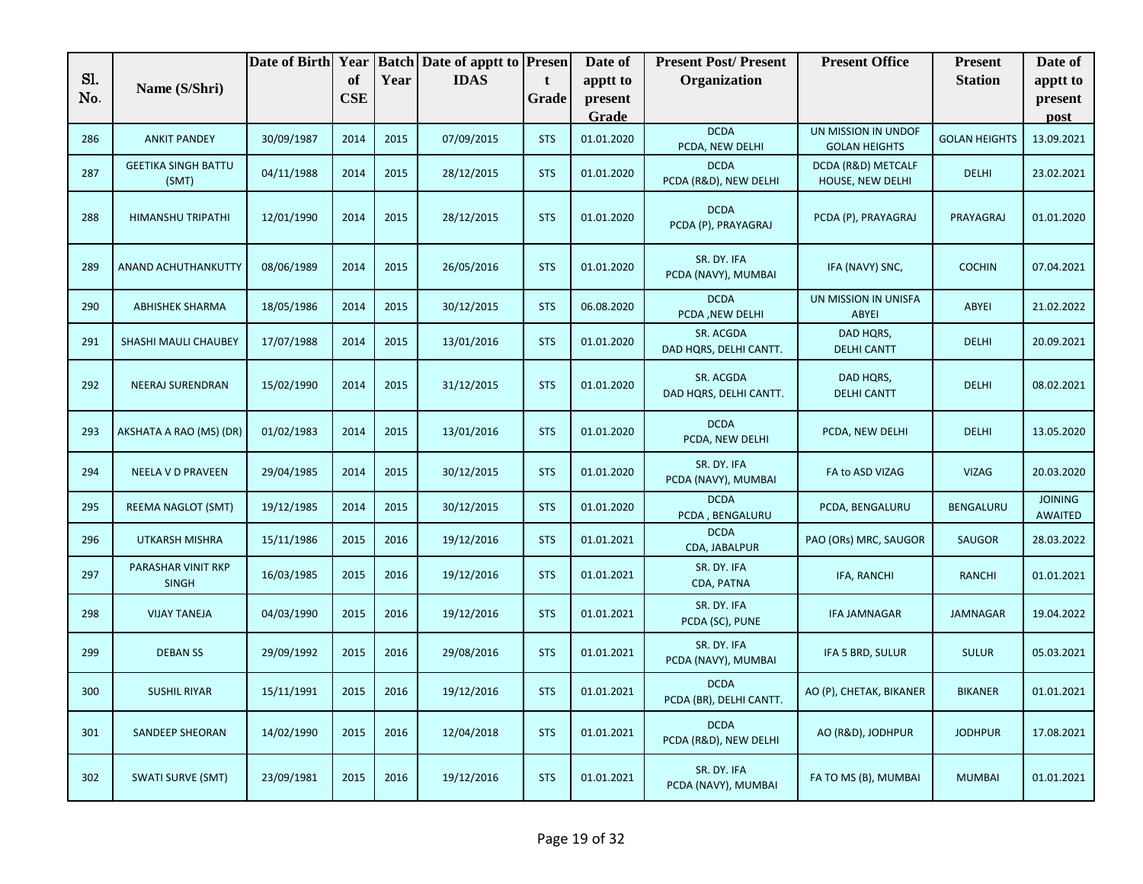|     |                                     | Date of Birth Year |            |      | <b>Batch Date of apptt to Presen</b> |            | Date of          | <b>Present Post/Present</b>            | <b>Present Office</b>                       | <b>Present</b>       | Date of                          |
|-----|-------------------------------------|--------------------|------------|------|--------------------------------------|------------|------------------|----------------------------------------|---------------------------------------------|----------------------|----------------------------------|
| S1. | Name (S/Shri)                       |                    | of         | Year | <b>IDAS</b>                          | t          | apptt to         | Organization                           |                                             | <b>Station</b>       | apptt to                         |
| No. |                                     |                    | <b>CSE</b> |      |                                      | Grade      | present<br>Grade |                                        |                                             |                      | present                          |
| 286 | <b>ANKIT PANDEY</b>                 | 30/09/1987         | 2014       | 2015 | 07/09/2015                           | <b>STS</b> | 01.01.2020       | <b>DCDA</b><br>PCDA, NEW DELHI         | UN MISSION IN UNDOF<br><b>GOLAN HEIGHTS</b> | <b>GOLAN HEIGHTS</b> | post<br>13.09.2021               |
| 287 | <b>GEETIKA SINGH BATTU</b><br>(SMT) | 04/11/1988         | 2014       | 2015 | 28/12/2015                           | <b>STS</b> | 01.01.2020       | <b>DCDA</b><br>PCDA (R&D), NEW DELHI   | DCDA (R&D) METCALF<br>HOUSE, NEW DELHI      | <b>DELHI</b>         | 23.02.2021                       |
| 288 | HIMANSHU TRIPATHI                   | 12/01/1990         | 2014       | 2015 | 28/12/2015                           | <b>STS</b> | 01.01.2020       | <b>DCDA</b><br>PCDA (P), PRAYAGRAJ     | PCDA (P), PRAYAGRAJ                         | PRAYAGRAJ            | 01.01.2020                       |
| 289 | <b>ANAND ACHUTHANKUTTY</b>          | 08/06/1989         | 2014       | 2015 | 26/05/2016                           | <b>STS</b> | 01.01.2020       | SR. DY. IFA<br>PCDA (NAVY), MUMBAI     | IFA (NAVY) SNC,                             | <b>COCHIN</b>        | 07.04.2021                       |
| 290 | <b>ABHISHEK SHARMA</b>              | 18/05/1986         | 2014       | 2015 | 30/12/2015                           | <b>STS</b> | 06.08.2020       | <b>DCDA</b><br>PCDA, NEW DELHI         | UN MISSION IN UNISFA<br><b>ABYEI</b>        | ABYEI                | 21.02.2022                       |
| 291 | <b>SHASHI MAULI CHAUBEY</b>         | 17/07/1988         | 2014       | 2015 | 13/01/2016                           | <b>STS</b> | 01.01.2020       | SR. ACGDA<br>DAD HQRS, DELHI CANTT.    | DAD HQRS,<br><b>DELHI CANTT</b>             | <b>DELHI</b>         | 20.09.2021                       |
| 292 | <b>NEERAJ SURENDRAN</b>             | 15/02/1990         | 2014       | 2015 | 31/12/2015                           | <b>STS</b> | 01.01.2020       | SR. ACGDA<br>DAD HQRS, DELHI CANTT.    | DAD HQRS,<br><b>DELHI CANTT</b>             | <b>DELHI</b>         | 08.02.2021                       |
| 293 | AKSHATA A RAO (MS) (DR)             | 01/02/1983         | 2014       | 2015 | 13/01/2016                           | <b>STS</b> | 01.01.2020       | <b>DCDA</b><br>PCDA, NEW DELHI         | PCDA, NEW DELHI                             | DELHI                | 13.05.2020                       |
| 294 | NEELA V D PRAVEEN                   | 29/04/1985         | 2014       | 2015 | 30/12/2015                           | <b>STS</b> | 01.01.2020       | SR. DY. IFA<br>PCDA (NAVY), MUMBAI     | FA to ASD VIZAG                             | <b>VIZAG</b>         | 20.03.2020                       |
| 295 | REEMA NAGLOT (SMT)                  | 19/12/1985         | 2014       | 2015 | 30/12/2015                           | <b>STS</b> | 01.01.2020       | <b>DCDA</b><br>PCDA, BENGALURU         | PCDA, BENGALURU                             | BENGALURU            | <b>JOINING</b><br><b>AWAITED</b> |
| 296 | <b>UTKARSH MISHRA</b>               | 15/11/1986         | 2015       | 2016 | 19/12/2016                           | <b>STS</b> | 01.01.2021       | <b>DCDA</b><br>CDA, JABALPUR           | PAO (ORs) MRC, SAUGOR                       | <b>SAUGOR</b>        | 28.03.2022                       |
| 297 | PARASHAR VINIT RKP<br><b>SINGH</b>  | 16/03/1985         | 2015       | 2016 | 19/12/2016                           | <b>STS</b> | 01.01.2021       | SR. DY. IFA<br>CDA, PATNA              | IFA, RANCHI                                 | <b>RANCHI</b>        | 01.01.2021                       |
| 298 | <b>VIJAY TANEJA</b>                 | 04/03/1990         | 2015       | 2016 | 19/12/2016                           | <b>STS</b> | 01.01.2021       | SR. DY. IFA<br>PCDA (SC), PUNE         | <b>IFA JAMNAGAR</b>                         | <b>JAMNAGAR</b>      | 19.04.2022                       |
| 299 | <b>DEBAN SS</b>                     | 29/09/1992         | 2015       | 2016 | 29/08/2016                           | <b>STS</b> | 01.01.2021       | SR. DY. IFA<br>PCDA (NAVY), MUMBAI     | IFA 5 BRD, SULUR                            | <b>SULUR</b>         | 05.03.2021                       |
| 300 | <b>SUSHIL RIYAR</b>                 | 15/11/1991         | 2015       | 2016 | 19/12/2016                           | <b>STS</b> | 01.01.2021       | <b>DCDA</b><br>PCDA (BR), DELHI CANTT. | AO (P), CHETAK, BIKANER                     | <b>BIKANER</b>       | 01.01.2021                       |
| 301 | <b>SANDEEP SHEORAN</b>              | 14/02/1990         | 2015       | 2016 | 12/04/2018                           | <b>STS</b> | 01.01.2021       | <b>DCDA</b><br>PCDA (R&D), NEW DELHI   | AO (R&D), JODHPUR                           | <b>JODHPUR</b>       | 17.08.2021                       |
| 302 | <b>SWATI SURVE (SMT)</b>            | 23/09/1981         | 2015       | 2016 | 19/12/2016                           | <b>STS</b> | 01.01.2021       | SR. DY. IFA<br>PCDA (NAVY), MUMBAI     | FA TO MS (B), MUMBAI                        | <b>MUMBAI</b>        | 01.01.2021                       |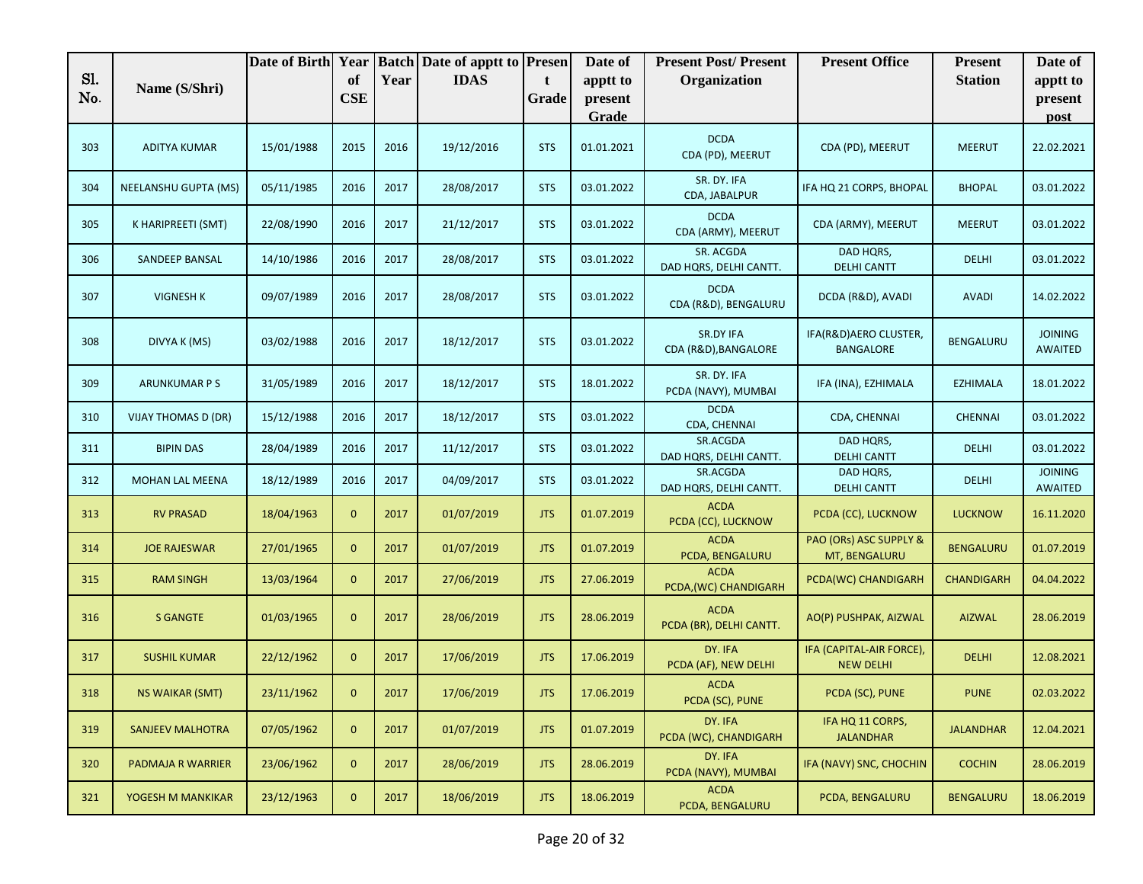|            |                         | Date of Birth Year |                  |      | <b>Batch Date of apptt to Presen</b> |            | Date of             | <b>Present Post/Present</b>              | <b>Present Office</b>                        | <b>Present</b>    | Date of                          |
|------------|-------------------------|--------------------|------------------|------|--------------------------------------|------------|---------------------|------------------------------------------|----------------------------------------------|-------------------|----------------------------------|
| Sl.<br>No. | Name (S/Shri)           |                    | of<br><b>CSE</b> | Year | <b>IDAS</b>                          | t<br>Grade | apptt to<br>present | Organization                             |                                              | <b>Station</b>    | apptt to<br>present              |
|            |                         |                    |                  |      |                                      |            | Grade               |                                          |                                              |                   | post                             |
| 303        | <b>ADITYA KUMAR</b>     | 15/01/1988         | 2015             | 2016 | 19/12/2016                           | <b>STS</b> | 01.01.2021          | <b>DCDA</b><br>CDA (PD), MEERUT          | CDA (PD), MEERUT                             | <b>MEERUT</b>     | 22.02.2021                       |
| 304        | NEELANSHU GUPTA (MS)    | 05/11/1985         | 2016             | 2017 | 28/08/2017                           | <b>STS</b> | 03.01.2022          | SR. DY. IFA<br>CDA, JABALPUR             | IFA HQ 21 CORPS, BHOPAL                      | <b>BHOPAL</b>     | 03.01.2022                       |
| 305        | K HARIPREETI (SMT)      | 22/08/1990         | 2016             | 2017 | 21/12/2017                           | <b>STS</b> | 03.01.2022          | <b>DCDA</b><br>CDA (ARMY), MEERUT        | CDA (ARMY), MEERUT                           | <b>MEERUT</b>     | 03.01.2022                       |
| 306        | SANDEEP BANSAL          | 14/10/1986         | 2016             | 2017 | 28/08/2017                           | <b>STS</b> | 03.01.2022          | SR. ACGDA<br>DAD HQRS, DELHI CANTT.      | DAD HQRS,<br><b>DELHI CANTT</b>              | <b>DELHI</b>      | 03.01.2022                       |
| 307        | <b>VIGNESH K</b>        | 09/07/1989         | 2016             | 2017 | 28/08/2017                           | <b>STS</b> | 03.01.2022          | <b>DCDA</b><br>CDA (R&D), BENGALURU      | DCDA (R&D), AVADI                            | <b>AVADI</b>      | 14.02.2022                       |
| 308        | DIVYA K (MS)            | 03/02/1988         | 2016             | 2017 | 18/12/2017                           | <b>STS</b> | 03.01.2022          | <b>SR.DY IFA</b><br>CDA (R&D), BANGALORE | IFA(R&D)AERO CLUSTER,<br><b>BANGALORE</b>    | BENGALURU         | <b>JOINING</b><br><b>AWAITED</b> |
| 309        | <b>ARUNKUMAR P S</b>    | 31/05/1989         | 2016             | 2017 | 18/12/2017                           | <b>STS</b> | 18.01.2022          | SR. DY. IFA<br>PCDA (NAVY), MUMBAI       | IFA (INA), EZHIMALA                          | <b>EZHIMALA</b>   | 18.01.2022                       |
| 310        | VIJAY THOMAS D (DR)     | 15/12/1988         | 2016             | 2017 | 18/12/2017                           | <b>STS</b> | 03.01.2022          | <b>DCDA</b><br>CDA, CHENNAI              | CDA, CHENNAI                                 | <b>CHENNAI</b>    | 03.01.2022                       |
| 311        | <b>BIPIN DAS</b>        | 28/04/1989         | 2016             | 2017 | 11/12/2017                           | <b>STS</b> | 03.01.2022          | SR.ACGDA<br>DAD HQRS, DELHI CANTT.       | DAD HQRS,<br><b>DELHI CANTT</b>              | <b>DELHI</b>      | 03.01.2022                       |
| 312        | MOHAN LAL MEENA         | 18/12/1989         | 2016             | 2017 | 04/09/2017                           | <b>STS</b> | 03.01.2022          | SR.ACGDA<br>DAD HQRS, DELHI CANTT.       | DAD HQRS,<br><b>DELHI CANTT</b>              | <b>DELHI</b>      | <b>JOINING</b><br><b>AWAITED</b> |
| 313        | <b>RV PRASAD</b>        | 18/04/1963         | $\mathbf{0}$     | 2017 | 01/07/2019                           | <b>JTS</b> | 01.07.2019          | <b>ACDA</b><br>PCDA (CC), LUCKNOW        | PCDA (CC), LUCKNOW                           | <b>LUCKNOW</b>    | 16.11.2020                       |
| 314        | <b>JOE RAJESWAR</b>     | 27/01/1965         | $\mathbf{0}$     | 2017 | 01/07/2019                           | <b>JTS</b> | 01.07.2019          | <b>ACDA</b><br>PCDA, BENGALURU           | PAO (ORs) ASC SUPPLY &<br>MT, BENGALURU      | <b>BENGALURU</b>  | 01.07.2019                       |
| 315        | <b>RAM SINGH</b>        | 13/03/1964         | $\mathbf{0}$     | 2017 | 27/06/2019                           | <b>JTS</b> | 27.06.2019          | <b>ACDA</b><br>PCDA, (WC) CHANDIGARH     | PCDA(WC) CHANDIGARH                          | <b>CHANDIGARH</b> | 04.04.2022                       |
| 316        | <b>S GANGTE</b>         | 01/03/1965         | $\mathbf{0}$     | 2017 | 28/06/2019                           | <b>JTS</b> | 28.06.2019          | <b>ACDA</b><br>PCDA (BR), DELHI CANTT.   | AO(P) PUSHPAK, AIZWAL                        | <b>AIZWAL</b>     | 28.06.2019                       |
| 317        | <b>SUSHIL KUMAR</b>     | 22/12/1962         | $\mathbf{0}$     | 2017 | 17/06/2019                           | <b>JTS</b> | 17.06.2019          | DY. IFA<br>PCDA (AF), NEW DELHI          | IFA (CAPITAL-AIR FORCE),<br><b>NEW DELHI</b> | <b>DELHI</b>      | 12.08.2021                       |
| 318        | <b>NS WAIKAR (SMT)</b>  | 23/11/1962         | $\mathbf{0}$     | 2017 | 17/06/2019                           | <b>JTS</b> | 17.06.2019          | <b>ACDA</b><br>PCDA (SC), PUNE           | PCDA (SC), PUNE                              | <b>PUNE</b>       | 02.03.2022                       |
| 319        | <b>SANJEEV MALHOTRA</b> | 07/05/1962         | $\mathbf{0}$     | 2017 | 01/07/2019                           | <b>JTS</b> | 01.07.2019          | DY. IFA<br>PCDA (WC), CHANDIGARH         | IFA HQ 11 CORPS,<br><b>JALANDHAR</b>         | <b>JALANDHAR</b>  | 12.04.2021                       |
| 320        | PADMAJA R WARRIER       | 23/06/1962         | $\mathbf{0}$     | 2017 | 28/06/2019                           | <b>JTS</b> | 28.06.2019          | DY. IFA<br>PCDA (NAVY), MUMBAI           | IFA (NAVY) SNC, CHOCHIN                      | <b>COCHIN</b>     | 28.06.2019                       |
| 321        | YOGESH M MANKIKAR       | 23/12/1963         | $\overline{0}$   | 2017 | 18/06/2019                           | <b>JTS</b> | 18.06.2019          | <b>ACDA</b><br>PCDA, BENGALURU           | PCDA, BENGALURU                              | <b>BENGALURU</b>  | 18.06.2019                       |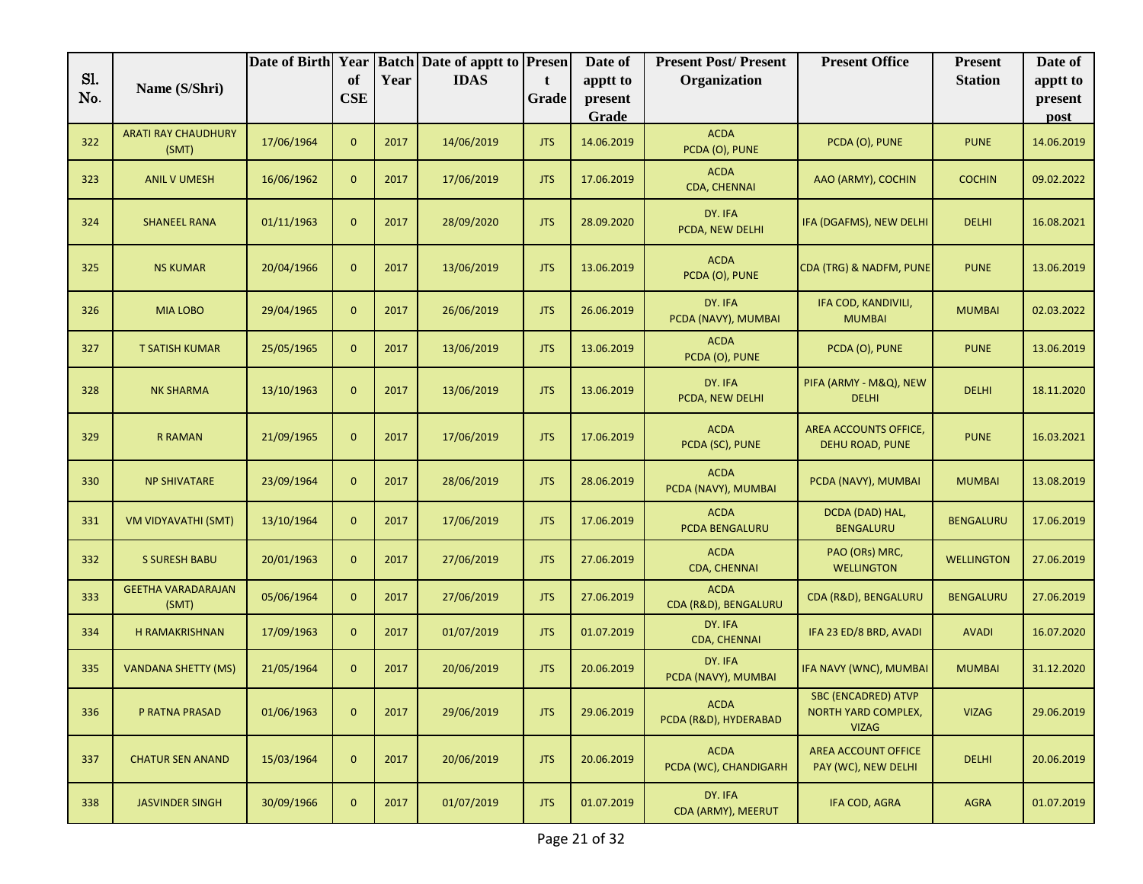| Sl. |                                     | Date of Birth Year | of             |      | <b>Batch Date of apptt to Presen</b><br><b>IDAS</b> |            | Date of             | <b>Present Post/Present</b>          | <b>Present Office</b>                                             | <b>Present</b>    | Date of             |
|-----|-------------------------------------|--------------------|----------------|------|-----------------------------------------------------|------------|---------------------|--------------------------------------|-------------------------------------------------------------------|-------------------|---------------------|
| No. | Name (S/Shri)                       |                    | <b>CSE</b>     | Year |                                                     | t<br>Grade | apptt to<br>present | Organization                         |                                                                   | <b>Station</b>    | apptt to<br>present |
|     |                                     |                    |                |      |                                                     |            | Grade               |                                      |                                                                   |                   | post                |
| 322 | <b>ARATI RAY CHAUDHURY</b><br>(SMT) | 17/06/1964         | $\mathbf{0}$   | 2017 | 14/06/2019                                          | <b>JTS</b> | 14.06.2019          | <b>ACDA</b><br>PCDA (O), PUNE        | PCDA (O), PUNE                                                    | <b>PUNE</b>       | 14.06.2019          |
| 323 | <b>ANIL V UMESH</b>                 | 16/06/1962         | $\overline{0}$ | 2017 | 17/06/2019                                          | <b>JTS</b> | 17.06.2019          | <b>ACDA</b><br>CDA, CHENNAI          | AAO (ARMY), COCHIN                                                | <b>COCHIN</b>     | 09.02.2022          |
| 324 | <b>SHANEEL RANA</b>                 | 01/11/1963         | $\mathbf{0}$   | 2017 | 28/09/2020                                          | <b>JTS</b> | 28.09.2020          | DY. IFA<br>PCDA, NEW DELHI           | IFA (DGAFMS), NEW DELHI                                           | <b>DELHI</b>      | 16.08.2021          |
| 325 | <b>NS KUMAR</b>                     | 20/04/1966         | $\mathbf{0}$   | 2017 | 13/06/2019                                          | <b>JTS</b> | 13.06.2019          | <b>ACDA</b><br>PCDA (O), PUNE        | CDA (TRG) & NADFM, PUNE                                           | <b>PUNE</b>       | 13.06.2019          |
| 326 | <b>MIA LOBO</b>                     | 29/04/1965         | $\mathbf{0}$   | 2017 | 26/06/2019                                          | <b>JTS</b> | 26.06.2019          | DY. IFA<br>PCDA (NAVY), MUMBAI       | IFA COD, KANDIVILI,<br><b>MUMBAI</b>                              | <b>MUMBAI</b>     | 02.03.2022          |
| 327 | <b>T SATISH KUMAR</b>               | 25/05/1965         | $\mathbf{0}$   | 2017 | 13/06/2019                                          | <b>JTS</b> | 13.06.2019          | <b>ACDA</b><br>PCDA (O), PUNE        | PCDA (O), PUNE                                                    | <b>PUNE</b>       | 13.06.2019          |
| 328 | <b>NK SHARMA</b>                    | 13/10/1963         | $\mathbf{0}$   | 2017 | 13/06/2019                                          | <b>JTS</b> | 13.06.2019          | DY. IFA<br>PCDA, NEW DELHI           | PIFA (ARMY - M&Q), NEW<br><b>DELHI</b>                            | <b>DELHI</b>      | 18.11.2020          |
| 329 | <b>R RAMAN</b>                      | 21/09/1965         | $\mathbf{0}$   | 2017 | 17/06/2019                                          | <b>JTS</b> | 17.06.2019          | <b>ACDA</b><br>PCDA (SC), PUNE       | AREA ACCOUNTS OFFICE,<br>DEHU ROAD, PUNE                          | <b>PUNE</b>       | 16.03.2021          |
| 330 | <b>NP SHIVATARE</b>                 | 23/09/1964         | $\mathbf{0}$   | 2017 | 28/06/2019                                          | <b>JTS</b> | 28.06.2019          | <b>ACDA</b><br>PCDA (NAVY), MUMBAI   | PCDA (NAVY), MUMBAI                                               | <b>MUMBAI</b>     | 13.08.2019          |
| 331 | VM VIDYAVATHI (SMT)                 | 13/10/1964         | $\mathbf{0}$   | 2017 | 17/06/2019                                          | <b>JTS</b> | 17.06.2019          | <b>ACDA</b><br>PCDA BENGALURU        | DCDA (DAD) HAL,<br><b>BENGALURU</b>                               | <b>BENGALURU</b>  | 17.06.2019          |
| 332 | <b>S SURESH BABU</b>                | 20/01/1963         | $\mathbf{0}$   | 2017 | 27/06/2019                                          | <b>JTS</b> | 27.06.2019          | <b>ACDA</b><br>CDA, CHENNAI          | PAO (ORs) MRC,<br><b>WELLINGTON</b>                               | <b>WELLINGTON</b> | 27.06.2019          |
| 333 | <b>GEETHA VARADARAJAN</b><br>(SMT)  | 05/06/1964         | $\mathbf{0}$   | 2017 | 27/06/2019                                          | <b>JTS</b> | 27.06.2019          | <b>ACDA</b><br>CDA (R&D), BENGALURU  | CDA (R&D), BENGALURU                                              | <b>BENGALURU</b>  | 27.06.2019          |
| 334 | H RAMAKRISHNAN                      | 17/09/1963         | $\mathbf{0}$   | 2017 | 01/07/2019                                          | <b>JTS</b> | 01.07.2019          | DY. IFA<br>CDA, CHENNAI              | IFA 23 ED/8 BRD, AVADI                                            | <b>AVADI</b>      | 16.07.2020          |
| 335 | <b>VANDANA SHETTY (MS)</b>          | 21/05/1964         | $\mathbf{0}$   | 2017 | 20/06/2019                                          | <b>JTS</b> | 20.06.2019          | DY. IFA<br>PCDA (NAVY), MUMBAI       | IFA NAVY (WNC), MUMBAI                                            | <b>MUMBAI</b>     | 31.12.2020          |
| 336 | P RATNA PRASAD                      | 01/06/1963         | $\mathbf{0}$   | 2017 | 29/06/2019                                          | <b>JTS</b> | 29.06.2019          | <b>ACDA</b><br>PCDA (R&D), HYDERABAD | SBC (ENCADRED) ATVP<br><b>NORTH YARD COMPLEX,</b><br><b>VIZAG</b> | <b>VIZAG</b>      | 29.06.2019          |
| 337 | <b>CHATUR SEN ANAND</b>             | 15/03/1964         | $\mathbf{0}$   | 2017 | 20/06/2019                                          | <b>JTS</b> | 20.06.2019          | <b>ACDA</b><br>PCDA (WC), CHANDIGARH | AREA ACCOUNT OFFICE<br>PAY (WC), NEW DELHI                        | <b>DELHI</b>      | 20.06.2019          |
| 338 | <b>JASVINDER SINGH</b>              | 30/09/1966         | $\mathbf{0}$   | 2017 | 01/07/2019                                          | <b>JTS</b> | 01.07.2019          | DY. IFA<br>CDA (ARMY), MEERUT        | IFA COD, AGRA                                                     | <b>AGRA</b>       | 01.07.2019          |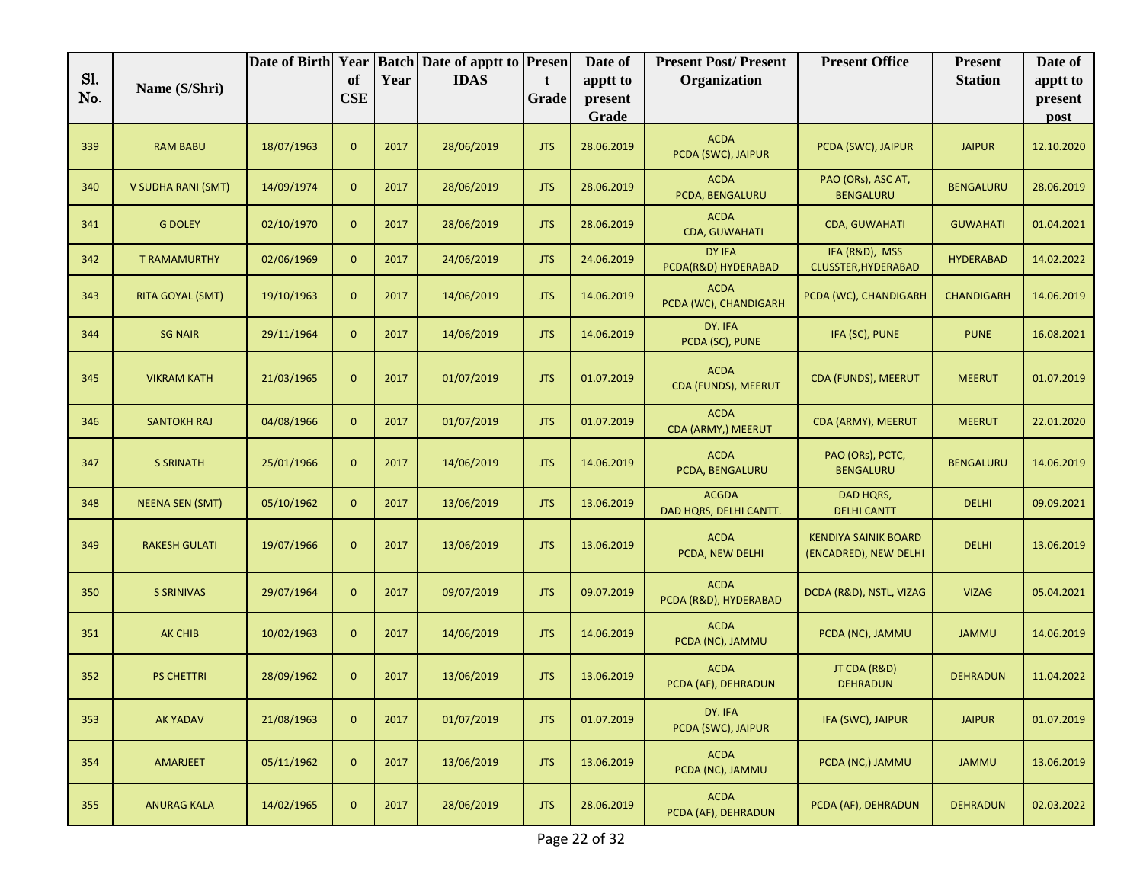| Sl. |                           | Date of Birth Year |                  |      | <b>Batch Date of apptt to</b> | <b>Presen</b> | Date of             | <b>Present Post/Present</b>            | <b>Present Office</b>                                | <b>Present</b>    | Date of             |
|-----|---------------------------|--------------------|------------------|------|-------------------------------|---------------|---------------------|----------------------------------------|------------------------------------------------------|-------------------|---------------------|
| No. | Name (S/Shri)             |                    | of<br><b>CSE</b> | Year | <b>IDAS</b>                   | t<br>Grade    | apptt to<br>present | Organization                           |                                                      | <b>Station</b>    | apptt to<br>present |
|     |                           |                    |                  |      |                               |               | Grade               |                                        |                                                      |                   | post                |
| 339 | <b>RAM BABU</b>           | 18/07/1963         | $\mathbf{0}$     | 2017 | 28/06/2019                    | <b>JTS</b>    | 28.06.2019          | <b>ACDA</b><br>PCDA (SWC), JAIPUR      | PCDA (SWC), JAIPUR                                   | <b>JAIPUR</b>     | 12.10.2020          |
| 340 | <b>V SUDHA RANI (SMT)</b> | 14/09/1974         | $\mathbf{0}$     | 2017 | 28/06/2019                    | <b>JTS</b>    | 28.06.2019          | <b>ACDA</b><br>PCDA, BENGALURU         | PAO (ORs), ASC AT,<br><b>BENGALURU</b>               | <b>BENGALURU</b>  | 28.06.2019          |
| 341 | <b>G DOLEY</b>            | 02/10/1970         | $\mathbf{0}$     | 2017 | 28/06/2019                    | <b>JTS</b>    | 28.06.2019          | <b>ACDA</b><br>CDA, GUWAHATI           | <b>CDA, GUWAHATI</b>                                 | <b>GUWAHATI</b>   | 01.04.2021          |
| 342 | <b>T RAMAMURTHY</b>       | 02/06/1969         | $\mathbf{0}$     | 2017 | 24/06/2019                    | <b>JTS</b>    | 24.06.2019          | DY IFA<br>PCDA(R&D) HYDERABAD          | IFA (R&D), MSS<br>CLUSSTER, HYDERABAD                | <b>HYDERABAD</b>  | 14.02.2022          |
| 343 | <b>RITA GOYAL (SMT)</b>   | 19/10/1963         | $\mathbf{0}$     | 2017 | 14/06/2019                    | <b>JTS</b>    | 14.06.2019          | <b>ACDA</b><br>PCDA (WC), CHANDIGARH   | PCDA (WC), CHANDIGARH                                | <b>CHANDIGARH</b> | 14.06.2019          |
| 344 | <b>SG NAIR</b>            | 29/11/1964         | $\mathbf{0}$     | 2017 | 14/06/2019                    | <b>JTS</b>    | 14.06.2019          | DY. IFA<br>PCDA (SC), PUNE             | IFA (SC), PUNE                                       | <b>PUNE</b>       | 16.08.2021          |
| 345 | <b>VIKRAM KATH</b>        | 21/03/1965         | $\mathbf{0}$     | 2017 | 01/07/2019                    | <b>JTS</b>    | 01.07.2019          | <b>ACDA</b><br>CDA (FUNDS), MEERUT     | <b>CDA (FUNDS), MEERUT</b>                           | <b>MEERUT</b>     | 01.07.2019          |
| 346 | <b>SANTOKH RAJ</b>        | 04/08/1966         | $\overline{0}$   | 2017 | 01/07/2019                    | <b>JTS</b>    | 01.07.2019          | <b>ACDA</b><br>CDA (ARMY,) MEERUT      | CDA (ARMY), MEERUT                                   | <b>MEERUT</b>     | 22.01.2020          |
| 347 | <b>S SRINATH</b>          | 25/01/1966         | $\mathbf{0}$     | 2017 | 14/06/2019                    | <b>JTS</b>    | 14.06.2019          | <b>ACDA</b><br>PCDA, BENGALURU         | PAO (ORs), PCTC,<br><b>BENGALURU</b>                 | <b>BENGALURU</b>  | 14.06.2019          |
| 348 | <b>NEENA SEN (SMT)</b>    | 05/10/1962         | $\mathbf{0}$     | 2017 | 13/06/2019                    | <b>JTS</b>    | 13.06.2019          | <b>ACGDA</b><br>DAD HQRS, DELHI CANTT. | DAD HQRS,<br><b>DELHI CANTT</b>                      | <b>DELHI</b>      | 09.09.2021          |
| 349 | <b>RAKESH GULATI</b>      | 19/07/1966         | $\mathbf{0}$     | 2017 | 13/06/2019                    | <b>JTS</b>    | 13.06.2019          | <b>ACDA</b><br>PCDA, NEW DELHI         | <b>KENDIYA SAINIK BOARD</b><br>(ENCADRED), NEW DELHI | <b>DELHI</b>      | 13.06.2019          |
| 350 | <b>S SRINIVAS</b>         | 29/07/1964         | $\mathbf{0}$     | 2017 | 09/07/2019                    | <b>JTS</b>    | 09.07.2019          | <b>ACDA</b><br>PCDA (R&D), HYDERABAD   | DCDA (R&D), NSTL, VIZAG                              | <b>VIZAG</b>      | 05.04.2021          |
| 351 | <b>AK CHIB</b>            | 10/02/1963         | $\mathbf{0}$     | 2017 | 14/06/2019                    | <b>JTS</b>    | 14.06.2019          | <b>ACDA</b><br>PCDA (NC), JAMMU        | PCDA (NC), JAMMU                                     | <b>JAMMU</b>      | 14.06.2019          |
| 352 | <b>PS CHETTRI</b>         | 28/09/1962         | $\mathbf{0}$     | 2017 | 13/06/2019                    | <b>JTS</b>    | 13.06.2019          | <b>ACDA</b><br>PCDA (AF), DEHRADUN     | JT CDA (R&D)<br><b>DEHRADUN</b>                      | <b>DEHRADUN</b>   | 11.04.2022          |
| 353 | <b>AK YADAV</b>           | 21/08/1963         | $\mathbf{0}$     | 2017 | 01/07/2019                    | <b>JTS</b>    | 01.07.2019          | DY. IFA<br>PCDA (SWC), JAIPUR          | IFA (SWC), JAIPUR                                    | <b>JAIPUR</b>     | 01.07.2019          |
| 354 | AMARJEET                  | 05/11/1962         | $\mathbf{0}$     | 2017 | 13/06/2019                    | <b>JTS</b>    | 13.06.2019          | <b>ACDA</b><br>PCDA (NC), JAMMU        | PCDA (NC,) JAMMU                                     | <b>JAMMU</b>      | 13.06.2019          |
| 355 | <b>ANURAG KALA</b>        | 14/02/1965         | $\mathbf{0}$     | 2017 | 28/06/2019                    | <b>JTS</b>    | 28.06.2019          | <b>ACDA</b><br>PCDA (AF), DEHRADUN     | PCDA (AF), DEHRADUN                                  | <b>DEHRADUN</b>   | 02.03.2022          |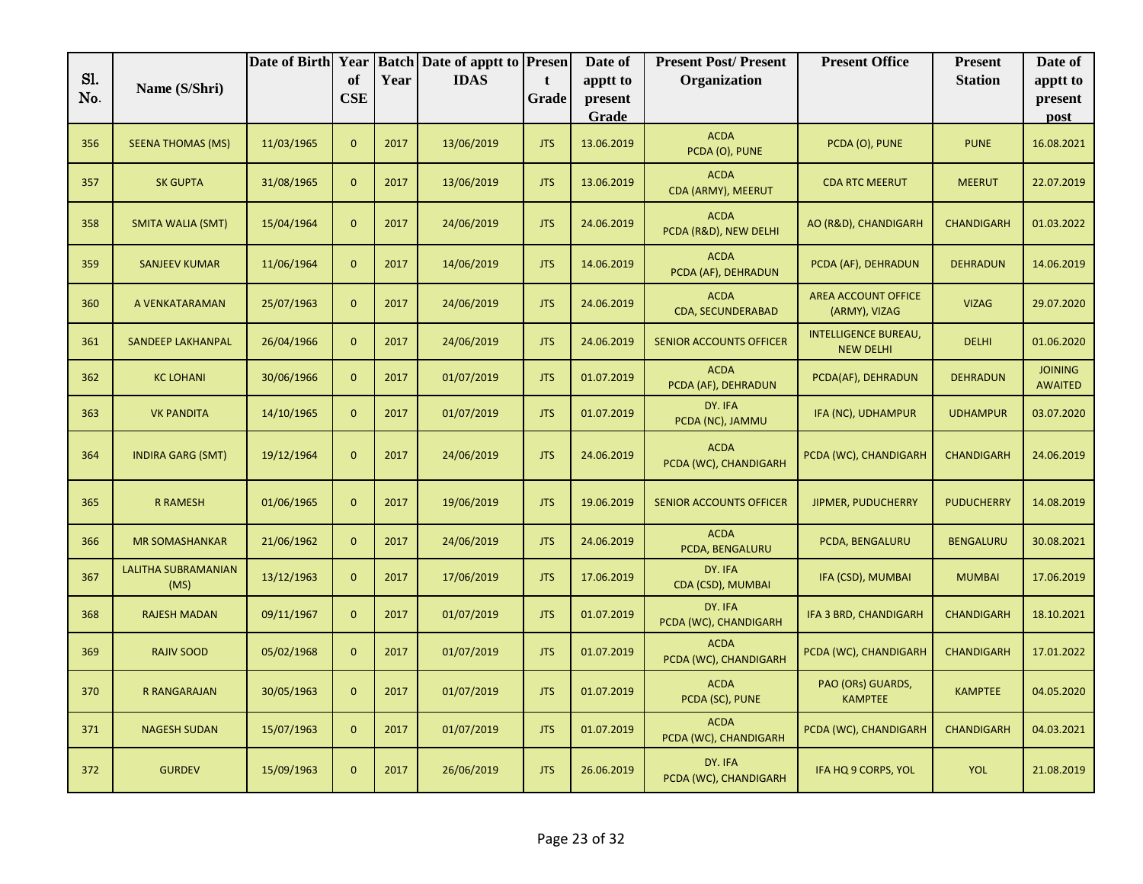|            |                                    | Date of Birth Year |                |      | <b>Batch Date of apptt to Presen</b> |            | Date of             | <b>Present Post/Present</b>          | <b>Present Office</b>                           | <b>Present</b>    | Date of                          |
|------------|------------------------------------|--------------------|----------------|------|--------------------------------------|------------|---------------------|--------------------------------------|-------------------------------------------------|-------------------|----------------------------------|
| Sl.<br>No. | Name (S/Shri)                      |                    | of<br>CSE      | Year | <b>IDAS</b>                          | t<br>Grade | apptt to<br>present | Organization                         |                                                 | <b>Station</b>    | apptt to<br>present              |
|            |                                    |                    |                |      |                                      |            | Grade               |                                      |                                                 |                   | post                             |
| 356        | <b>SEENA THOMAS (MS)</b>           | 11/03/1965         | $\mathbf{0}$   | 2017 | 13/06/2019                           | <b>JTS</b> | 13.06.2019          | <b>ACDA</b><br>PCDA (O), PUNE        | PCDA (O), PUNE                                  | <b>PUNE</b>       | 16.08.2021                       |
| 357        | <b>SK GUPTA</b>                    | 31/08/1965         | $\overline{0}$ | 2017 | 13/06/2019                           | <b>JTS</b> | 13.06.2019          | <b>ACDA</b><br>CDA (ARMY), MEERUT    | <b>CDA RTC MEERUT</b>                           | <b>MEERUT</b>     | 22.07.2019                       |
| 358        | <b>SMITA WALIA (SMT)</b>           | 15/04/1964         | $\mathbf{0}$   | 2017 | 24/06/2019                           | <b>JTS</b> | 24.06.2019          | <b>ACDA</b><br>PCDA (R&D), NEW DELHI | AO (R&D), CHANDIGARH                            | <b>CHANDIGARH</b> | 01.03.2022                       |
| 359        | <b>SANJEEV KUMAR</b>               | 11/06/1964         | $\overline{0}$ | 2017 | 14/06/2019                           | <b>JTS</b> | 14.06.2019          | <b>ACDA</b><br>PCDA (AF), DEHRADUN   | PCDA (AF), DEHRADUN                             | <b>DEHRADUN</b>   | 14.06.2019                       |
| 360        | A VENKATARAMAN                     | 25/07/1963         | $\overline{0}$ | 2017 | 24/06/2019                           | <b>JTS</b> | 24.06.2019          | <b>ACDA</b><br>CDA, SECUNDERABAD     | <b>AREA ACCOUNT OFFICE</b><br>(ARMY), VIZAG     | <b>VIZAG</b>      | 29.07.2020                       |
| 361        | <b>SANDEEP LAKHANPAL</b>           | 26/04/1966         | $\overline{0}$ | 2017 | 24/06/2019                           | <b>JTS</b> | 24.06.2019          | <b>SENIOR ACCOUNTS OFFICER</b>       | <b>INTELLIGENCE BUREAU,</b><br><b>NEW DELHI</b> | <b>DELHI</b>      | 01.06.2020                       |
| 362        | <b>KC LOHANI</b>                   | 30/06/1966         | $\overline{0}$ | 2017 | 01/07/2019                           | <b>JTS</b> | 01.07.2019          | <b>ACDA</b><br>PCDA (AF), DEHRADUN   | PCDA(AF), DEHRADUN                              | <b>DEHRADUN</b>   | <b>JOINING</b><br><b>AWAITED</b> |
| 363        | <b>VK PANDITA</b>                  | 14/10/1965         | $\overline{0}$ | 2017 | 01/07/2019                           | <b>JTS</b> | 01.07.2019          | DY. IFA<br>PCDA (NC), JAMMU          | IFA (NC), UDHAMPUR                              | <b>UDHAMPUR</b>   | 03.07.2020                       |
| 364        | <b>INDIRA GARG (SMT)</b>           | 19/12/1964         | $\mathbf{0}$   | 2017 | 24/06/2019                           | <b>JTS</b> | 24.06.2019          | <b>ACDA</b><br>PCDA (WC), CHANDIGARH | PCDA (WC), CHANDIGARH                           | <b>CHANDIGARH</b> | 24.06.2019                       |
| 365        | <b>R RAMESH</b>                    | 01/06/1965         | $\overline{0}$ | 2017 | 19/06/2019                           | <b>JTS</b> | 19.06.2019          | <b>SENIOR ACCOUNTS OFFICER</b>       | JIPMER, PUDUCHERRY                              | <b>PUDUCHERRY</b> | 14.08.2019                       |
| 366        | <b>MR SOMASHANKAR</b>              | 21/06/1962         | $\overline{0}$ | 2017 | 24/06/2019                           | <b>JTS</b> | 24.06.2019          | <b>ACDA</b><br>PCDA, BENGALURU       | PCDA, BENGALURU                                 | <b>BENGALURU</b>  | 30.08.2021                       |
| 367        | <b>LALITHA SUBRAMANIAN</b><br>(MS) | 13/12/1963         | $\overline{0}$ | 2017 | 17/06/2019                           | <b>JTS</b> | 17.06.2019          | DY. IFA<br>CDA (CSD), MUMBAI         | IFA (CSD), MUMBAI                               | <b>MUMBAI</b>     | 17.06.2019                       |
| 368        | <b>RAJESH MADAN</b>                | 09/11/1967         | $\overline{0}$ | 2017 | 01/07/2019                           | <b>JTS</b> | 01.07.2019          | DY. IFA<br>PCDA (WC), CHANDIGARH     | IFA 3 BRD, CHANDIGARH                           | <b>CHANDIGARH</b> | 18.10.2021                       |
| 369        | <b>RAJIV SOOD</b>                  | 05/02/1968         | $\overline{0}$ | 2017 | 01/07/2019                           | <b>JTS</b> | 01.07.2019          | <b>ACDA</b><br>PCDA (WC), CHANDIGARH | PCDA (WC), CHANDIGARH                           | <b>CHANDIGARH</b> | 17.01.2022                       |
| 370        | <b>R RANGARAJAN</b>                | 30/05/1963         | $\overline{0}$ | 2017 | 01/07/2019                           | <b>JTS</b> | 01.07.2019          | <b>ACDA</b><br>PCDA (SC), PUNE       | PAO (ORs) GUARDS,<br><b>KAMPTEE</b>             | <b>KAMPTEE</b>    | 04.05.2020                       |
| 371        | <b>NAGESH SUDAN</b>                | 15/07/1963         | $\overline{0}$ | 2017 | 01/07/2019                           | <b>JTS</b> | 01.07.2019          | <b>ACDA</b><br>PCDA (WC), CHANDIGARH | PCDA (WC), CHANDIGARH                           | <b>CHANDIGARH</b> | 04.03.2021                       |
| 372        | <b>GURDEV</b>                      | 15/09/1963         | $\mathbf{0}$   | 2017 | 26/06/2019                           | <b>JTS</b> | 26.06.2019          | DY. IFA<br>PCDA (WC), CHANDIGARH     | IFA HQ 9 CORPS, YOL                             | <b>YOL</b>        | 21.08.2019                       |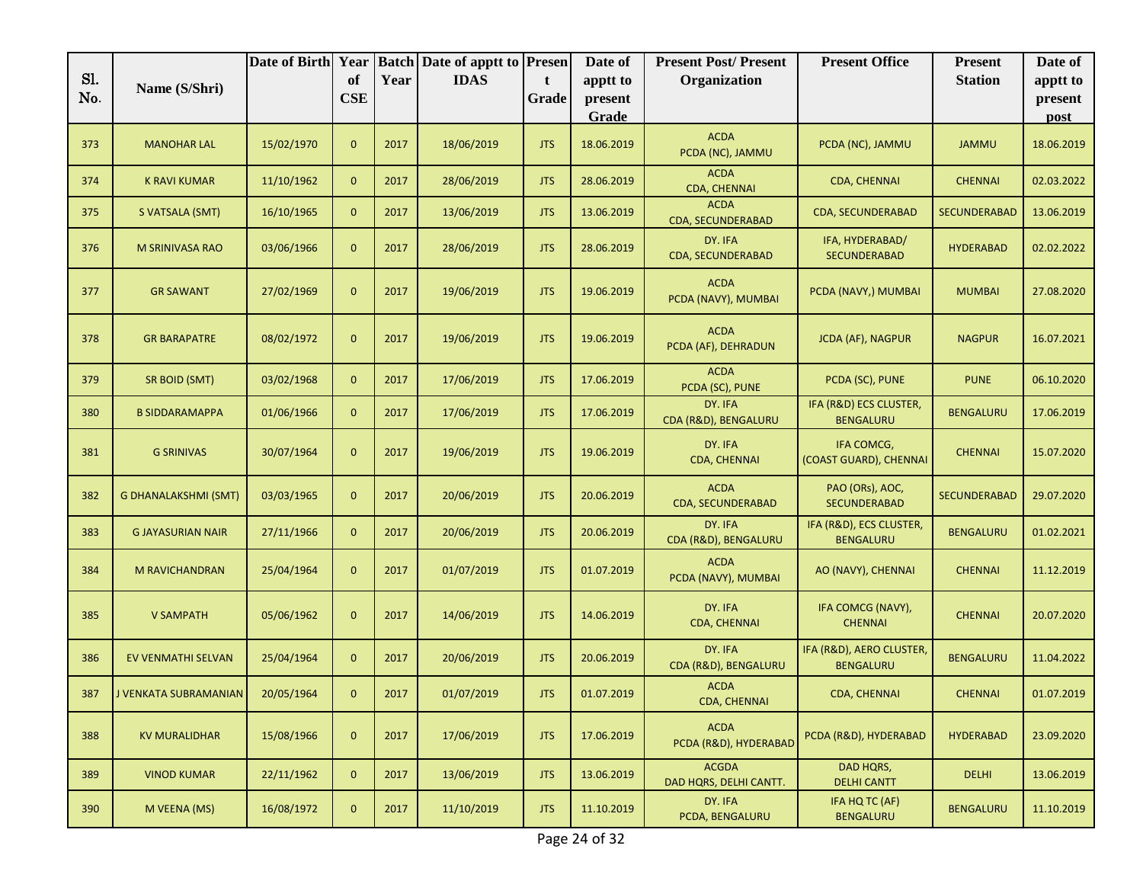|     |                             | Date of Birth Year |              |      | <b>Batch Date of apptt to Presen</b> |            | Date of          | <b>Present Post/Present</b>            | <b>Present Office</b>                        | <b>Present</b>      | Date of         |
|-----|-----------------------------|--------------------|--------------|------|--------------------------------------|------------|------------------|----------------------------------------|----------------------------------------------|---------------------|-----------------|
| Sl. | Name (S/Shri)               |                    | of           | Year | <b>IDAS</b>                          | t          | apptt to         | Organization                           |                                              | <b>Station</b>      | apptt to        |
| No. |                             |                    | <b>CSE</b>   |      |                                      | Grade      | present<br>Grade |                                        |                                              |                     | present<br>post |
|     |                             |                    |              |      |                                      |            |                  | <b>ACDA</b>                            |                                              |                     |                 |
| 373 | <b>MANOHAR LAL</b>          | 15/02/1970         | $\mathbf{0}$ | 2017 | 18/06/2019                           | <b>JTS</b> | 18.06.2019       | PCDA (NC), JAMMU                       | PCDA (NC), JAMMU                             | <b>JAMMU</b>        | 18.06.2019      |
| 374 | <b>K RAVI KUMAR</b>         | 11/10/1962         | $\mathbf{0}$ | 2017 | 28/06/2019                           | <b>JTS</b> | 28.06.2019       | <b>ACDA</b><br>CDA, CHENNAI            | <b>CDA, CHENNAI</b>                          | <b>CHENNAI</b>      | 02.03.2022      |
| 375 | S VATSALA (SMT)             | 16/10/1965         | $\mathbf{0}$ | 2017 | 13/06/2019                           | <b>JTS</b> | 13.06.2019       | <b>ACDA</b><br>CDA, SECUNDERABAD       | <b>CDA, SECUNDERABAD</b>                     | SECUNDERABAD        | 13.06.2019      |
| 376 | M SRINIVASA RAO             | 03/06/1966         | $\mathbf{0}$ | 2017 | 28/06/2019                           | <b>JTS</b> | 28.06.2019       | DY. IFA<br>CDA, SECUNDERABAD           | IFA, HYDERABAD/<br><b>SECUNDERABAD</b>       | <b>HYDERABAD</b>    | 02.02.2022      |
| 377 | <b>GR SAWANT</b>            | 27/02/1969         | $\mathbf{0}$ | 2017 | 19/06/2019                           | <b>JTS</b> | 19.06.2019       | <b>ACDA</b><br>PCDA (NAVY), MUMBAI     | PCDA (NAVY,) MUMBAI                          | <b>MUMBAI</b>       | 27.08.2020      |
| 378 | <b>GR BARAPATRE</b>         | 08/02/1972         | $\mathbf{0}$ | 2017 | 19/06/2019                           | <b>JTS</b> | 19.06.2019       | <b>ACDA</b><br>PCDA (AF), DEHRADUN     | <b>JCDA (AF), NAGPUR</b>                     | <b>NAGPUR</b>       | 16.07.2021      |
| 379 | SR BOID (SMT)               | 03/02/1968         | $\mathbf{0}$ | 2017 | 17/06/2019                           | <b>JTS</b> | 17.06.2019       | <b>ACDA</b><br>PCDA (SC), PUNE         | PCDA (SC), PUNE                              | <b>PUNE</b>         | 06.10.2020      |
| 380 | <b>B SIDDARAMAPPA</b>       | 01/06/1966         | $\mathbf{0}$ | 2017 | 17/06/2019                           | <b>JTS</b> | 17.06.2019       | DY. IFA<br>CDA (R&D), BENGALURU        | IFA (R&D) ECS CLUSTER,<br><b>BENGALURU</b>   | <b>BENGALURU</b>    | 17.06.2019      |
| 381 | <b>G SRINIVAS</b>           | 30/07/1964         | $\mathbf{0}$ | 2017 | 19/06/2019                           | <b>JTS</b> | 19.06.2019       | DY. IFA<br>CDA, CHENNAI                | IFA COMCG,<br>(COAST GUARD), CHENNAI         | <b>CHENNAI</b>      | 15.07.2020      |
| 382 | <b>G DHANALAKSHMI (SMT)</b> | 03/03/1965         | $\mathbf{0}$ | 2017 | 20/06/2019                           | <b>JTS</b> | 20.06.2019       | <b>ACDA</b><br>CDA, SECUNDERABAD       | PAO (ORs), AOC,<br><b>SECUNDERABAD</b>       | <b>SECUNDERABAD</b> | 29.07.2020      |
| 383 | <b>G JAYASURIAN NAIR</b>    | 27/11/1966         | $\mathbf{0}$ | 2017 | 20/06/2019                           | <b>JTS</b> | 20.06.2019       | DY. IFA<br>CDA (R&D), BENGALURU        | IFA (R&D), ECS CLUSTER,<br><b>BENGALURU</b>  | <b>BENGALURU</b>    | 01.02.2021      |
| 384 | M RAVICHANDRAN              | 25/04/1964         | $\mathbf{0}$ | 2017 | 01/07/2019                           | <b>JTS</b> | 01.07.2019       | <b>ACDA</b><br>PCDA (NAVY), MUMBAI     | AO (NAVY), CHENNAI                           | <b>CHENNAI</b>      | 11.12.2019      |
| 385 | <b>V SAMPATH</b>            | 05/06/1962         | $\mathbf{0}$ | 2017 | 14/06/2019                           | <b>JTS</b> | 14.06.2019       | DY. IFA<br><b>CDA, CHENNAI</b>         | IFA COMCG (NAVY),<br><b>CHENNAI</b>          | <b>CHENNAI</b>      | 20.07.2020      |
| 386 | EV VENMATHI SELVAN          | 25/04/1964         | $\mathbf{0}$ | 2017 | 20/06/2019                           | <b>JTS</b> | 20.06.2019       | DY. IFA<br>CDA (R&D), BENGALURU        | IFA (R&D), AERO CLUSTER,<br><b>BENGALURU</b> | <b>BENGALURU</b>    | 11.04.2022      |
| 387 | J VENKATA SUBRAMANIAN       | 20/05/1964         | $\mathbf{0}$ | 2017 | 01/07/2019                           | <b>JTS</b> | 01.07.2019       | <b>ACDA</b><br><b>CDA, CHENNAI</b>     | <b>CDA, CHENNAI</b>                          | <b>CHENNAI</b>      | 01.07.2019      |
| 388 | <b>KV MURALIDHAR</b>        | 15/08/1966         | $\mathbf{0}$ | 2017 | 17/06/2019                           | <b>JTS</b> | 17.06.2019       | <b>ACDA</b><br>PCDA (R&D), HYDERABAD   | PCDA (R&D), HYDERABAD                        | <b>HYDERABAD</b>    | 23.09.2020      |
| 389 | <b>VINOD KUMAR</b>          | 22/11/1962         | $\mathbf{0}$ | 2017 | 13/06/2019                           | <b>JTS</b> | 13.06.2019       | <b>ACGDA</b><br>DAD HQRS, DELHI CANTT. | DAD HQRS,<br><b>DELHI CANTT</b>              | <b>DELHI</b>        | 13.06.2019      |
| 390 | M VEENA (MS)                | 16/08/1972         | $\mathbf{0}$ | 2017 | 11/10/2019                           | <b>JTS</b> | 11.10.2019       | DY. IFA<br>PCDA, BENGALURU             | IFA HQ TC (AF)<br>BENGALURU                  | <b>BENGALURU</b>    | 11.10.2019      |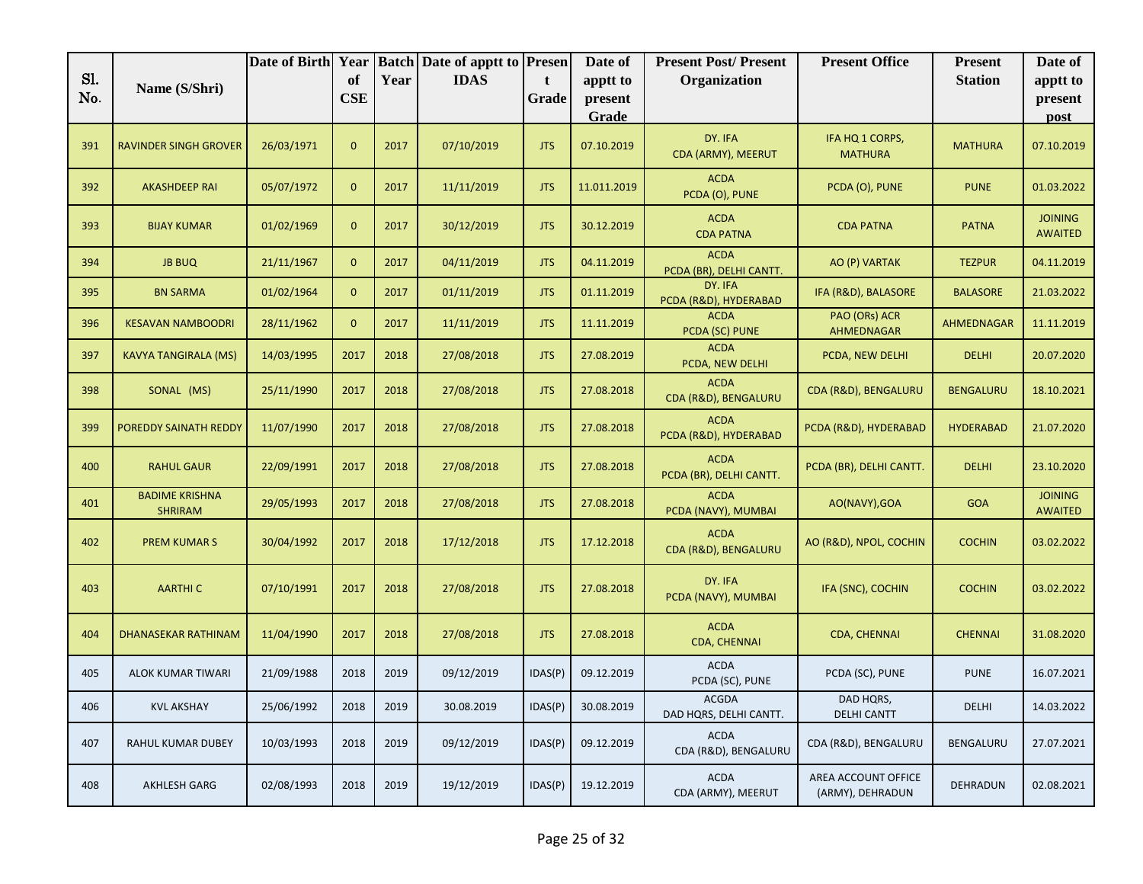|            |                                         | Date of Birth Year |                  |      | <b>Batch Date of apptt to Presen</b> |            | Date of             | <b>Present Post/Present</b>            | <b>Present Office</b>                   | <b>Present</b>    | Date of                          |
|------------|-----------------------------------------|--------------------|------------------|------|--------------------------------------|------------|---------------------|----------------------------------------|-----------------------------------------|-------------------|----------------------------------|
| Sl.<br>No. | Name (S/Shri)                           |                    | of<br><b>CSE</b> | Year | <b>IDAS</b>                          | t<br>Grade | apptt to<br>present | Organization                           |                                         | <b>Station</b>    | apptt to<br>present              |
|            |                                         |                    |                  |      |                                      |            | Grade               |                                        |                                         |                   | post                             |
| 391        | <b>RAVINDER SINGH GROVER</b>            | 26/03/1971         | $\mathbf{0}$     | 2017 | 07/10/2019                           | <b>JTS</b> | 07.10.2019          | DY. IFA<br>CDA (ARMY), MEERUT          | IFA HQ 1 CORPS,<br><b>MATHURA</b>       | <b>MATHURA</b>    | 07.10.2019                       |
| 392        | <b>AKASHDEEP RAI</b>                    | 05/07/1972         | $\mathbf{0}$     | 2017 | 11/11/2019                           | <b>JTS</b> | 11.011.2019         | <b>ACDA</b><br>PCDA (O), PUNE          | PCDA (O), PUNE                          | <b>PUNE</b>       | 01.03.2022                       |
| 393        | <b>BIJAY KUMAR</b>                      | 01/02/1969         | $\mathbf{0}$     | 2017 | 30/12/2019                           | <b>JTS</b> | 30.12.2019          | <b>ACDA</b><br><b>CDA PATNA</b>        | <b>CDA PATNA</b>                        | <b>PATNA</b>      | <b>JOINING</b><br><b>AWAITED</b> |
| 394        | <b>JB BUQ</b>                           | 21/11/1967         | $\mathbf{0}$     | 2017 | 04/11/2019                           | <b>JTS</b> | 04.11.2019          | <b>ACDA</b><br>PCDA (BR), DELHI CANTT. | AO (P) VARTAK                           | <b>TEZPUR</b>     | 04.11.2019                       |
| 395        | <b>BN SARMA</b>                         | 01/02/1964         | $\mathbf{0}$     | 2017 | 01/11/2019                           | <b>JTS</b> | 01.11.2019          | DY. IFA<br>PCDA (R&D), HYDERABAD       | IFA (R&D), BALASORE                     | <b>BALASORE</b>   | 21.03.2022                       |
| 396        | <b>KESAVAN NAMBOODRI</b>                | 28/11/1962         | $\mathbf{0}$     | 2017 | 11/11/2019                           | <b>JTS</b> | 11.11.2019          | <b>ACDA</b><br>PCDA (SC) PUNE          | PAO (ORs) ACR<br>AHMEDNAGAR             | <b>AHMEDNAGAR</b> | 11.11.2019                       |
| 397        | <b>KAVYA TANGIRALA (MS)</b>             | 14/03/1995         | 2017             | 2018 | 27/08/2018                           | <b>JTS</b> | 27.08.2019          | <b>ACDA</b><br>PCDA, NEW DELHI         | PCDA, NEW DELHI                         | <b>DELHI</b>      | 20.07.2020                       |
| 398        | SONAL (MS)                              | 25/11/1990         | 2017             | 2018 | 27/08/2018                           | <b>JTS</b> | 27.08.2018          | <b>ACDA</b><br>CDA (R&D), BENGALURU    | CDA (R&D), BENGALURU                    | <b>BENGALURU</b>  | 18.10.2021                       |
| 399        | POREDDY SAINATH REDDY                   | 11/07/1990         | 2017             | 2018 | 27/08/2018                           | <b>JTS</b> | 27.08.2018          | <b>ACDA</b><br>PCDA (R&D), HYDERABAD   | PCDA (R&D), HYDERABAD                   | <b>HYDERABAD</b>  | 21.07.2020                       |
| 400        | <b>RAHUL GAUR</b>                       | 22/09/1991         | 2017             | 2018 | 27/08/2018                           | <b>JTS</b> | 27.08.2018          | <b>ACDA</b><br>PCDA (BR), DELHI CANTT. | PCDA (BR), DELHI CANTT.                 | <b>DELHI</b>      | 23.10.2020                       |
| 401        | <b>BADIME KRISHNA</b><br><b>SHRIRAM</b> | 29/05/1993         | 2017             | 2018 | 27/08/2018                           | <b>JTS</b> | 27.08.2018          | <b>ACDA</b><br>PCDA (NAVY), MUMBAI     | AO(NAVY), GOA                           | <b>GOA</b>        | <b>JOINING</b><br><b>AWAITED</b> |
| 402        | <b>PREM KUMARS</b>                      | 30/04/1992         | 2017             | 2018 | 17/12/2018                           | <b>JTS</b> | 17.12.2018          | <b>ACDA</b><br>CDA (R&D), BENGALURU    | AO (R&D), NPOL, COCHIN                  | <b>COCHIN</b>     | 03.02.2022                       |
| 403        | <b>AARTHIC</b>                          | 07/10/1991         | 2017             | 2018 | 27/08/2018                           | <b>JTS</b> | 27.08.2018          | DY. IFA<br>PCDA (NAVY), MUMBAI         | IFA (SNC), COCHIN                       | <b>COCHIN</b>     | 03.02.2022                       |
| 404        | <b>DHANASEKAR RATHINAM</b>              | 11/04/1990         | 2017             | 2018 | 27/08/2018                           | <b>JTS</b> | 27.08.2018          | <b>ACDA</b><br>CDA, CHENNAI            | CDA, CHENNAI                            | <b>CHENNAI</b>    | 31.08.2020                       |
| 405        | <b>ALOK KUMAR TIWARI</b>                | 21/09/1988         | 2018             | 2019 | 09/12/2019                           | IDAS(P)    | 09.12.2019          | <b>ACDA</b><br>PCDA (SC), PUNE         | PCDA (SC), PUNE                         | <b>PUNE</b>       | 16.07.2021                       |
| 406        | <b>KVL AKSHAY</b>                       | 25/06/1992         | 2018             | 2019 | 30.08.2019                           | IDAS(P)    | 30.08.2019          | ACGDA<br>DAD HQRS, DELHI CANTT.        | DAD HQRS,<br>DELHI CANTT                | <b>DELHI</b>      | 14.03.2022                       |
| 407        | RAHUL KUMAR DUBEY                       | 10/03/1993         | 2018             | 2019 | 09/12/2019                           | IDAS(P)    | 09.12.2019          | <b>ACDA</b><br>CDA (R&D), BENGALURU    | CDA (R&D), BENGALURU                    | BENGALURU         | 27.07.2021                       |
| 408        | AKHLESH GARG                            | 02/08/1993         | 2018             | 2019 | 19/12/2019                           | IDAS(P)    | 19.12.2019          | <b>ACDA</b><br>CDA (ARMY), MEERUT      | AREA ACCOUNT OFFICE<br>(ARMY), DEHRADUN | DEHRADUN          | 02.08.2021                       |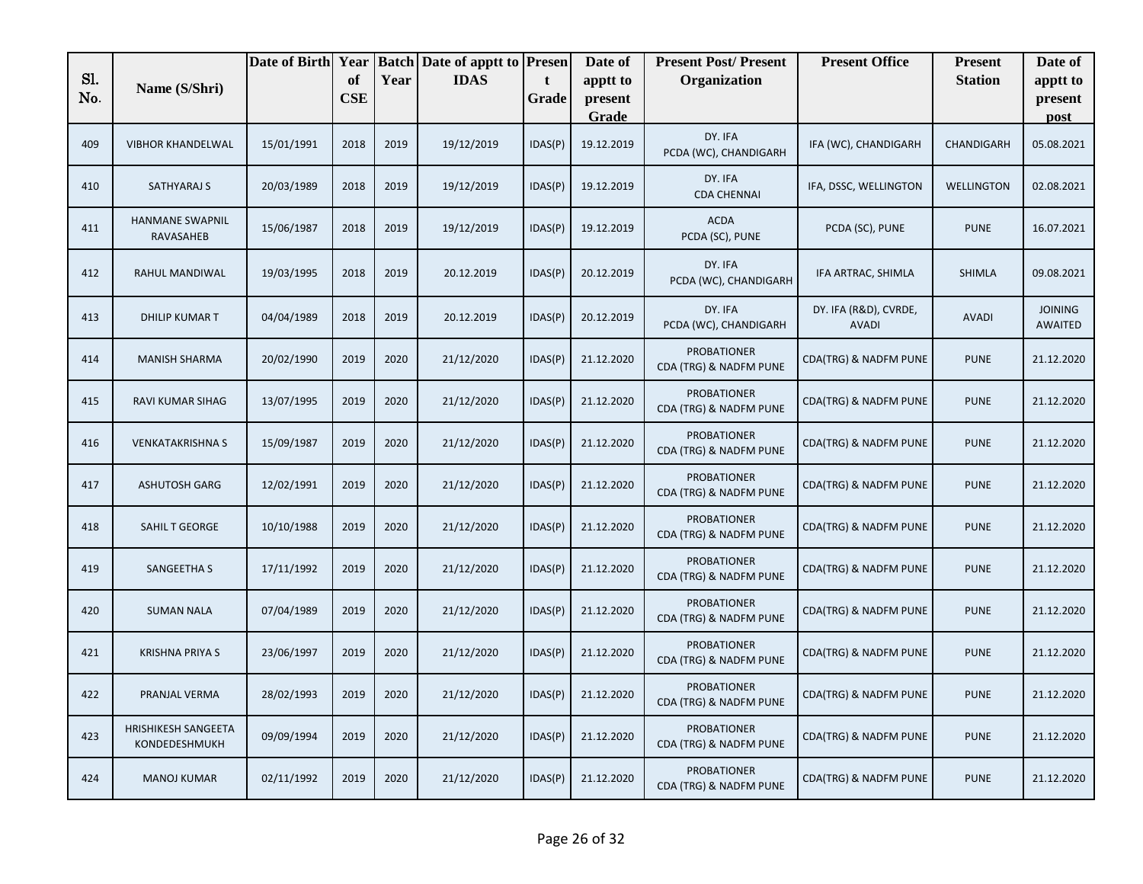|            |                                      | Date of Birth Year |                  |      | <b>Batch Date of apptt to Presen</b> |            | Date of             | <b>Present Post/Present</b>                  | <b>Present Office</b>                 | <b>Present</b>    | Date of                          |
|------------|--------------------------------------|--------------------|------------------|------|--------------------------------------|------------|---------------------|----------------------------------------------|---------------------------------------|-------------------|----------------------------------|
| Sl.<br>No. | Name (S/Shri)                        |                    | of<br><b>CSE</b> | Year | <b>IDAS</b>                          | t<br>Grade | apptt to<br>present | Organization                                 |                                       | <b>Station</b>    | apptt to<br>present              |
|            |                                      |                    |                  |      |                                      |            | Grade               |                                              |                                       |                   | post                             |
| 409        | <b>VIBHOR KHANDELWAL</b>             | 15/01/1991         | 2018             | 2019 | 19/12/2019                           | IDAS(P)    | 19.12.2019          | DY. IFA<br>PCDA (WC), CHANDIGARH             | IFA (WC), CHANDIGARH                  | CHANDIGARH        | 05.08.2021                       |
| 410        | SATHYARAJ S                          | 20/03/1989         | 2018             | 2019 | 19/12/2019                           | IDAS(P)    | 19.12.2019          | DY. IFA<br><b>CDA CHENNAI</b>                | IFA, DSSC, WELLINGTON                 | <b>WELLINGTON</b> | 02.08.2021                       |
| 411        | HANMANE SWAPNIL<br><b>RAVASAHEB</b>  | 15/06/1987         | 2018             | 2019 | 19/12/2019                           | IDAS(P)    | 19.12.2019          | <b>ACDA</b><br>PCDA (SC), PUNE               | PCDA (SC), PUNE                       | <b>PUNE</b>       | 16.07.2021                       |
| 412        | RAHUL MANDIWAL                       | 19/03/1995         | 2018             | 2019 | 20.12.2019                           | IDAS(P)    | 20.12.2019          | DY. IFA<br>PCDA (WC), CHANDIGARH             | IFA ARTRAC, SHIMLA                    | SHIMLA            | 09.08.2021                       |
| 413        | <b>DHILIP KUMAR T</b>                | 04/04/1989         | 2018             | 2019 | 20.12.2019                           | IDAS(P)    | 20.12.2019          | DY. IFA<br>PCDA (WC), CHANDIGARH             | DY. IFA (R&D), CVRDE,<br><b>AVADI</b> | <b>AVADI</b>      | <b>JOINING</b><br><b>AWAITED</b> |
| 414        | <b>MANISH SHARMA</b>                 | 20/02/1990         | 2019             | 2020 | 21/12/2020                           | IDAS(P)    | 21.12.2020          | <b>PROBATIONER</b><br>CDA (TRG) & NADFM PUNE | CDA(TRG) & NADFM PUNE                 | <b>PUNE</b>       | 21.12.2020                       |
| 415        | RAVI KUMAR SIHAG                     | 13/07/1995         | 2019             | 2020 | 21/12/2020                           | IDAS(P)    | 21.12.2020          | <b>PROBATIONER</b><br>CDA (TRG) & NADFM PUNE | CDA(TRG) & NADFM PUNE                 | <b>PUNE</b>       | 21.12.2020                       |
| 416        | <b>VENKATAKRISHNA S</b>              | 15/09/1987         | 2019             | 2020 | 21/12/2020                           | IDAS(P)    | 21.12.2020          | <b>PROBATIONER</b><br>CDA (TRG) & NADFM PUNE | CDA(TRG) & NADFM PUNE                 | <b>PUNE</b>       | 21.12.2020                       |
| 417        | <b>ASHUTOSH GARG</b>                 | 12/02/1991         | 2019             | 2020 | 21/12/2020                           | IDAS(P)    | 21.12.2020          | <b>PROBATIONER</b><br>CDA (TRG) & NADFM PUNE | CDA(TRG) & NADFM PUNE                 | <b>PUNE</b>       | 21.12.2020                       |
| 418        | SAHIL T GEORGE                       | 10/10/1988         | 2019             | 2020 | 21/12/2020                           | IDAS(P)    | 21.12.2020          | <b>PROBATIONER</b><br>CDA (TRG) & NADFM PUNE | CDA(TRG) & NADFM PUNE                 | <b>PUNE</b>       | 21.12.2020                       |
| 419        | <b>SANGEETHA S</b>                   | 17/11/1992         | 2019             | 2020 | 21/12/2020                           | IDAS(P)    | 21.12.2020          | <b>PROBATIONER</b><br>CDA (TRG) & NADFM PUNE | CDA(TRG) & NADFM PUNE                 | <b>PUNE</b>       | 21.12.2020                       |
| 420        | <b>SUMAN NALA</b>                    | 07/04/1989         | 2019             | 2020 | 21/12/2020                           | IDAS(P)    | 21.12.2020          | <b>PROBATIONER</b><br>CDA (TRG) & NADFM PUNE | CDA(TRG) & NADFM PUNE                 | <b>PUNE</b>       | 21.12.2020                       |
| 421        | <b>KRISHNA PRIYA S</b>               | 23/06/1997         | 2019             | 2020 | 21/12/2020                           | IDAS(P)    | 21.12.2020          | <b>PROBATIONER</b><br>CDA (TRG) & NADFM PUNE | CDA(TRG) & NADFM PUNE                 | <b>PUNE</b>       | 21.12.2020                       |
| 422        | PRANJAL VERMA                        | 28/02/1993         | 2019             | 2020 | 21/12/2020                           | IDAS(P)    | 21.12.2020          | <b>PROBATIONER</b><br>CDA (TRG) & NADFM PUNE | CDA(TRG) & NADFM PUNE                 | <b>PUNE</b>       | 21.12.2020                       |
| 423        | HRISHIKESH SANGEETA<br>KONDEDESHMUKH | 09/09/1994         | 2019             | 2020 | 21/12/2020                           | IDAS(P)    | 21.12.2020          | <b>PROBATIONER</b><br>CDA (TRG) & NADFM PUNE | CDA(TRG) & NADFM PUNE                 | <b>PUNE</b>       | 21.12.2020                       |
| 424        | <b>MANOJ KUMAR</b>                   | 02/11/1992         | 2019             | 2020 | 21/12/2020                           | IDAS(P)    | 21.12.2020          | <b>PROBATIONER</b><br>CDA (TRG) & NADFM PUNE | CDA(TRG) & NADFM PUNE                 | <b>PUNE</b>       | 21.12.2020                       |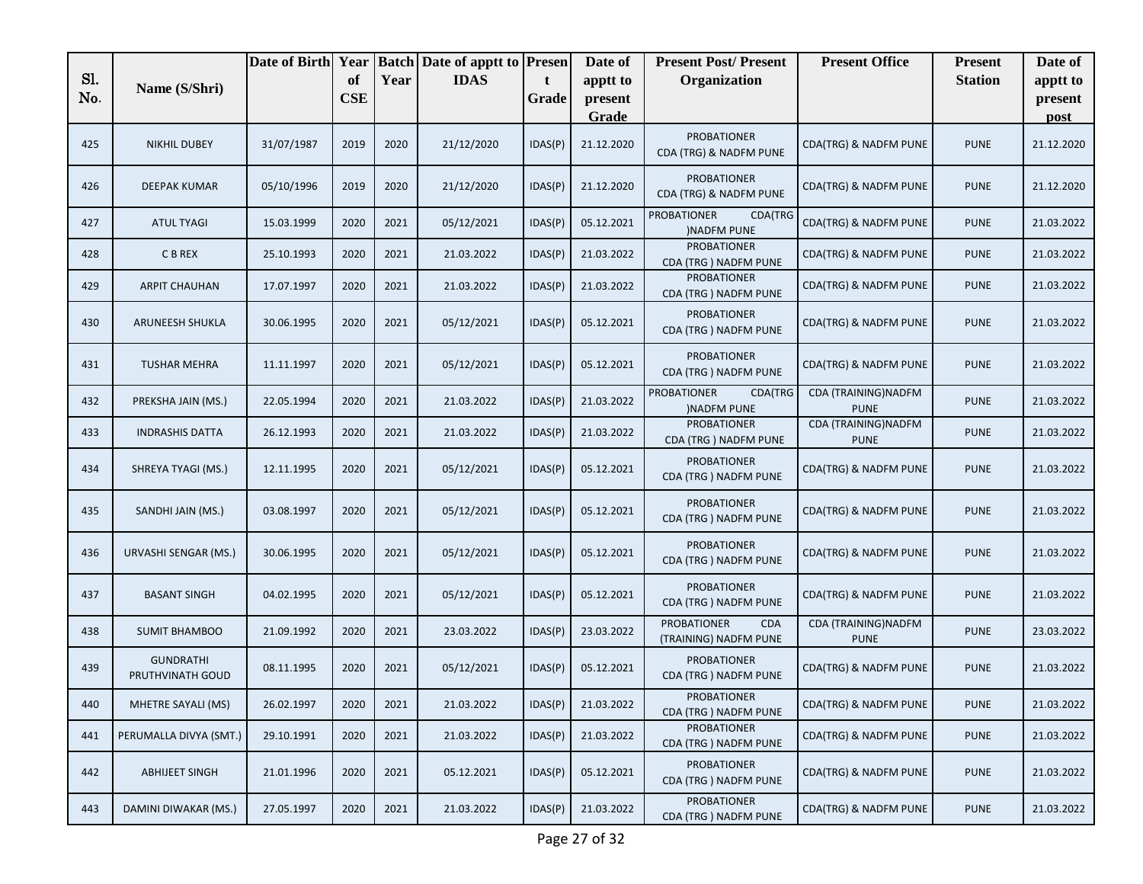|     |                                      | Date of Birth Year |            |      | <b>Batch Date of apptt to Presen</b> |         | Date of          | <b>Present Post/Present</b>                               | <b>Present Office</b>               | <b>Present</b> | Date of         |
|-----|--------------------------------------|--------------------|------------|------|--------------------------------------|---------|------------------|-----------------------------------------------------------|-------------------------------------|----------------|-----------------|
| Sl. | Name (S/Shri)                        |                    | of         | Year | <b>IDAS</b>                          | t       | apptt to         | Organization                                              |                                     | <b>Station</b> | apptt to        |
| No. |                                      |                    | <b>CSE</b> |      |                                      | Grade   | present<br>Grade |                                                           |                                     |                | present<br>post |
| 425 | <b>NIKHIL DUBEY</b>                  | 31/07/1987         | 2019       | 2020 | 21/12/2020                           | IDAS(P) | 21.12.2020       | <b>PROBATIONER</b><br>CDA (TRG) & NADFM PUNE              | CDA(TRG) & NADFM PUNE               | <b>PUNE</b>    | 21.12.2020      |
| 426 | <b>DEEPAK KUMAR</b>                  | 05/10/1996         | 2019       | 2020 | 21/12/2020                           | IDAS(P) | 21.12.2020       | <b>PROBATIONER</b><br>CDA (TRG) & NADFM PUNE              | CDA(TRG) & NADFM PUNE               | <b>PUNE</b>    | 21.12.2020      |
| 427 | <b>ATUL TYAGI</b>                    | 15.03.1999         | 2020       | 2021 | 05/12/2021                           | IDAS(P) | 05.12.2021       | <b>PROBATIONER</b><br>CDA(TRG<br><b>INADFM PUNE</b>       | CDA(TRG) & NADFM PUNE               | <b>PUNE</b>    | 21.03.2022      |
| 428 | C B REX                              | 25.10.1993         | 2020       | 2021 | 21.03.2022                           | IDAS(P) | 21.03.2022       | <b>PROBATIONER</b><br>CDA (TRG) NADFM PUNE                | CDA(TRG) & NADFM PUNE               | <b>PUNE</b>    | 21.03.2022      |
| 429 | <b>ARPIT CHAUHAN</b>                 | 17.07.1997         | 2020       | 2021 | 21.03.2022                           | IDAS(P) | 21.03.2022       | <b>PROBATIONER</b><br>CDA (TRG) NADFM PUNE                | CDA(TRG) & NADFM PUNE               | <b>PUNE</b>    | 21.03.2022      |
| 430 | ARUNEESH SHUKLA                      | 30.06.1995         | 2020       | 2021 | 05/12/2021                           | IDAS(P) | 05.12.2021       | <b>PROBATIONER</b><br>CDA (TRG) NADFM PUNE                | CDA(TRG) & NADFM PUNE               | <b>PUNE</b>    | 21.03.2022      |
| 431 | <b>TUSHAR MEHRA</b>                  | 11.11.1997         | 2020       | 2021 | 05/12/2021                           | IDAS(P) | 05.12.2021       | <b>PROBATIONER</b><br>CDA (TRG) NADFM PUNE                | CDA(TRG) & NADFM PUNE               | <b>PUNE</b>    | 21.03.2022      |
| 432 | PREKSHA JAIN (MS.)                   | 22.05.1994         | 2020       | 2021 | 21.03.2022                           | IDAS(P) | 21.03.2022       | <b>PROBATIONER</b><br>CDA(TRG<br><b>INADFM PUNE</b>       | CDA (TRAINING)NADFM<br><b>PUNE</b>  | <b>PUNE</b>    | 21.03.2022      |
| 433 | <b>INDRASHIS DATTA</b>               | 26.12.1993         | 2020       | 2021 | 21.03.2022                           | IDAS(P) | 21.03.2022       | <b>PROBATIONER</b><br>CDA (TRG) NADFM PUNE                | CDA (TRAINING) NADFM<br><b>PUNE</b> | <b>PUNE</b>    | 21.03.2022      |
| 434 | SHREYA TYAGI (MS.)                   | 12.11.1995         | 2020       | 2021 | 05/12/2021                           | IDAS(P) | 05.12.2021       | <b>PROBATIONER</b><br>CDA (TRG) NADFM PUNE                | <b>CDA(TRG) &amp; NADFM PUNE</b>    | <b>PUNE</b>    | 21.03.2022      |
| 435 | SANDHI JAIN (MS.)                    | 03.08.1997         | 2020       | 2021 | 05/12/2021                           | IDAS(P) | 05.12.2021       | <b>PROBATIONER</b><br>CDA (TRG) NADFM PUNE                | CDA(TRG) & NADFM PUNE               | <b>PUNE</b>    | 21.03.2022      |
| 436 | URVASHI SENGAR (MS.)                 | 30.06.1995         | 2020       | 2021 | 05/12/2021                           | IDAS(P) | 05.12.2021       | <b>PROBATIONER</b><br>CDA (TRG) NADFM PUNE                | CDA(TRG) & NADFM PUNE               | <b>PUNE</b>    | 21.03.2022      |
| 437 | <b>BASANT SINGH</b>                  | 04.02.1995         | 2020       | 2021 | 05/12/2021                           | IDAS(P) | 05.12.2021       | <b>PROBATIONER</b><br>CDA (TRG) NADFM PUNE                | CDA(TRG) & NADFM PUNE               | <b>PUNE</b>    | 21.03.2022      |
| 438 | <b>SUMIT BHAMBOO</b>                 | 21.09.1992         | 2020       | 2021 | 23.03.2022                           | IDAS(P) | 23.03.2022       | <b>PROBATIONER</b><br><b>CDA</b><br>(TRAINING) NADFM PUNE | CDA (TRAINING)NADFM<br><b>PUNE</b>  | <b>PUNE</b>    | 23.03.2022      |
| 439 | <b>GUNDRATHI</b><br>PRUTHVINATH GOUD | 08.11.1995         | 2020       | 2021 | 05/12/2021                           | IDAS(P) | 05.12.2021       | <b>PROBATIONER</b><br>CDA (TRG) NADFM PUNE                | CDA(TRG) & NADFM PUNE               | <b>PUNE</b>    | 21.03.2022      |
| 440 | MHETRE SAYALI (MS)                   | 26.02.1997         | 2020       | 2021 | 21.03.2022                           | IDAS(P) | 21.03.2022       | <b>PROBATIONER</b><br>CDA (TRG) NADFM PUNE                | CDA(TRG) & NADFM PUNE               | <b>PUNE</b>    | 21.03.2022      |
| 441 | PERUMALLA DIVYA (SMT.)               | 29.10.1991         | 2020       | 2021 | 21.03.2022                           | IDAS(P) | 21.03.2022       | <b>PROBATIONER</b><br>CDA (TRG) NADFM PUNE                | CDA(TRG) & NADFM PUNE               | <b>PUNE</b>    | 21.03.2022      |
| 442 | <b>ABHIJEET SINGH</b>                | 21.01.1996         | 2020       | 2021 | 05.12.2021                           | IDAS(P) | 05.12.2021       | <b>PROBATIONER</b><br>CDA (TRG) NADFM PUNE                | CDA(TRG) & NADFM PUNE               | <b>PUNE</b>    | 21.03.2022      |
| 443 | DAMINI DIWAKAR (MS.)                 | 27.05.1997         | 2020       | 2021 | 21.03.2022                           | IDAS(P) | 21.03.2022       | <b>PROBATIONER</b><br>CDA (TRG) NADFM PUNE                | CDA(TRG) & NADFM PUNE               | <b>PUNE</b>    | 21.03.2022      |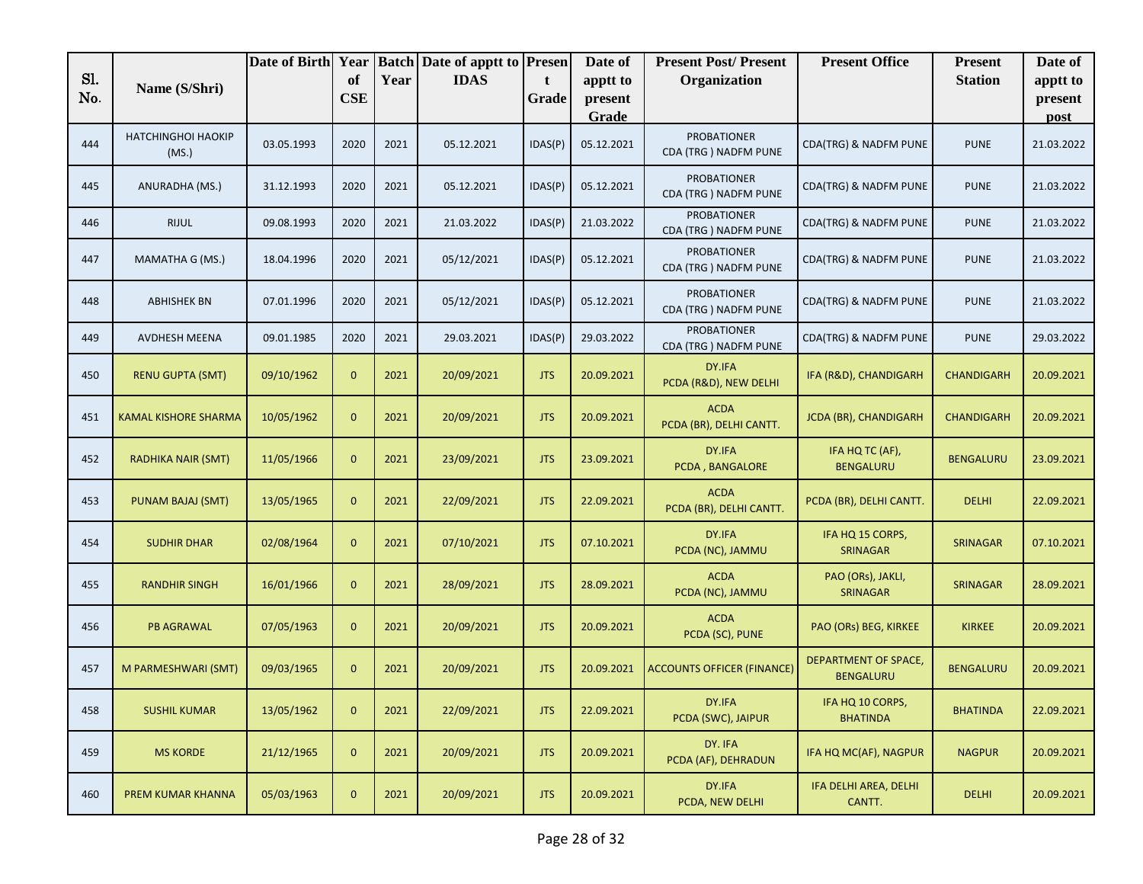|            |                                    | Date of Birth Year |                  |      | <b>Batch Date of apptt to Presen</b> |            | Date of             | <b>Present Post/Present</b>                | <b>Present Office</b>                           | <b>Present</b>    | Date of             |
|------------|------------------------------------|--------------------|------------------|------|--------------------------------------|------------|---------------------|--------------------------------------------|-------------------------------------------------|-------------------|---------------------|
| Sl.<br>No. | Name (S/Shri)                      |                    | of<br><b>CSE</b> | Year | <b>IDAS</b>                          | t<br>Grade | apptt to<br>present | Organization                               |                                                 | <b>Station</b>    | apptt to<br>present |
|            |                                    |                    |                  |      |                                      |            | Grade               |                                            |                                                 |                   | post                |
| 444        | <b>HATCHINGHOI HAOKIP</b><br>(MS.) | 03.05.1993         | 2020             | 2021 | 05.12.2021                           | IDAS(P)    | 05.12.2021          | <b>PROBATIONER</b><br>CDA (TRG) NADFM PUNE | CDA(TRG) & NADFM PUNE                           | <b>PUNE</b>       | 21.03.2022          |
| 445        | ANURADHA (MS.)                     | 31.12.1993         | 2020             | 2021 | 05.12.2021                           | IDAS(P)    | 05.12.2021          | <b>PROBATIONER</b><br>CDA (TRG) NADFM PUNE | CDA(TRG) & NADFM PUNE                           | <b>PUNE</b>       | 21.03.2022          |
| 446        | <b>RIJUL</b>                       | 09.08.1993         | 2020             | 2021 | 21.03.2022                           | IDAS(P)    | 21.03.2022          | <b>PROBATIONER</b><br>CDA (TRG) NADFM PUNE | CDA(TRG) & NADFM PUNE                           | <b>PUNE</b>       | 21.03.2022          |
| 447        | MAMATHA G (MS.)                    | 18.04.1996         | 2020             | 2021 | 05/12/2021                           | IDAS(P)    | 05.12.2021          | <b>PROBATIONER</b><br>CDA (TRG) NADFM PUNE | CDA(TRG) & NADFM PUNE                           | <b>PUNE</b>       | 21.03.2022          |
| 448        | <b>ABHISHEK BN</b>                 | 07.01.1996         | 2020             | 2021 | 05/12/2021                           | IDAS(P)    | 05.12.2021          | <b>PROBATIONER</b><br>CDA (TRG) NADFM PUNE | CDA(TRG) & NADFM PUNE                           | <b>PUNE</b>       | 21.03.2022          |
| 449        | AVDHESH MEENA                      | 09.01.1985         | 2020             | 2021 | 29.03.2021                           | IDAS(P)    | 29.03.2022          | <b>PROBATIONER</b><br>CDA (TRG) NADFM PUNE | CDA(TRG) & NADFM PUNE                           | <b>PUNE</b>       | 29.03.2022          |
| 450        | <b>RENU GUPTA (SMT)</b>            | 09/10/1962         | $\mathbf{0}$     | 2021 | 20/09/2021                           | <b>JTS</b> | 20.09.2021          | DY.IFA<br>PCDA (R&D), NEW DELHI            | IFA (R&D), CHANDIGARH                           | <b>CHANDIGARH</b> | 20.09.2021          |
| 451        | <b>KAMAL KISHORE SHARMA</b>        | 10/05/1962         | $\mathbf{0}$     | 2021 | 20/09/2021                           | <b>JTS</b> | 20.09.2021          | <b>ACDA</b><br>PCDA (BR), DELHI CANTT.     | <b>JCDA (BR), CHANDIGARH</b>                    | <b>CHANDIGARH</b> | 20.09.2021          |
| 452        | <b>RADHIKA NAIR (SMT)</b>          | 11/05/1966         | $\mathbf{0}$     | 2021 | 23/09/2021                           | <b>JTS</b> | 23.09.2021          | DY.IFA<br>PCDA, BANGALORE                  | IFA HQ TC (AF),<br><b>BENGALURU</b>             | <b>BENGALURU</b>  | 23.09.2021          |
| 453        | PUNAM BAJAJ (SMT)                  | 13/05/1965         | $\mathbf{0}$     | 2021 | 22/09/2021                           | <b>JTS</b> | 22.09.2021          | <b>ACDA</b><br>PCDA (BR), DELHI CANTT.     | PCDA (BR), DELHI CANTT.                         | <b>DELHI</b>      | 22.09.2021          |
| 454        | <b>SUDHIR DHAR</b>                 | 02/08/1964         | $\mathbf{0}$     | 2021 | 07/10/2021                           | <b>JTS</b> | 07.10.2021          | DY.IFA<br>PCDA (NC), JAMMU                 | IFA HQ 15 CORPS,<br><b>SRINAGAR</b>             | <b>SRINAGAR</b>   | 07.10.2021          |
| 455        | <b>RANDHIR SINGH</b>               | 16/01/1966         | $\mathbf{0}$     | 2021 | 28/09/2021                           | <b>JTS</b> | 28.09.2021          | <b>ACDA</b><br>PCDA (NC), JAMMU            | PAO (ORs), JAKLI,<br><b>SRINAGAR</b>            | <b>SRINAGAR</b>   | 28.09.2021          |
| 456        | <b>PB AGRAWAL</b>                  | 07/05/1963         | $\mathbf{0}$     | 2021 | 20/09/2021                           | <b>JTS</b> | 20.09.2021          | <b>ACDA</b><br>PCDA (SC), PUNE             | PAO (ORs) BEG, KIRKEE                           | <b>KIRKEE</b>     | 20.09.2021          |
| 457        | M PARMESHWARI (SMT)                | 09/03/1965         | $\mathbf{0}$     | 2021 | 20/09/2021                           | <b>JTS</b> | 20.09.2021          | <b>ACCOUNTS OFFICER (FINANCE)</b>          | <b>DEPARTMENT OF SPACE,</b><br><b>BENGALURU</b> | <b>BENGALURU</b>  | 20.09.2021          |
| 458        | <b>SUSHIL KUMAR</b>                | 13/05/1962         | $\mathbf{0}$     | 2021 | 22/09/2021                           | <b>JTS</b> | 22.09.2021          | DY.IFA<br>PCDA (SWC), JAIPUR               | IFA HQ 10 CORPS,<br><b>BHATINDA</b>             | <b>BHATINDA</b>   | 22.09.2021          |
| 459        | <b>MS KORDE</b>                    | 21/12/1965         | $\overline{0}$   | 2021 | 20/09/2021                           | <b>JTS</b> | 20.09.2021          | DY. IFA<br>PCDA (AF), DEHRADUN             | IFA HQ MC(AF), NAGPUR                           | <b>NAGPUR</b>     | 20.09.2021          |
| 460        | PREM KUMAR KHANNA                  | 05/03/1963         | $\mathbf{0}$     | 2021 | 20/09/2021                           | <b>JTS</b> | 20.09.2021          | DY.IFA<br>PCDA, NEW DELHI                  | IFA DELHI AREA, DELHI<br>CANTT.                 | <b>DELHI</b>      | 20.09.2021          |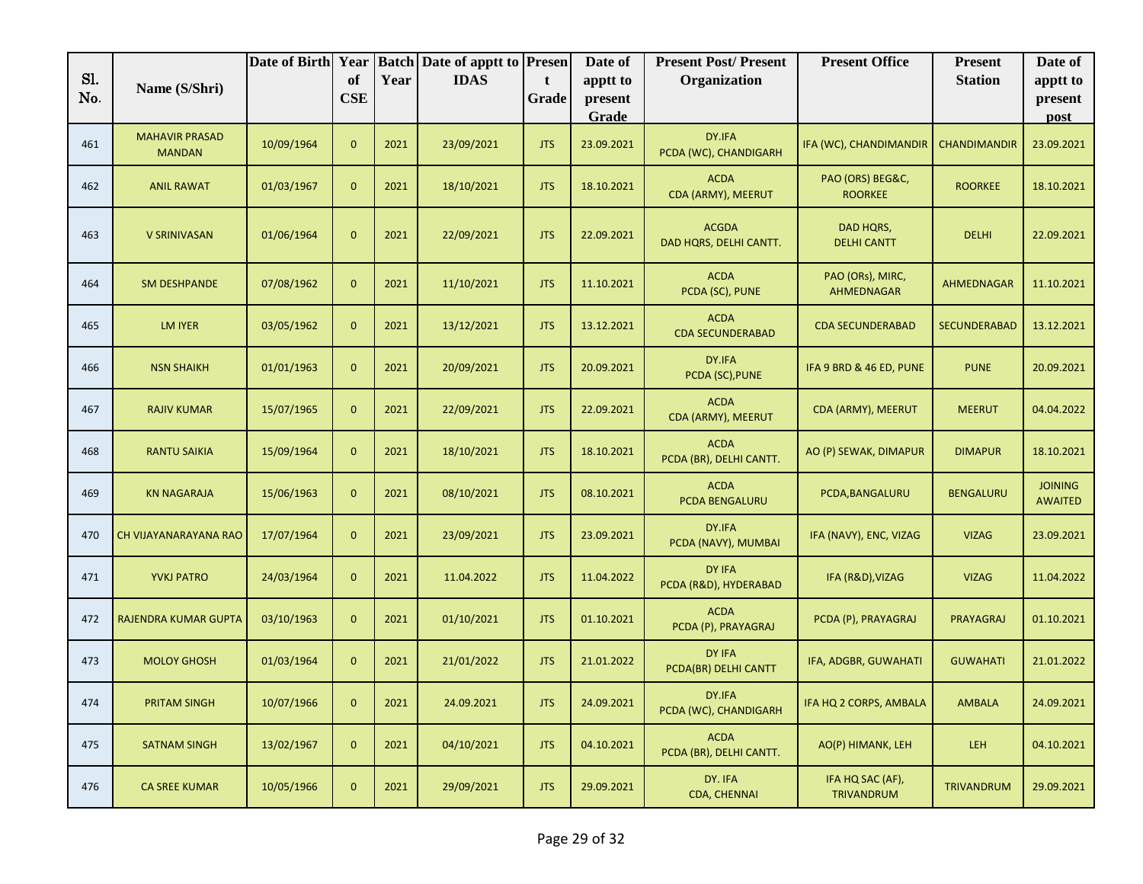| Sl. |                                        | Date of Birth Year |                  |      | <b>Batch Date of apptt to Presen</b> |            | Date of             | <b>Present Post/Present</b>            | <b>Present Office</b>              | <b>Present</b>      | Date of                          |
|-----|----------------------------------------|--------------------|------------------|------|--------------------------------------|------------|---------------------|----------------------------------------|------------------------------------|---------------------|----------------------------------|
| No. | Name (S/Shri)                          |                    | of<br><b>CSE</b> | Year | <b>IDAS</b>                          | t<br>Grade | apptt to<br>present | Organization                           |                                    | <b>Station</b>      | apptt to<br>present              |
|     |                                        |                    |                  |      |                                      |            | Grade               |                                        |                                    |                     | post                             |
| 461 | <b>MAHAVIR PRASAD</b><br><b>MANDAN</b> | 10/09/1964         | $\mathbf{0}$     | 2021 | 23/09/2021                           | <b>JTS</b> | 23.09.2021          | DY.IFA<br>PCDA (WC), CHANDIGARH        | IFA (WC), CHANDIMANDIR             | <b>CHANDIMANDIR</b> | 23.09.2021                       |
| 462 | <b>ANIL RAWAT</b>                      | 01/03/1967         | $\overline{0}$   | 2021 | 18/10/2021                           | <b>JTS</b> | 18.10.2021          | <b>ACDA</b><br>CDA (ARMY), MEERUT      | PAO (ORS) BEG&C,<br><b>ROORKEE</b> | <b>ROORKEE</b>      | 18.10.2021                       |
| 463 | V SRINIVASAN                           | 01/06/1964         | $\overline{0}$   | 2021 | 22/09/2021                           | <b>JTS</b> | 22.09.2021          | <b>ACGDA</b><br>DAD HQRS, DELHI CANTT. | DAD HQRS,<br><b>DELHI CANTT</b>    | <b>DELHI</b>        | 22.09.2021                       |
| 464 | <b>SM DESHPANDE</b>                    | 07/08/1962         | $\mathbf{0}$     | 2021 | 11/10/2021                           | <b>JTS</b> | 11.10.2021          | <b>ACDA</b><br>PCDA (SC), PUNE         | PAO (ORs), MIRC,<br>AHMEDNAGAR     | AHMEDNAGAR          | 11.10.2021                       |
| 465 | <b>LM IYER</b>                         | 03/05/1962         | $\mathbf{0}$     | 2021 | 13/12/2021                           | <b>JTS</b> | 13.12.2021          | <b>ACDA</b><br><b>CDA SECUNDERABAD</b> | <b>CDA SECUNDERABAD</b>            | <b>SECUNDERABAD</b> | 13.12.2021                       |
| 466 | <b>NSN SHAIKH</b>                      | 01/01/1963         | $\mathbf{0}$     | 2021 | 20/09/2021                           | <b>JTS</b> | 20.09.2021          | DY.IFA<br>PCDA (SC), PUNE              | IFA 9 BRD & 46 ED, PUNE            | <b>PUNE</b>         | 20.09.2021                       |
| 467 | <b>RAJIV KUMAR</b>                     | 15/07/1965         | $\mathbf{0}$     | 2021 | 22/09/2021                           | <b>JTS</b> | 22.09.2021          | <b>ACDA</b><br>CDA (ARMY), MEERUT      | CDA (ARMY), MEERUT                 | <b>MEERUT</b>       | 04.04.2022                       |
| 468 | <b>RANTU SAIKIA</b>                    | 15/09/1964         | $\mathbf{0}$     | 2021 | 18/10/2021                           | <b>JTS</b> | 18.10.2021          | <b>ACDA</b><br>PCDA (BR), DELHI CANTT. | AO (P) SEWAK, DIMAPUR              | <b>DIMAPUR</b>      | 18.10.2021                       |
| 469 | <b>KN NAGARAJA</b>                     | 15/06/1963         | $\mathbf{0}$     | 2021 | 08/10/2021                           | <b>JTS</b> | 08.10.2021          | <b>ACDA</b><br>PCDA BENGALURU          | PCDA, BANGALURU                    | <b>BENGALURU</b>    | <b>JOINING</b><br><b>AWAITED</b> |
| 470 | CH VIJAYANARAYANA RAO                  | 17/07/1964         | $\overline{0}$   | 2021 | 23/09/2021                           | <b>JTS</b> | 23.09.2021          | DY.IFA<br>PCDA (NAVY), MUMBAI          | IFA (NAVY), ENC, VIZAG             | <b>VIZAG</b>        | 23.09.2021                       |
| 471 | <b>YVKJ PATRO</b>                      | 24/03/1964         | $\overline{0}$   | 2021 | 11.04.2022                           | <b>JTS</b> | 11.04.2022          | DY IFA<br>PCDA (R&D), HYDERABAD        | IFA (R&D), VIZAG                   | <b>VIZAG</b>        | 11.04.2022                       |
| 472 | <b>RAJENDRA KUMAR GUPTA</b>            | 03/10/1963         | $\mathbf{0}$     | 2021 | 01/10/2021                           | <b>JTS</b> | 01.10.2021          | <b>ACDA</b><br>PCDA (P), PRAYAGRAJ     | PCDA (P), PRAYAGRAJ                | PRAYAGRAJ           | 01.10.2021                       |
| 473 | <b>MOLOY GHOSH</b>                     | 01/03/1964         | $\mathbf{0}$     | 2021 | 21/01/2022                           | <b>JTS</b> | 21.01.2022          | DY IFA<br>PCDA(BR) DELHI CANTT         | IFA, ADGBR, GUWAHATI               | <b>GUWAHATI</b>     | 21.01.2022                       |
| 474 | PRITAM SINGH                           | 10/07/1966         | $\boldsymbol{0}$ | 2021 | 24.09.2021                           | <b>JTS</b> | 24.09.2021          | DY.IFA<br>PCDA (WC), CHANDIGARH        | IFA HQ 2 CORPS, AMBALA             | AMBALA              | 24.09.2021                       |
| 475 | <b>SATNAM SINGH</b>                    | 13/02/1967         | $\mathbf{0}$     | 2021 | 04/10/2021                           | <b>JTS</b> | 04.10.2021          | <b>ACDA</b><br>PCDA (BR), DELHI CANTT. | AO(P) HIMANK, LEH                  | LEH                 | 04.10.2021                       |
| 476 | <b>CA SREE KUMAR</b>                   | 10/05/1966         | $\mathbf{0}$     | 2021 | 29/09/2021                           | <b>JTS</b> | 29.09.2021          | DY. IFA<br>CDA, CHENNAI                | IFA HQ SAC (AF),<br>TRIVANDRUM     | TRIVANDRUM          | 29.09.2021                       |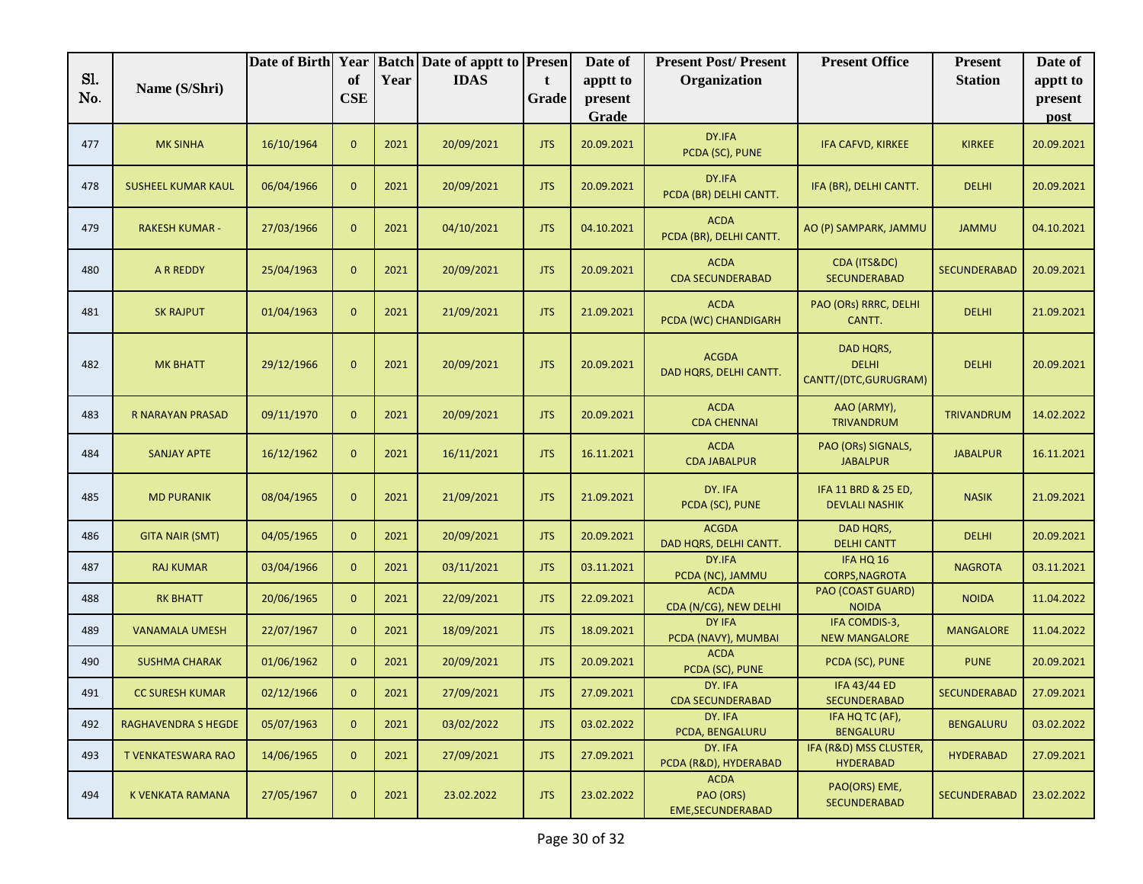| Sl. | Name (S/Shri)              | Date of Birth Year | of             | Year | <b>Batch Date of apptt to Presen</b><br><b>IDAS</b> | t          | Date of<br>apptt to | <b>Present Post/Present</b><br>Organization          | <b>Present Office</b>                              | <b>Present</b><br><b>Station</b> | Date of<br>apptt to |
|-----|----------------------------|--------------------|----------------|------|-----------------------------------------------------|------------|---------------------|------------------------------------------------------|----------------------------------------------------|----------------------------------|---------------------|
| No. |                            |                    | CSE            |      |                                                     | Grade      | present<br>Grade    |                                                      |                                                    |                                  | present<br>post     |
| 477 | <b>MK SINHA</b>            | 16/10/1964         | $\mathbf{0}$   | 2021 | 20/09/2021                                          | <b>JTS</b> | 20.09.2021          | DY.IFA<br>PCDA (SC), PUNE                            | IFA CAFVD, KIRKEE                                  | <b>KIRKEE</b>                    | 20.09.2021          |
| 478 | <b>SUSHEEL KUMAR KAUL</b>  | 06/04/1966         | $\mathbf{0}$   | 2021 | 20/09/2021                                          | <b>JTS</b> | 20.09.2021          | DY.IFA<br>PCDA (BR) DELHI CANTT.                     | IFA (BR), DELHI CANTT.                             | <b>DELHI</b>                     | 20.09.2021          |
| 479 | <b>RAKESH KUMAR -</b>      | 27/03/1966         | $\mathbf{0}$   | 2021 | 04/10/2021                                          | <b>JTS</b> | 04.10.2021          | <b>ACDA</b><br>PCDA (BR), DELHI CANTT.               | AO (P) SAMPARK, JAMMU                              | <b>JAMMU</b>                     | 04.10.2021          |
| 480 | A R REDDY                  | 25/04/1963         | $\overline{0}$ | 2021 | 20/09/2021                                          | <b>JTS</b> | 20.09.2021          | <b>ACDA</b><br><b>CDA SECUNDERABAD</b>               | CDA (ITS&DC)<br><b>SECUNDERABAD</b>                | <b>SECUNDERABAD</b>              | 20.09.2021          |
| 481 | <b>SK RAJPUT</b>           | 01/04/1963         | $\mathbf{0}$   | 2021 | 21/09/2021                                          | <b>JTS</b> | 21.09.2021          | <b>ACDA</b><br>PCDA (WC) CHANDIGARH                  | PAO (ORs) RRRC, DELHI<br>CANTT.                    | <b>DELHI</b>                     | 21.09.2021          |
| 482 | <b>MK BHATT</b>            | 29/12/1966         | $\mathbf{0}$   | 2021 | 20/09/2021                                          | <b>JTS</b> | 20.09.2021          | <b>ACGDA</b><br>DAD HQRS, DELHI CANTT.               | DAD HQRS,<br><b>DELHI</b><br>CANTT/(DTC, GURUGRAM) | <b>DELHI</b>                     | 20.09.2021          |
| 483 | R NARAYAN PRASAD           | 09/11/1970         | $\overline{0}$ | 2021 | 20/09/2021                                          | <b>JTS</b> | 20.09.2021          | <b>ACDA</b><br><b>CDA CHENNAI</b>                    | AAO (ARMY),<br><b>TRIVANDRUM</b>                   | <b>TRIVANDRUM</b>                | 14.02.2022          |
| 484 | <b>SANJAY APTE</b>         | 16/12/1962         | $\mathbf{0}$   | 2021 | 16/11/2021                                          | <b>JTS</b> | 16.11.2021          | <b>ACDA</b><br><b>CDA JABALPUR</b>                   | PAO (ORs) SIGNALS,<br><b>JABALPUR</b>              | <b>JABALPUR</b>                  | 16.11.2021          |
| 485 | <b>MD PURANIK</b>          | 08/04/1965         | $\mathbf{0}$   | 2021 | 21/09/2021                                          | <b>JTS</b> | 21.09.2021          | DY. IFA<br>PCDA (SC), PUNE                           | IFA 11 BRD & 25 ED,<br><b>DEVLALI NASHIK</b>       | <b>NASIK</b>                     | 21.09.2021          |
| 486 | GITA NAIR (SMT)            | 04/05/1965         | $\mathbf{0}$   | 2021 | 20/09/2021                                          | <b>JTS</b> | 20.09.2021          | <b>ACGDA</b><br>DAD HQRS, DELHI CANTT.               | DAD HQRS,<br><b>DELHI CANTT</b>                    | <b>DELHI</b>                     | 20.09.2021          |
| 487 | <b>RAJ KUMAR</b>           | 03/04/1966         | $\overline{0}$ | 2021 | 03/11/2021                                          | <b>JTS</b> | 03.11.2021          | DY.IFA<br>PCDA (NC), JAMMU                           | IFA HQ 16<br>CORPS, NAGROTA                        | <b>NAGROTA</b>                   | 03.11.2021          |
| 488 | <b>RK BHATT</b>            | 20/06/1965         | $\overline{0}$ | 2021 | 22/09/2021                                          | <b>JTS</b> | 22.09.2021          | <b>ACDA</b><br>CDA (N/CG), NEW DELHI                 | PAO (COAST GUARD)<br><b>NOIDA</b>                  | <b>NOIDA</b>                     | 11.04.2022          |
| 489 | <b>VANAMALA UMESH</b>      | 22/07/1967         | $\overline{0}$ | 2021 | 18/09/2021                                          | <b>JTS</b> | 18.09.2021          | DY IFA<br>PCDA (NAVY), MUMBAI                        | IFA COMDIS-3,<br><b>NEW MANGALORE</b>              | <b>MANGALORE</b>                 | 11.04.2022          |
| 490 | <b>SUSHMA CHARAK</b>       | 01/06/1962         | $\mathbf{0}$   | 2021 | 20/09/2021                                          | <b>JTS</b> | 20.09.2021          | <b>ACDA</b><br>PCDA (SC), PUNE                       | PCDA (SC), PUNE                                    | <b>PUNE</b>                      | 20.09.2021          |
| 491 | <b>CC SURESH KUMAR</b>     | 02/12/1966         | $\overline{0}$ | 2021 | 27/09/2021                                          | <b>JTS</b> | 27.09.2021          | DY. IFA<br><b>CDA SECUNDERABAD</b>                   | IFA 43/44 ED<br>SECUNDERABAD                       | SECUNDERABAD                     | 27.09.2021          |
| 492 | <b>RAGHAVENDRA S HEGDE</b> | 05/07/1963         | $\overline{0}$ | 2021 | 03/02/2022                                          | <b>JTS</b> | 03.02.2022          | DY. IFA<br>PCDA, BENGALURU                           | IFA HQ TC (AF),<br><b>BENGALURU</b>                | <b>BENGALURU</b>                 | 03.02.2022          |
| 493 | T VENKATESWARA RAO         | 14/06/1965         | $\overline{0}$ | 2021 | 27/09/2021                                          | <b>JTS</b> | 27.09.2021          | DY. IFA<br>PCDA (R&D), HYDERABAD                     | IFA (R&D) MSS CLUSTER,<br><b>HYDERABAD</b>         | <b>HYDERABAD</b>                 | 27.09.2021          |
| 494 | K VENKATA RAMANA           | 27/05/1967         | $\mathbf{0}$   | 2021 | 23.02.2022                                          | <b>JTS</b> | 23.02.2022          | <b>ACDA</b><br>PAO (ORS)<br><b>EME, SECUNDERABAD</b> | PAO(ORS) EME,<br>SECUNDERABAD                      | SECUNDERABAD                     | 23.02.2022          |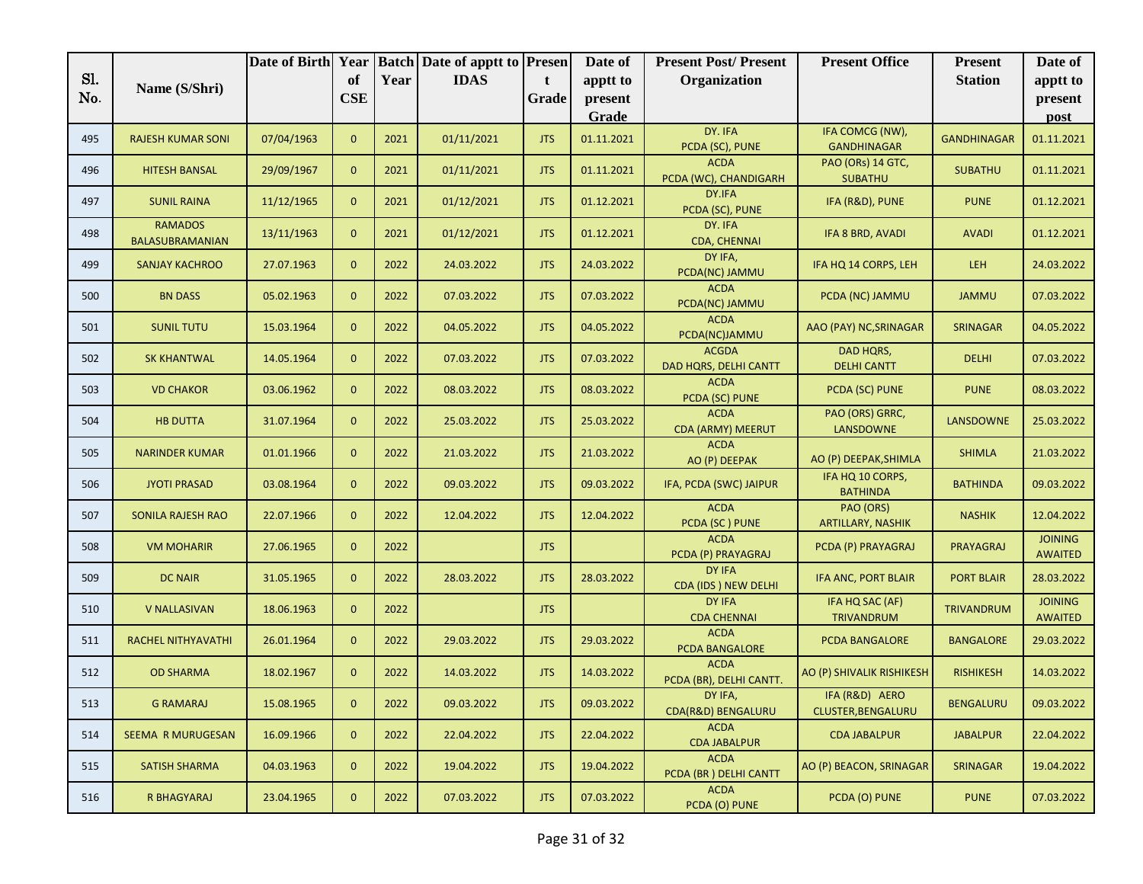|     |                                   | Date of Birth Year |                |      | <b>Batch Date of apptt to Presen</b> |            | Date of          | <b>Present Post/Present</b>             | <b>Present Office</b>                 | <b>Present</b>     | Date of                          |
|-----|-----------------------------------|--------------------|----------------|------|--------------------------------------|------------|------------------|-----------------------------------------|---------------------------------------|--------------------|----------------------------------|
| Sl. | Name (S/Shri)                     |                    | of             | Year | <b>IDAS</b>                          | t          | apptt to         | Organization                            |                                       | <b>Station</b>     | apptt to                         |
| No. |                                   |                    | <b>CSE</b>     |      |                                      | Grade      | present<br>Grade |                                         |                                       |                    | present                          |
|     |                                   |                    |                |      |                                      |            |                  | DY. IFA                                 | IFA COMCG (NW),                       |                    | post                             |
| 495 | <b>RAJESH KUMAR SONI</b>          | 07/04/1963         | $\mathbf{0}$   | 2021 | 01/11/2021                           | <b>JTS</b> | 01.11.2021       | PCDA (SC), PUNE                         | <b>GANDHINAGAR</b>                    | <b>GANDHINAGAR</b> | 01.11.2021                       |
| 496 | <b>HITESH BANSAL</b>              | 29/09/1967         | $\overline{0}$ | 2021 | 01/11/2021                           | <b>JTS</b> | 01.11.2021       | <b>ACDA</b><br>PCDA (WC), CHANDIGARH    | PAO (ORs) 14 GTC,<br><b>SUBATHU</b>   | <b>SUBATHU</b>     | 01.11.2021                       |
| 497 | <b>SUNIL RAINA</b>                | 11/12/1965         | $\mathbf{0}$   | 2021 | 01/12/2021                           | <b>JTS</b> | 01.12.2021       | DY.IFA<br>PCDA (SC), PUNE               | IFA (R&D), PUNE                       | <b>PUNE</b>        | 01.12.2021                       |
| 498 | <b>RAMADOS</b><br>BALASUBRAMANIAN | 13/11/1963         | $\mathbf{0}$   | 2021 | 01/12/2021                           | <b>JTS</b> | 01.12.2021       | DY. IFA<br>CDA, CHENNAI                 | IFA 8 BRD, AVADI                      | <b>AVADI</b>       | 01.12.2021                       |
| 499 | <b>SANJAY KACHROO</b>             | 27.07.1963         | $\mathbf{0}$   | 2022 | 24.03.2022                           | <b>JTS</b> | 24.03.2022       | DY IFA,<br>PCDA(NC) JAMMU               | IFA HQ 14 CORPS, LEH                  | <b>LEH</b>         | 24.03.2022                       |
| 500 | <b>BN DASS</b>                    | 05.02.1963         | $\mathbf{0}$   | 2022 | 07.03.2022                           | <b>JTS</b> | 07.03.2022       | <b>ACDA</b><br>PCDA(NC) JAMMU           | PCDA (NC) JAMMU                       | <b>JAMMU</b>       | 07.03.2022                       |
| 501 | <b>SUNIL TUTU</b>                 | 15.03.1964         | $\mathbf{0}$   | 2022 | 04.05.2022                           | <b>JTS</b> | 04.05.2022       | <b>ACDA</b><br>PCDA(NC)JAMMU            | AAO (PAY) NC, SRINAGAR                | <b>SRINAGAR</b>    | 04.05.2022                       |
| 502 | <b>SK KHANTWAL</b>                | 14.05.1964         | $\mathbf{0}$   | 2022 | 07.03.2022                           | <b>JTS</b> | 07.03.2022       | <b>ACGDA</b><br>DAD HQRS, DELHI CANTT   | DAD HQRS,<br><b>DELHI CANTT</b>       | <b>DELHI</b>       | 07.03.2022                       |
| 503 | <b>VD CHAKOR</b>                  | 03.06.1962         | $\mathbf{0}$   | 2022 | 08.03.2022                           | <b>JTS</b> | 08.03.2022       | <b>ACDA</b><br>PCDA (SC) PUNE           | PCDA (SC) PUNE                        | <b>PUNE</b>        | 08.03.2022                       |
| 504 | <b>HB DUTTA</b>                   | 31.07.1964         | $\mathbf{0}$   | 2022 | 25.03.2022                           | <b>JTS</b> | 25.03.2022       | <b>ACDA</b><br><b>CDA (ARMY) MEERUT</b> | PAO (ORS) GRRC,<br><b>LANSDOWNE</b>   | <b>LANSDOWNE</b>   | 25.03.2022                       |
| 505 | <b>NARINDER KUMAR</b>             | 01.01.1966         | $\mathbf{0}$   | 2022 | 21.03.2022                           | <b>JTS</b> | 21.03.2022       | <b>ACDA</b><br>AO (P) DEEPAK            | AO (P) DEEPAK, SHIMLA                 | <b>SHIMLA</b>      | 21.03.2022                       |
| 506 | <b>JYOTI PRASAD</b>               | 03.08.1964         | $\overline{0}$ | 2022 | 09.03.2022                           | <b>JTS</b> | 09.03.2022       | IFA, PCDA (SWC) JAIPUR                  | IFA HQ 10 CORPS,<br><b>BATHINDA</b>   | <b>BATHINDA</b>    | 09.03.2022                       |
| 507 | <b>SONILA RAJESH RAO</b>          | 22.07.1966         | $\mathbf{0}$   | 2022 | 12.04.2022                           | <b>JTS</b> | 12.04.2022       | <b>ACDA</b><br>PCDA (SC) PUNE           | PAO (ORS)<br><b>ARTILLARY, NASHIK</b> | <b>NASHIK</b>      | 12.04.2022                       |
| 508 | <b>VM MOHARIR</b>                 | 27.06.1965         | $\overline{0}$ | 2022 |                                      | <b>JTS</b> |                  | <b>ACDA</b><br>PCDA (P) PRAYAGRAJ       | PCDA (P) PRAYAGRAJ                    | PRAYAGRAJ          | <b>JOINING</b><br><b>AWAITED</b> |
| 509 | <b>DC NAIR</b>                    | 31.05.1965         | $\mathbf{0}$   | 2022 | 28.03.2022                           | <b>JTS</b> | 28.03.2022       | <b>DY IFA</b><br>CDA (IDS) NEW DELHI    | IFA ANC, PORT BLAIR                   | <b>PORT BLAIR</b>  | 28.03.2022                       |
| 510 | <b>V NALLASIVAN</b>               | 18.06.1963         | $\mathbf{0}$   | 2022 |                                      | <b>JTS</b> |                  | <b>DY IFA</b><br><b>CDA CHENNAI</b>     | IFA HQ SAC (AF)<br>TRIVANDRUM         | <b>TRIVANDRUM</b>  | <b>JOINING</b><br><b>AWAITED</b> |
| 511 | RACHEL NITHYAVATHI                | 26.01.1964         | $\mathbf{0}$   | 2022 | 29.03.2022                           | <b>JTS</b> | 29.03.2022       | <b>ACDA</b><br>PCDA BANGALORE           | PCDA BANGALORE                        | <b>BANGALORE</b>   | 29.03.2022                       |
| 512 | <b>OD SHARMA</b>                  | 18.02.1967         | $\overline{0}$ | 2022 | 14.03.2022                           | <b>JTS</b> | 14.03.2022       | <b>ACDA</b><br>PCDA (BR), DELHI CANTT.  | AO (P) SHIVALIK RISHIKESH             | <b>RISHIKESH</b>   | 14.03.2022                       |
| 513 | <b>G RAMARAJ</b>                  | 15.08.1965         | $\mathbf{0}$   | 2022 | 09.03.2022                           | <b>JTS</b> | 09.03.2022       | DY IFA,<br>CDA(R&D) BENGALURU           | IFA (R&D) AERO<br>CLUSTER, BENGALURU  | <b>BENGALURU</b>   | 09.03.2022                       |
| 514 | SEEMA R MURUGESAN                 | 16.09.1966         | $\overline{0}$ | 2022 | 22.04.2022                           | <b>JTS</b> | 22.04.2022       | <b>ACDA</b><br><b>CDA JABALPUR</b>      | <b>CDA JABALPUR</b>                   | <b>JABALPUR</b>    | 22.04.2022                       |
| 515 | <b>SATISH SHARMA</b>              | 04.03.1963         | $\mathbf{0}$   | 2022 | 19.04.2022                           | <b>JTS</b> | 19.04.2022       | <b>ACDA</b><br>PCDA (BR) DELHI CANTT    | AO (P) BEACON, SRINAGAR               | SRINAGAR           | 19.04.2022                       |
| 516 | R BHAGYARAJ                       | 23.04.1965         | $\mathbf{0}$   | 2022 | 07.03.2022                           | <b>JTS</b> | 07.03.2022       | <b>ACDA</b><br>PCDA (O) PUNE            | PCDA (O) PUNE                         | <b>PUNE</b>        | 07.03.2022                       |